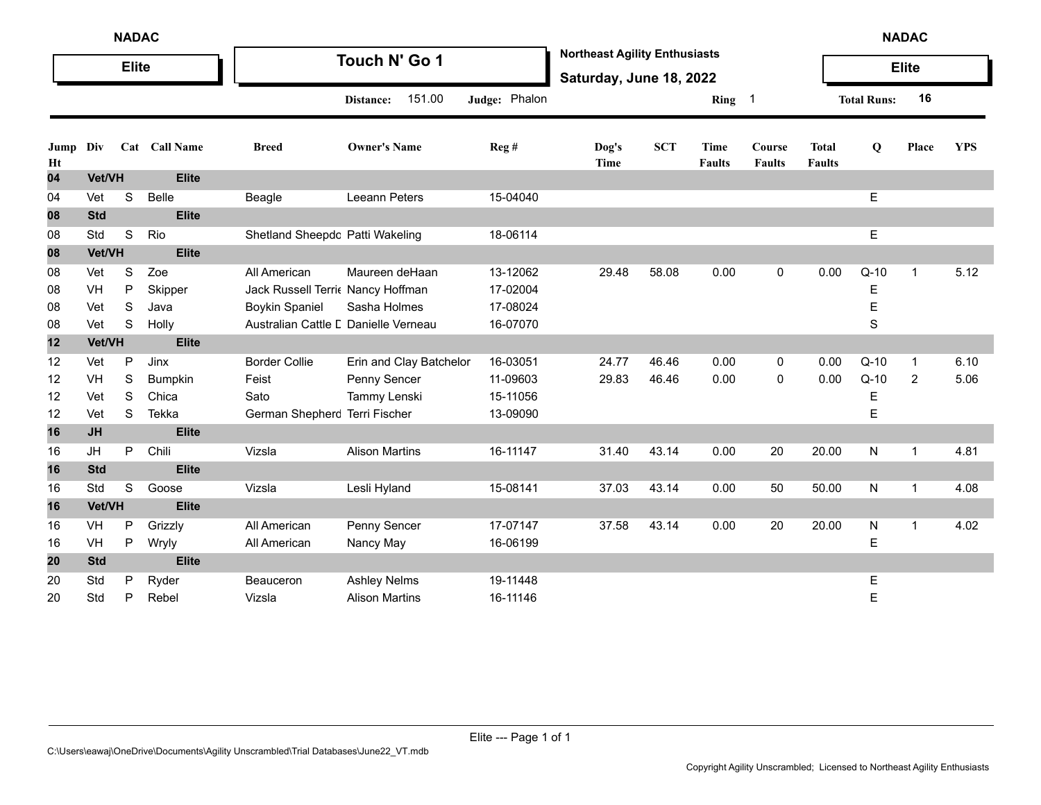|            | <b>NADAC</b> |                  |                 |                                                           |                         |                      |                                                                 |            |                       |                         |                               | <b>NADAC</b>       |              |            |
|------------|--------------|------------------|-----------------|-----------------------------------------------------------|-------------------------|----------------------|-----------------------------------------------------------------|------------|-----------------------|-------------------------|-------------------------------|--------------------|--------------|------------|
|            |              | <b>Elite</b>     |                 |                                                           | Touch N' Go 1           |                      | <b>Northeast Agility Enthusiasts</b><br>Saturday, June 18, 2022 |            |                       |                         |                               |                    | <b>Elite</b> |            |
|            |              |                  |                 |                                                           | 151.00<br>Distance:     | Judge: Phalon        |                                                                 |            | Ring 1                |                         |                               | <b>Total Runs:</b> | 16           |            |
| Jump<br>Ht | Div          |                  | Cat Call Name   | <b>Breed</b>                                              | <b>Owner's Name</b>     | Reg#                 | Dog's<br><b>Time</b>                                            | <b>SCT</b> | Time<br><b>Faults</b> | Course<br><b>Faults</b> | <b>Total</b><br><b>Faults</b> | Q                  | Place        | <b>YPS</b> |
| 04         | Vet/VH       |                  | <b>Elite</b>    |                                                           |                         |                      |                                                                 |            |                       |                         |                               |                    |              |            |
| 04         | Vet          | S                | <b>Belle</b>    | Beagle                                                    | Leeann Peters           | 15-04040             |                                                                 |            |                       |                         |                               | E                  |              |            |
| 08         | <b>Std</b>   |                  | <b>Elite</b>    |                                                           |                         |                      |                                                                 |            |                       |                         |                               |                    |              |            |
| 08         | Std          | $\mathbf S$      | Rio             | Shetland Sheepdc Patti Wakeling                           |                         | 18-06114             |                                                                 |            |                       |                         |                               | E                  |              |            |
| 08         | Vet/VH       |                  | <b>Elite</b>    |                                                           |                         |                      |                                                                 |            |                       |                         |                               |                    |              |            |
| 08         | Vet          | S                | Zoe             | All American                                              | Maureen deHaan          | 13-12062<br>17-02004 | 29.48                                                           | 58.08      | 0.00                  | $\mathbf 0$             | 0.00                          | $Q-10$             | $\mathbf{1}$ | 5.12       |
| 08<br>08   | VH<br>Vet    | P<br>$\mathbb S$ | Skipper<br>Java | Jack Russell Terri Nancy Hoffman<br><b>Boykin Spaniel</b> | Sasha Holmes            | 17-08024             |                                                                 |            |                       |                         |                               | Е<br>E             |              |            |
| 08         | Vet          | S                | Holly           | Australian Cattle L Danielle Verneau                      |                         | 16-07070             |                                                                 |            |                       |                         |                               | S                  |              |            |
| 12         | Vet/VH       |                  | <b>Elite</b>    |                                                           |                         |                      |                                                                 |            |                       |                         |                               |                    |              |            |
| 12         | Vet          | P                | Jinx            | <b>Border Collie</b>                                      | Erin and Clay Batchelor | 16-03051             | 24.77                                                           | 46.46      | 0.00                  | 0                       | 0.00                          | $Q-10$             | 1            | 6.10       |
| 12         | VH           | S                | Bumpkin         | Feist                                                     | Penny Sencer            | 11-09603             | 29.83                                                           | 46.46      | 0.00                  | $\mathbf 0$             | 0.00                          | $Q-10$             | 2            | 5.06       |
| 12         | Vet          | S                | Chica           | Sato                                                      | Tammy Lenski            | 15-11056             |                                                                 |            |                       |                         |                               | Е                  |              |            |
| 12         | Vet          | S                | Tekka           | German Shepherc Terri Fischer                             |                         | 13-09090             |                                                                 |            |                       |                         |                               | E                  |              |            |
| 16         | <b>JH</b>    |                  | <b>Elite</b>    |                                                           |                         |                      |                                                                 |            |                       |                         |                               |                    |              |            |
| 16         | JH           | P                | Chili           | Vizsla                                                    | <b>Alison Martins</b>   | 16-11147             | 31.40                                                           | 43.14      | 0.00                  | 20                      | 20.00                         | N                  | $\mathbf 1$  | 4.81       |
| 16         | <b>Std</b>   |                  | <b>Elite</b>    |                                                           |                         |                      |                                                                 |            |                       |                         |                               |                    |              |            |
| 16         | Std          | S                | Goose           | Vizsla                                                    | Lesli Hyland            | 15-08141             | 37.03                                                           | 43.14      | 0.00                  | 50                      | 50.00                         | N                  | 1            | 4.08       |
| 16         | Vet/VH       |                  | <b>Elite</b>    |                                                           |                         |                      |                                                                 |            |                       |                         |                               |                    |              |            |
| 16         | VH           | $\mathsf{P}$     | Grizzly         | All American                                              | Penny Sencer            | 17-07147             | 37.58                                                           | 43.14      | 0.00                  | 20                      | 20.00                         | N                  | $\mathbf 1$  | 4.02       |
| 16         | VH           | P                | Wryly           | All American                                              | Nancy May               | 16-06199             |                                                                 |            |                       |                         |                               | Е                  |              |            |
| 20         | <b>Std</b>   |                  | <b>Elite</b>    |                                                           |                         |                      |                                                                 |            |                       |                         |                               |                    |              |            |
| 20         | Std          | P                | Ryder           | Beauceron                                                 | <b>Ashley Nelms</b>     | 19-11448             |                                                                 |            |                       |                         |                               | Е                  |              |            |
| 20         | Std          | P                | Rebel           | Vizsla                                                    | <b>Alison Martins</b>   | 16-11146             |                                                                 |            |                       |                         |                               | E                  |              |            |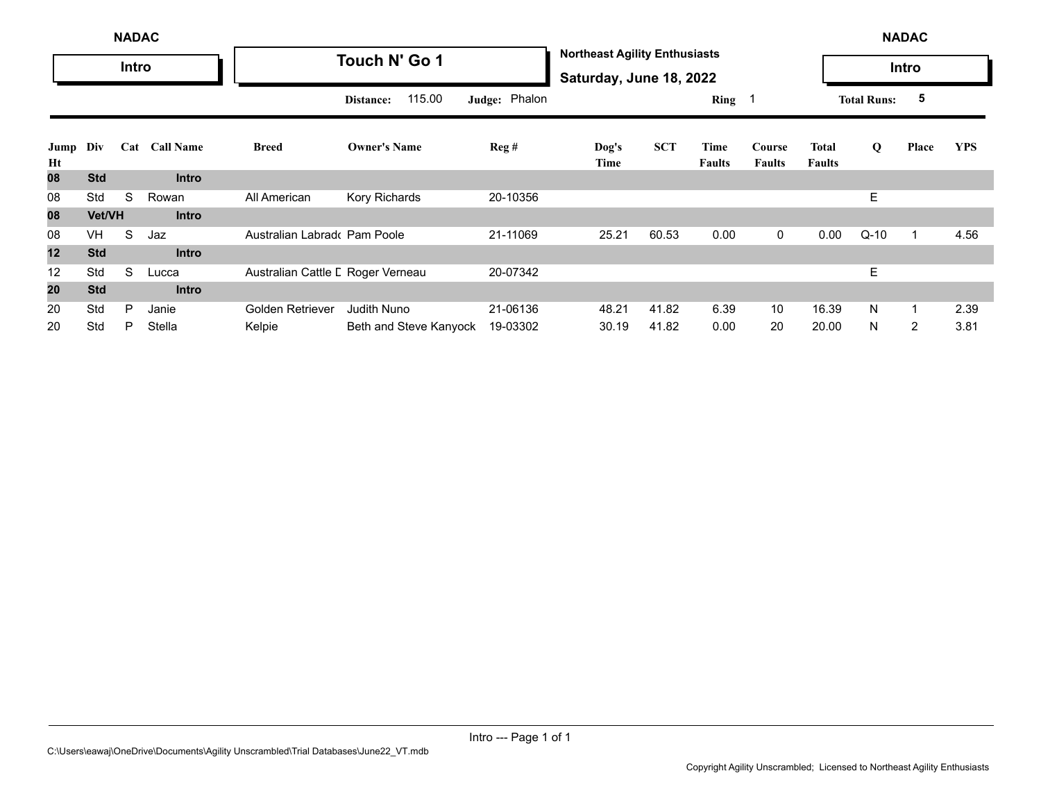|            | <b>NADAC</b> |       |                  |                                   |                        |               |                                                                 |            |                       |                         |                        |                    | <b>NADAC</b>   |            |
|------------|--------------|-------|------------------|-----------------------------------|------------------------|---------------|-----------------------------------------------------------------|------------|-----------------------|-------------------------|------------------------|--------------------|----------------|------------|
|            |              | Intro |                  |                                   | Touch N' Go 1          |               | <b>Northeast Agility Enthusiasts</b><br>Saturday, June 18, 2022 |            |                       |                         |                        |                    | Intro          |            |
|            |              |       |                  |                                   | 115.00<br>Distance:    | Judge: Phalon |                                                                 |            | Ring $1$              |                         |                        | <b>Total Runs:</b> | 5              |            |
| Jump<br>Ht | Div          | Cat   | <b>Call Name</b> | <b>Breed</b>                      | <b>Owner's Name</b>    | Reg#          | Dog's<br>Time                                                   | <b>SCT</b> | Time<br><b>Faults</b> | Course<br><b>Faults</b> | Total<br><b>Faults</b> | Q                  | Place          | <b>YPS</b> |
| 80         | <b>Std</b>   |       | <b>Intro</b>     |                                   |                        |               |                                                                 |            |                       |                         |                        |                    |                |            |
| 08         | Std          | S     | Rowan            | All American                      | Kory Richards          | 20-10356      |                                                                 |            |                       |                         |                        | E                  |                |            |
| 08         | Vet/VH       |       | <b>Intro</b>     |                                   |                        |               |                                                                 |            |                       |                         |                        |                    |                |            |
| 08         | <b>VH</b>    | S     | Jaz              | Australian Labrado Pam Poole      |                        | 21-11069      | 25.21                                                           | 60.53      | 0.00                  | $\mathbf 0$             | 0.00                   | $Q-10$             |                | 4.56       |
| 12         | <b>Std</b>   |       | <b>Intro</b>     |                                   |                        |               |                                                                 |            |                       |                         |                        |                    |                |            |
| 12         | Std          | S     | Lucca            | Australian Cattle L Roger Verneau |                        | 20-07342      |                                                                 |            |                       |                         |                        | E                  |                |            |
| 20         | <b>Std</b>   |       | <b>Intro</b>     |                                   |                        |               |                                                                 |            |                       |                         |                        |                    |                |            |
| 20         | Std          | P     | Janie            | Golden Retriever                  | <b>Judith Nuno</b>     | 21-06136      | 48.21                                                           | 41.82      | 6.39                  | 10                      | 16.39                  | N                  |                | 2.39       |
| 20         | Std          | P     | Stella           | Kelpie                            | Beth and Steve Kanyock | 19-03302      | 30.19                                                           | 41.82      | 0.00                  | 20                      | 20.00                  | N                  | $\overline{2}$ | 3.81       |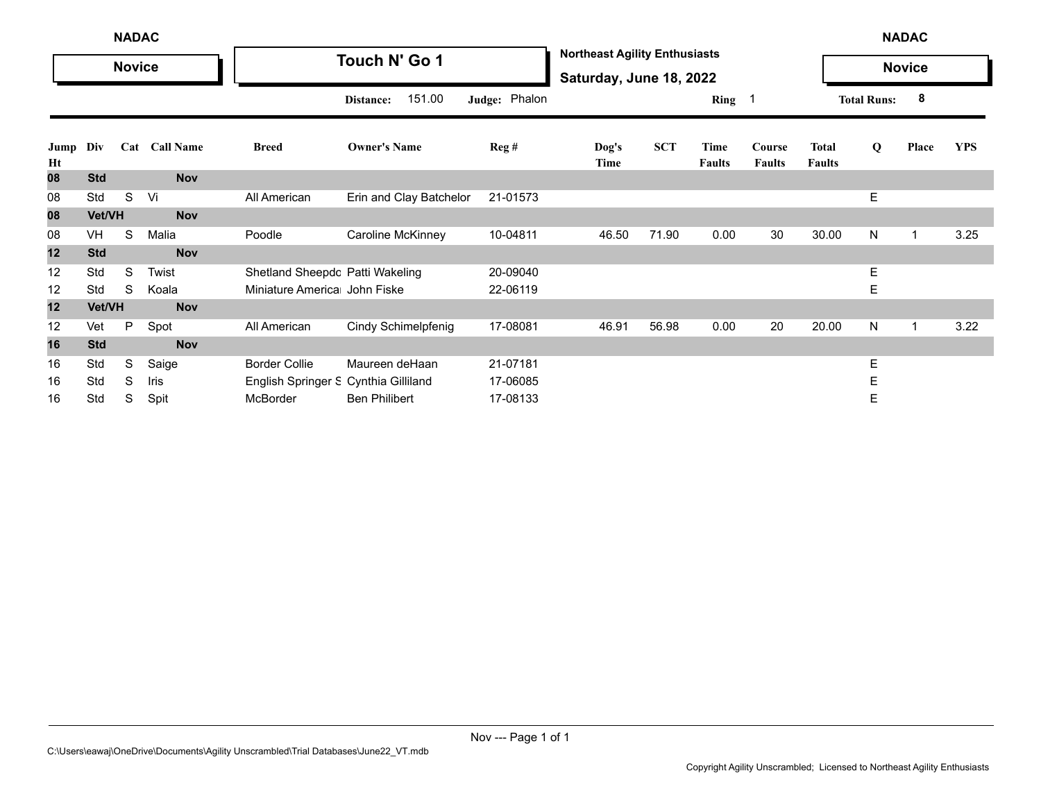|            | <b>NADAC</b><br><b>Novice</b> |   |               |                                      |                         |                         |                                                                 |            |                       |                         |                               |                    | <b>NADAC</b>  |            |
|------------|-------------------------------|---|---------------|--------------------------------------|-------------------------|-------------------------|-----------------------------------------------------------------|------------|-----------------------|-------------------------|-------------------------------|--------------------|---------------|------------|
|            |                               |   |               |                                      | Touch N' Go 1           |                         | <b>Northeast Agility Enthusiasts</b><br>Saturday, June 18, 2022 |            |                       |                         |                               |                    | <b>Novice</b> |            |
|            |                               |   |               |                                      | 151.00<br>Distance:     | Judge: Phalon           |                                                                 |            | Ring 1                |                         |                               | <b>Total Runs:</b> | 8             |            |
| Jump<br>Ht | Div                           |   | Cat Call Name | <b>Breed</b>                         | <b>Owner's Name</b>     | $\text{Reg}\,\text{\#}$ | Dog's<br>Time                                                   | <b>SCT</b> | Time<br><b>Faults</b> | Course<br><b>Faults</b> | <b>Total</b><br><b>Faults</b> | Q                  | Place         | <b>YPS</b> |
| 08         | <b>Std</b>                    |   | <b>Nov</b>    |                                      |                         |                         |                                                                 |            |                       |                         |                               |                    |               |            |
| 08         | Std                           | S | Vi            | All American                         | Erin and Clay Batchelor | 21-01573                |                                                                 |            |                       |                         |                               | Е                  |               |            |
| 08         | Vet/VH                        |   | <b>Nov</b>    |                                      |                         |                         |                                                                 |            |                       |                         |                               |                    |               |            |
| 08         | VH                            | S | Malia         | Poodle                               | Caroline McKinney       | 10-04811                | 46.50                                                           | 71.90      | 0.00                  | 30                      | 30.00                         | N                  | 1             | 3.25       |
| 12         | <b>Std</b>                    |   | <b>Nov</b>    |                                      |                         |                         |                                                                 |            |                       |                         |                               |                    |               |            |
| 12         | Std                           | S | Twist         | Shetland Sheepdc Patti Wakeling      |                         | 20-09040                |                                                                 |            |                       |                         |                               | Е                  |               |            |
| 12         | Std                           | S | Koala         | Miniature America John Fiske         |                         | 22-06119                |                                                                 |            |                       |                         |                               | Ε                  |               |            |
| 12         | Vet/VH                        |   | <b>Nov</b>    |                                      |                         |                         |                                                                 |            |                       |                         |                               |                    |               |            |
| 12         | Vet                           | P | Spot          | All American                         | Cindy Schimelpfenig     | 17-08081                | 46.91                                                           | 56.98      | 0.00                  | 20                      | 20.00                         | N                  | 1             | 3.22       |
| 16         | <b>Std</b>                    |   | <b>Nov</b>    |                                      |                         |                         |                                                                 |            |                       |                         |                               |                    |               |            |
| 16         | Std                           | S | Saige         | <b>Border Collie</b>                 | Maureen deHaan          | 21-07181                |                                                                 |            |                       |                         |                               | Е                  |               |            |
| 16         | Std                           | S | Iris          | English Springer S Cynthia Gilliland |                         | 17-06085                |                                                                 |            |                       |                         |                               | Ε                  |               |            |
| 16         | Std                           | S | Spit          | McBorder                             | <b>Ben Philibert</b>    | 17-08133                |                                                                 |            |                       |                         |                               | Е                  |               |            |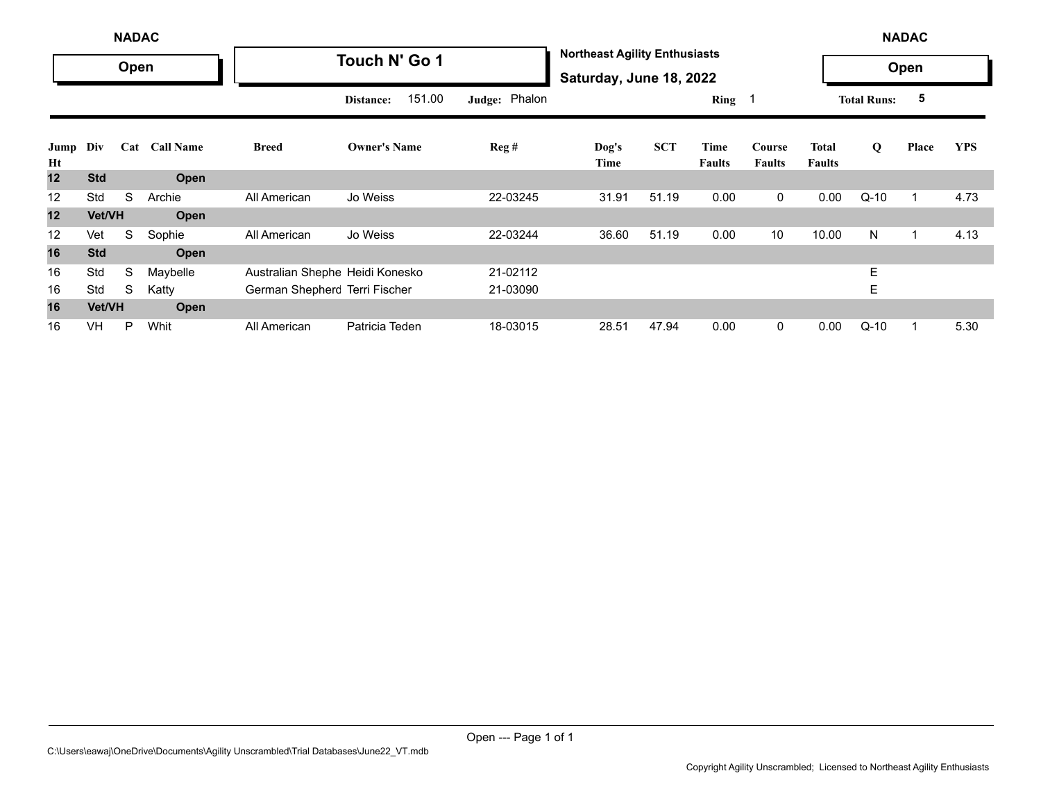|            | <b>NADAC</b> |      |                  |                                 |                     |               |                                                                 |            |                       |                         |                               |                    | <b>NADAC</b> |            |
|------------|--------------|------|------------------|---------------------------------|---------------------|---------------|-----------------------------------------------------------------|------------|-----------------------|-------------------------|-------------------------------|--------------------|--------------|------------|
|            |              | Open |                  |                                 | Touch N' Go 1       |               | <b>Northeast Agility Enthusiasts</b><br>Saturday, June 18, 2022 |            |                       |                         |                               |                    | Open         |            |
|            |              |      |                  |                                 | 151.00<br>Distance: | Judge: Phalon |                                                                 |            | Ring $1$              |                         |                               | <b>Total Runs:</b> | 5            |            |
| Jump<br>Ht | Div          | Cat  | <b>Call Name</b> | <b>Breed</b>                    | <b>Owner's Name</b> | Reg#          | Dog's<br>Time                                                   | <b>SCT</b> | Time<br><b>Faults</b> | Course<br><b>Faults</b> | <b>Total</b><br><b>Faults</b> | Q                  | Place        | <b>YPS</b> |
| 12         | <b>Std</b>   |      | Open             |                                 |                     |               |                                                                 |            |                       |                         |                               |                    |              |            |
| 12         | Std          | S    | Archie           | All American                    | Jo Weiss            | 22-03245      | 31.91                                                           | 51.19      | 0.00                  | $\mathbf 0$             | 0.00                          | $Q-10$             | 1            | 4.73       |
| 12         | Vet/VH       |      | <b>Open</b>      |                                 |                     |               |                                                                 |            |                       |                         |                               |                    |              |            |
| 12         | Vet          | S    | Sophie           | All American                    | Jo Weiss            | 22-03244      | 36.60                                                           | 51.19      | 0.00                  | 10 <sup>°</sup>         | 10.00                         | N                  | 1            | 4.13       |
| 16         | <b>Std</b>   |      | <b>Open</b>      |                                 |                     |               |                                                                 |            |                       |                         |                               |                    |              |            |
| 16         | Std          | S    | Maybelle         | Australian Shephe Heidi Konesko |                     | 21-02112      |                                                                 |            |                       |                         |                               | E                  |              |            |
| 16         | Std          | S    | Katty            | German Shepherc Terri Fischer   |                     | 21-03090      |                                                                 |            |                       |                         |                               | Е                  |              |            |
| 16         | Vet/VH       |      | Open             |                                 |                     |               |                                                                 |            |                       |                         |                               |                    |              |            |
| 16         | <b>VH</b>    | P    | Whit             | All American                    | Patricia Teden      | 18-03015      | 28.51                                                           | 47.94      | 0.00                  | 0                       | 0.00                          | $Q-10$             |              | 5.30       |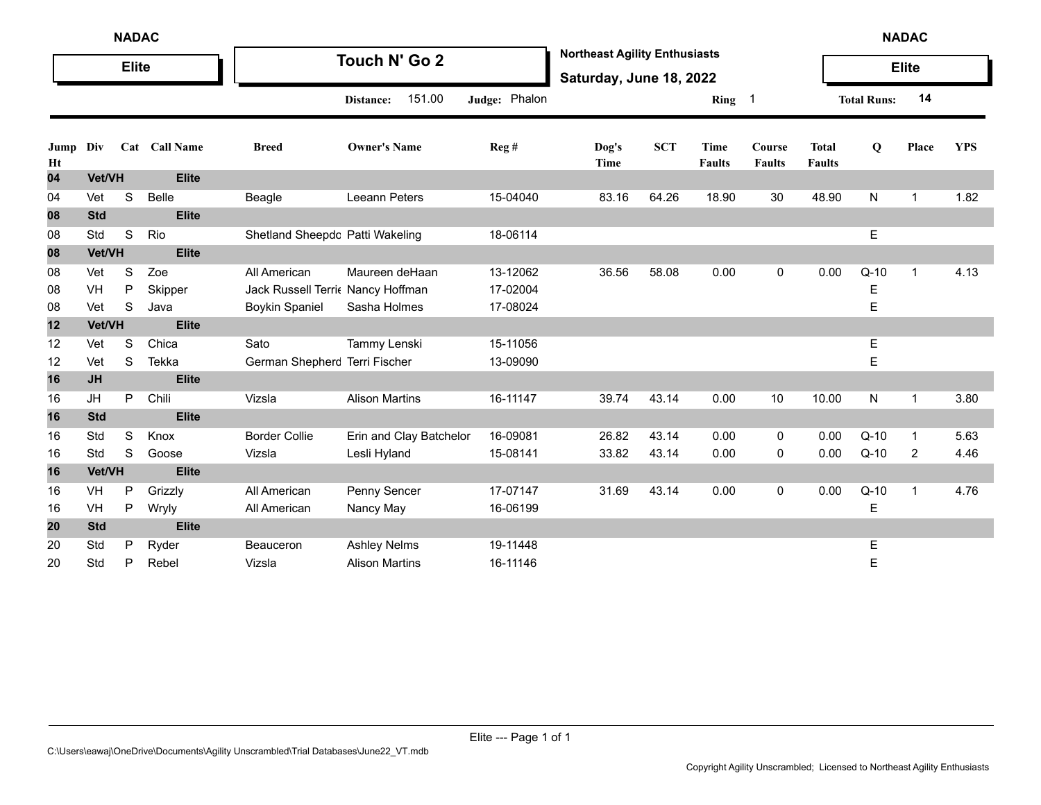|            | <b>NADAC</b> |              |               |                                  |                         |               |                                                                 |            |                       |                                |                               |                    | <b>NADAC</b> |            |
|------------|--------------|--------------|---------------|----------------------------------|-------------------------|---------------|-----------------------------------------------------------------|------------|-----------------------|--------------------------------|-------------------------------|--------------------|--------------|------------|
|            |              | <b>Elite</b> |               |                                  | Touch N' Go 2           |               | <b>Northeast Agility Enthusiasts</b><br>Saturday, June 18, 2022 |            |                       |                                |                               |                    | <b>Elite</b> |            |
|            |              |              |               |                                  | 151.00<br>Distance:     | Judge: Phalon |                                                                 |            | Ring 1                |                                |                               | <b>Total Runs:</b> | 14           |            |
| Jump<br>Ht | Div          |              | Cat Call Name | <b>Breed</b>                     | <b>Owner's Name</b>     | Reg #         | Dog's<br>Time                                                   | <b>SCT</b> | Time<br><b>Faults</b> | <b>Course</b><br><b>Faults</b> | <b>Total</b><br><b>Faults</b> | Q                  | Place        | <b>YPS</b> |
| 04         | Vet/VH       |              | <b>Elite</b>  |                                  |                         |               |                                                                 |            |                       |                                |                               |                    |              |            |
| 04         | Vet          | S            | <b>Belle</b>  | Beagle                           | Leeann Peters           | 15-04040      | 83.16                                                           | 64.26      | 18.90                 | 30                             | 48.90                         | N                  | $\mathbf{1}$ | 1.82       |
| 08         | <b>Std</b>   |              | <b>Elite</b>  |                                  |                         |               |                                                                 |            |                       |                                |                               |                    |              |            |
| 08         | Std          | S            | Rio           | Shetland Sheepdc Patti Wakeling  |                         | 18-06114      |                                                                 |            |                       |                                |                               | E                  |              |            |
| 08         | Vet/VH       |              | <b>Elite</b>  |                                  |                         |               |                                                                 |            |                       |                                |                               |                    |              |            |
| 08         | Vet          | S            | Zoe           | All American                     | Maureen deHaan          | 13-12062      | 36.56                                                           | 58.08      | 0.00                  | 0                              | 0.00                          | $Q-10$             | $\mathbf{1}$ | 4.13       |
| 08         | VH           | ${\sf P}$    | Skipper       | Jack Russell Terri Nancy Hoffman |                         | 17-02004      |                                                                 |            |                       |                                |                               | Е                  |              |            |
| 08         | Vet          | $\mathbf S$  | Java          | <b>Boykin Spaniel</b>            | Sasha Holmes            | 17-08024      |                                                                 |            |                       |                                |                               | E                  |              |            |
| 12         | Vet/VH       |              | <b>Elite</b>  |                                  |                         |               |                                                                 |            |                       |                                |                               |                    |              |            |
| 12         | Vet          | S            | Chica         | Sato                             | Tammy Lenski            | 15-11056      |                                                                 |            |                       |                                |                               | Е                  |              |            |
| 12         | Vet          | S            | Tekka         | German Shepherc Terri Fischer    |                         | 13-09090      |                                                                 |            |                       |                                |                               | E                  |              |            |
| 16         | <b>JH</b>    |              | <b>Elite</b>  |                                  |                         |               |                                                                 |            |                       |                                |                               |                    |              |            |
| 16         | JH           | P            | Chili         | Vizsla                           | <b>Alison Martins</b>   | 16-11147      | 39.74                                                           | 43.14      | 0.00                  | 10                             | 10.00                         | N                  | 1            | 3.80       |
| 16         | <b>Std</b>   |              | <b>Elite</b>  |                                  |                         |               |                                                                 |            |                       |                                |                               |                    |              |            |
| 16         | Std          | $\mathbf S$  | Knox          | <b>Border Collie</b>             | Erin and Clay Batchelor | 16-09081      | 26.82                                                           | 43.14      | 0.00                  | 0                              | 0.00                          | $Q-10$             | $\mathbf{1}$ | 5.63       |
| 16         | Std          | S            | Goose         | Vizsla                           | Lesli Hyland            | 15-08141      | 33.82                                                           | 43.14      | 0.00                  | 0                              | 0.00                          | $Q-10$             | 2            | 4.46       |
| 16         | Vet/VH       |              | <b>Elite</b>  |                                  |                         |               |                                                                 |            |                       |                                |                               |                    |              |            |
| 16         | VH           | P            | Grizzly       | All American                     | Penny Sencer            | 17-07147      | 31.69                                                           | 43.14      | 0.00                  | 0                              | 0.00                          | $Q-10$             | $\mathbf 1$  | 4.76       |
| 16         | VH           | $\sf P$      | Wryly         | All American                     | Nancy May               | 16-06199      |                                                                 |            |                       |                                |                               | E                  |              |            |
| 20         | <b>Std</b>   |              | <b>Elite</b>  |                                  |                         |               |                                                                 |            |                       |                                |                               |                    |              |            |
| 20         | Std          | P            | Ryder         | <b>Beauceron</b>                 | <b>Ashley Nelms</b>     | 19-11448      |                                                                 |            |                       |                                |                               | E                  |              |            |
| 20         | Std          | P            | Rebel         | Vizsla                           | <b>Alison Martins</b>   | 16-11146      |                                                                 |            |                       |                                |                               | E                  |              |            |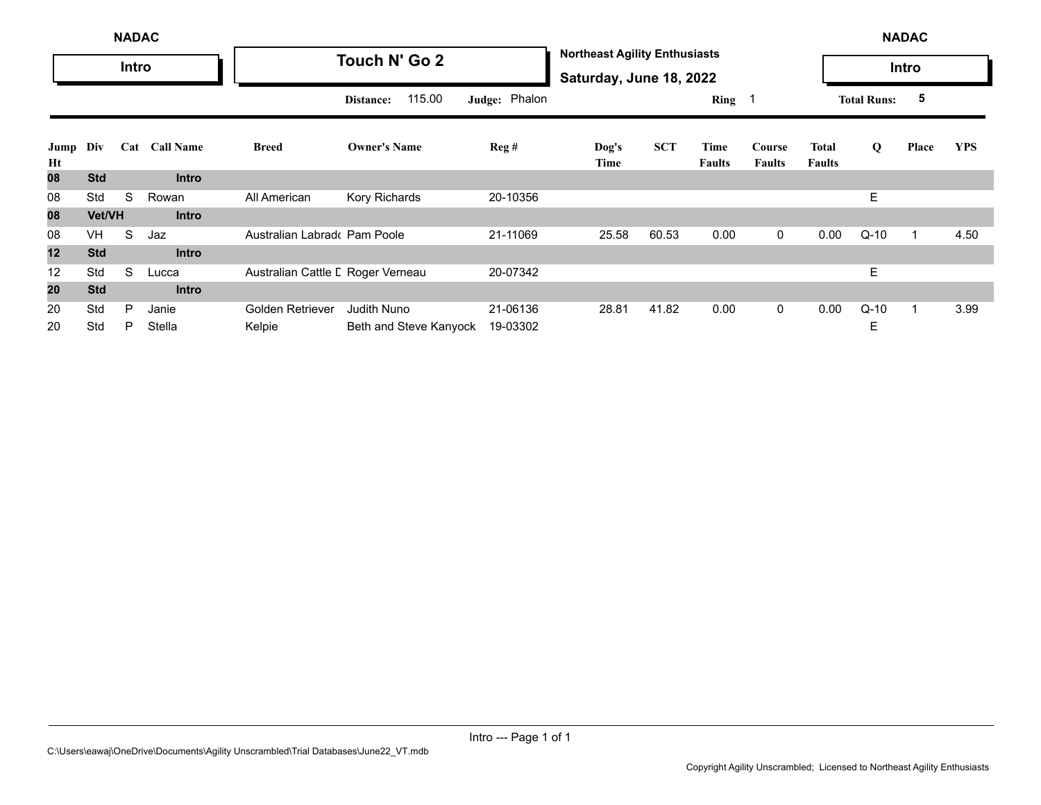|            | <b>NADAC</b> |       |                  |                                   |                        |               |                                                                 |            |                       |                         |                               | <b>NADAC</b>       |       |            |
|------------|--------------|-------|------------------|-----------------------------------|------------------------|---------------|-----------------------------------------------------------------|------------|-----------------------|-------------------------|-------------------------------|--------------------|-------|------------|
|            |              | Intro |                  |                                   | Touch N' Go 2          |               | <b>Northeast Agility Enthusiasts</b><br>Saturday, June 18, 2022 |            |                       |                         |                               |                    | Intro |            |
|            |              |       |                  |                                   | 115.00<br>Distance:    | Judge: Phalon |                                                                 |            | Ring $1$              |                         |                               | <b>Total Runs:</b> | 5     |            |
| Jump<br>Ht | Div          | Cat   | <b>Call Name</b> | <b>Breed</b>                      | <b>Owner's Name</b>    | Reg#          | Dog's<br>Time                                                   | <b>SCT</b> | Time<br><b>Faults</b> | Course<br><b>Faults</b> | <b>Total</b><br><b>Faults</b> | Q                  | Place | <b>YPS</b> |
| 80         | <b>Std</b>   |       | <b>Intro</b>     |                                   |                        |               |                                                                 |            |                       |                         |                               |                    |       |            |
| 08         | Std          | S     | Rowan            | All American                      | Kory Richards          | 20-10356      |                                                                 |            |                       |                         |                               | E                  |       |            |
| 08         | Vet/VH       |       | <b>Intro</b>     |                                   |                        |               |                                                                 |            |                       |                         |                               |                    |       |            |
| 08         | <b>VH</b>    | S     | Jaz              | Australian Labrado Pam Poole      |                        | 21-11069      | 25.58                                                           | 60.53      | 0.00                  | $\overline{0}$          | 0.00                          | $Q-10$             | 1     | 4.50       |
| 12         | <b>Std</b>   |       | <b>Intro</b>     |                                   |                        |               |                                                                 |            |                       |                         |                               |                    |       |            |
| 12         | Std          | S     | Lucca            | Australian Cattle L Roger Verneau |                        | 20-07342      |                                                                 |            |                       |                         |                               | E.                 |       |            |
| 20         | <b>Std</b>   |       | <b>Intro</b>     |                                   |                        |               |                                                                 |            |                       |                         |                               |                    |       |            |
| 20         | Std          | P     | Janie            | Golden Retriever                  | <b>Judith Nuno</b>     | 21-06136      | 28.81                                                           | 41.82      | 0.00                  | $\mathbf{0}$            | 0.00                          | $Q-10$             | 1     | 3.99       |
| 20         | Std          | P     | Stella           | Kelpie                            | Beth and Steve Kanyock | 19-03302      |                                                                 |            |                       |                         |                               | Ε                  |       |            |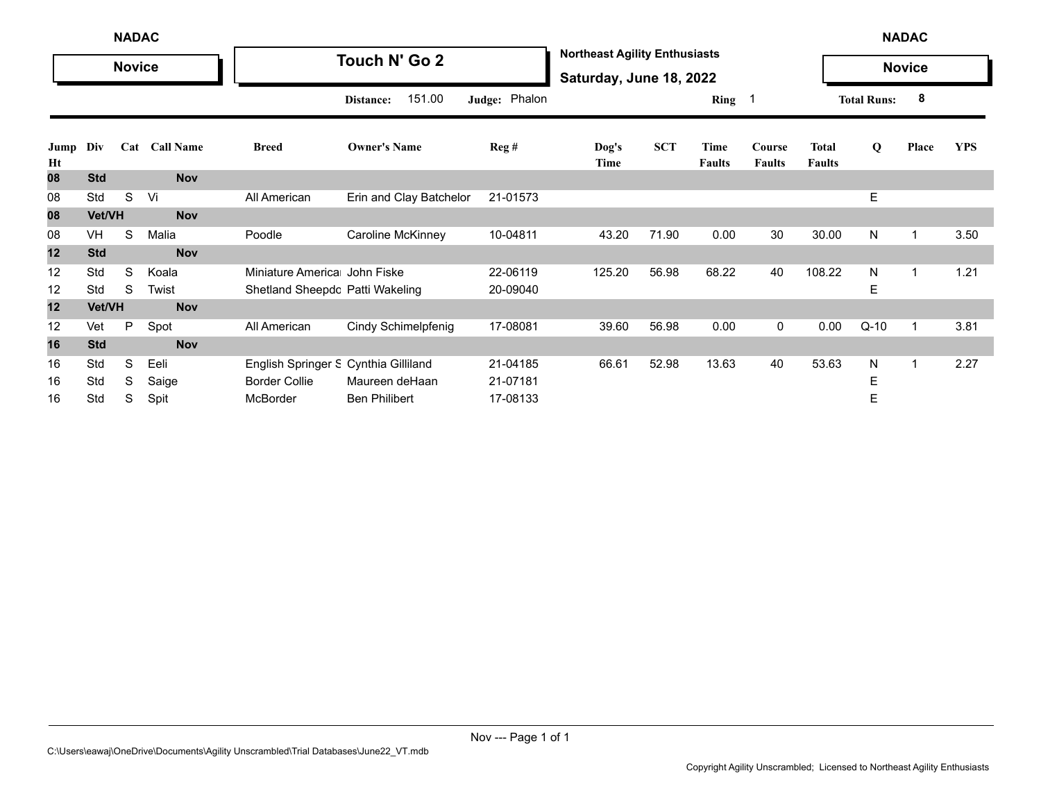|            | <b>NADAC</b><br><b>Novice</b> |   |                      |                                      |                         |                  |                                                                 |            |                       |                         |                               |                    | <b>NADAC</b>  |            |
|------------|-------------------------------|---|----------------------|--------------------------------------|-------------------------|------------------|-----------------------------------------------------------------|------------|-----------------------|-------------------------|-------------------------------|--------------------|---------------|------------|
|            |                               |   |                      |                                      | Touch N' Go 2           |                  | <b>Northeast Agility Enthusiasts</b><br>Saturday, June 18, 2022 |            |                       |                         |                               |                    | <b>Novice</b> |            |
|            |                               |   |                      |                                      | 151.00<br>Distance:     | Judge: Phalon    |                                                                 |            | Ring 1                |                         |                               | <b>Total Runs:</b> | 8             |            |
| Jump<br>Ht | Div                           |   | <b>Cat Call Name</b> | <b>Breed</b>                         | <b>Owner's Name</b>     | $\text{Reg } \#$ | Dog's<br>Time                                                   | <b>SCT</b> | Time<br><b>Faults</b> | Course<br><b>Faults</b> | <b>Total</b><br><b>Faults</b> | Q                  | Place         | <b>YPS</b> |
| 08         | <b>Std</b>                    |   | <b>Nov</b>           |                                      |                         |                  |                                                                 |            |                       |                         |                               |                    |               |            |
| 08         | Std                           | S | Vi                   | All American                         | Erin and Clay Batchelor | 21-01573         |                                                                 |            |                       |                         |                               | E                  |               |            |
| 08         | Vet/VH                        |   | <b>Nov</b>           |                                      |                         |                  |                                                                 |            |                       |                         |                               |                    |               |            |
| 08         | VH                            | S | Malia                | Poodle                               | Caroline McKinney       | 10-04811         | 43.20                                                           | 71.90      | 0.00                  | 30                      | 30.00                         | N                  |               | 3.50       |
| 12         | <b>Std</b>                    |   | <b>Nov</b>           |                                      |                         |                  |                                                                 |            |                       |                         |                               |                    |               |            |
| 12         | Std                           | S | Koala                | Miniature America John Fiske         |                         | 22-06119         | 125.20                                                          | 56.98      | 68.22                 | 40                      | 108.22                        | N                  |               | 1.21       |
| 12         | Std                           | S | Twist                | Shetland Sheepdc Patti Wakeling      |                         | 20-09040         |                                                                 |            |                       |                         |                               | Е                  |               |            |
| 12         | Vet/VH                        |   | <b>Nov</b>           |                                      |                         |                  |                                                                 |            |                       |                         |                               |                    |               |            |
| 12         | Vet                           | P | Spot                 | All American                         | Cindy Schimelpfenig     | 17-08081         | 39.60                                                           | 56.98      | 0.00                  | 0                       | 0.00                          | $Q-10$             | $\mathbf 1$   | 3.81       |
| 16         | <b>Std</b>                    |   | <b>Nov</b>           |                                      |                         |                  |                                                                 |            |                       |                         |                               |                    |               |            |
| 16         | Std                           | S | Eeli                 | English Springer S Cynthia Gilliland |                         | 21-04185         | 66.61                                                           | 52.98      | 13.63                 | 40                      | 53.63                         | N                  |               | 2.27       |
| 16         | Std                           | S | Saige                | <b>Border Collie</b>                 | Maureen deHaan          | 21-07181         |                                                                 |            |                       |                         |                               | Е                  |               |            |
| 16         | Std                           | S | Spit                 | McBorder                             | <b>Ben Philibert</b>    | 17-08133         |                                                                 |            |                       |                         |                               | Е                  |               |            |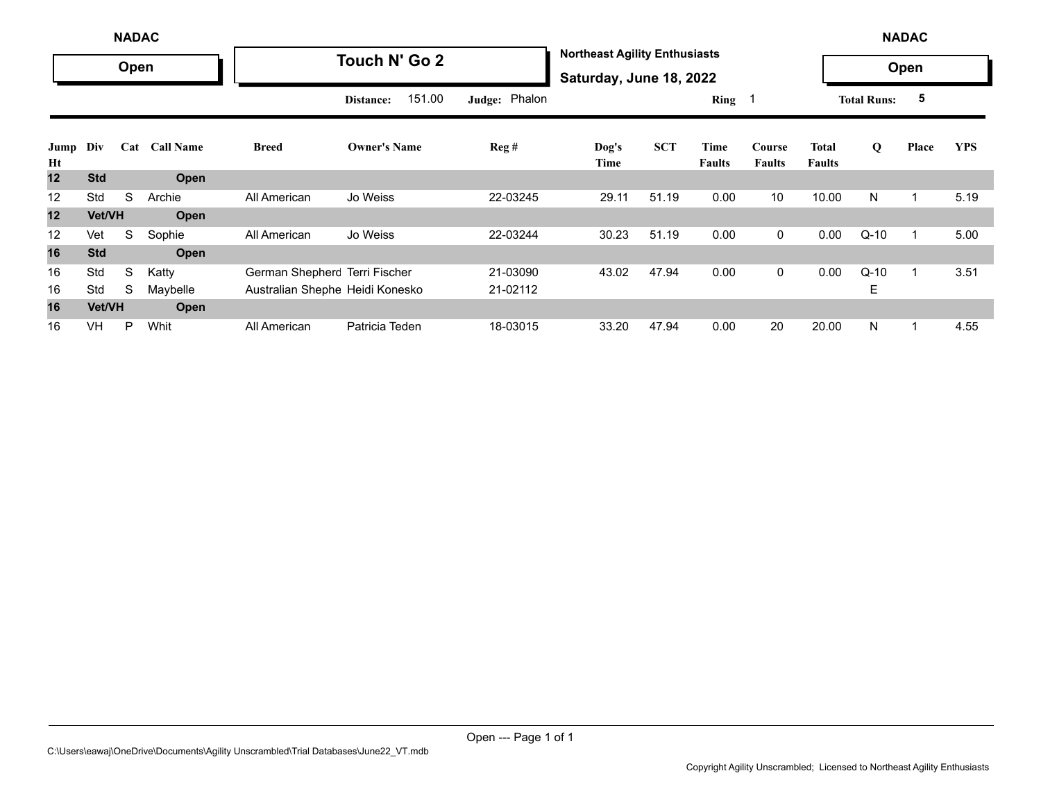|            | <b>NADAC</b> |      |                  |                                 |                     |               |                                                                 |            |                       |                         |                               |                    | <b>NADAC</b> |            |
|------------|--------------|------|------------------|---------------------------------|---------------------|---------------|-----------------------------------------------------------------|------------|-----------------------|-------------------------|-------------------------------|--------------------|--------------|------------|
|            |              | Open |                  |                                 | Touch N' Go 2       |               | <b>Northeast Agility Enthusiasts</b><br>Saturday, June 18, 2022 |            |                       |                         |                               |                    | Open         |            |
|            |              |      |                  |                                 | 151.00<br>Distance: | Judge: Phalon |                                                                 |            | Ring 1                |                         |                               | <b>Total Runs:</b> | 5            |            |
| Jump<br>Ht | Div          | Cat  | <b>Call Name</b> | <b>Breed</b>                    | <b>Owner's Name</b> | Reg#          | Dog's<br>Time                                                   | <b>SCT</b> | Time<br><b>Faults</b> | Course<br><b>Faults</b> | <b>Total</b><br><b>Faults</b> | Q                  | Place        | <b>YPS</b> |
| 12         | <b>Std</b>   |      | Open             |                                 |                     |               |                                                                 |            |                       |                         |                               |                    |              |            |
| 12         | Std          | S    | Archie           | All American                    | Jo Weiss            | 22-03245      | 29.11                                                           | 51.19      | 0.00                  | 10                      | 10.00                         | N                  | 1            | 5.19       |
| 12         | Vet/VH       |      | Open             |                                 |                     |               |                                                                 |            |                       |                         |                               |                    |              |            |
| 12         | Vet          | S    | Sophie           | All American                    | Jo Weiss            | 22-03244      | 30.23                                                           | 51.19      | 0.00                  | $\mathbf 0$             | 0.00                          | $Q-10$             | $\mathbf{1}$ | 5.00       |
| 16         | <b>Std</b>   |      | Open             |                                 |                     |               |                                                                 |            |                       |                         |                               |                    |              |            |
| 16         | Std          | S    | Katty            | German Shepherc Terri Fischer   |                     | 21-03090      | 43.02                                                           | 47.94      | 0.00                  | $\mathbf 0$             | 0.00                          | $Q-10$             | 1            | 3.51       |
| 16         | Std          | S    | Maybelle         | Australian Shephe Heidi Konesko |                     | 21-02112      |                                                                 |            |                       |                         |                               | Е                  |              |            |
| 16         | Vet/VH       |      | Open             |                                 |                     |               |                                                                 |            |                       |                         |                               |                    |              |            |
| 16         | VH           | P    | Whit             | All American                    | Patricia Teden      | 18-03015      | 33.20                                                           | 47.94      | 0.00                  | 20                      | 20.00                         | N                  | 1            | 4.55       |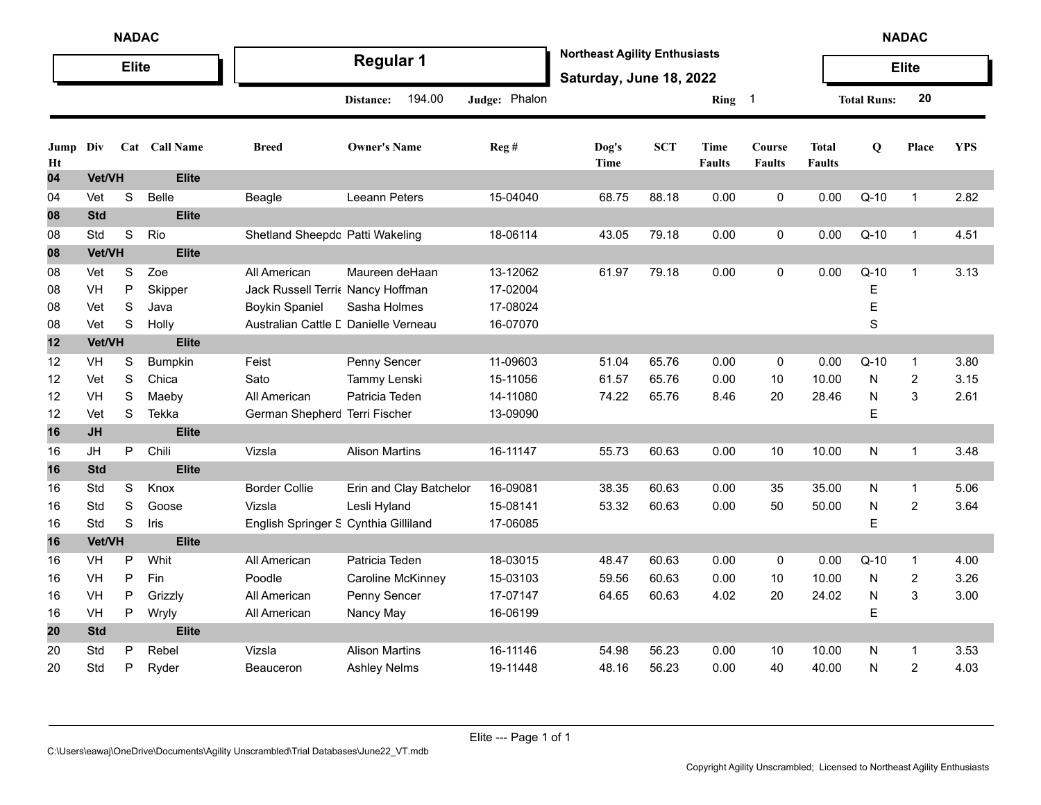|            | <b>NADAC</b><br><b>Elite</b> |             |                       |                                      |                          |               |                                                                 |            |                       |                         |                               |                    | <b>NADAC</b>   |            |
|------------|------------------------------|-------------|-----------------------|--------------------------------------|--------------------------|---------------|-----------------------------------------------------------------|------------|-----------------------|-------------------------|-------------------------------|--------------------|----------------|------------|
|            |                              |             |                       |                                      | <b>Regular 1</b>         |               | <b>Northeast Agility Enthusiasts</b><br>Saturday, June 18, 2022 |            |                       |                         |                               |                    | <b>Elite</b>   |            |
|            |                              |             |                       |                                      | 194.00<br>Distance:      | Judge: Phalon |                                                                 |            | Ring 1                |                         |                               | <b>Total Runs:</b> | 20             |            |
| Jump<br>Ht | Div                          |             | Cat Call Name         | <b>Breed</b>                         | <b>Owner's Name</b>      | Reg #         | Dog's<br>Time                                                   | <b>SCT</b> | Time<br><b>Faults</b> | Course<br><b>Faults</b> | <b>Total</b><br><b>Faults</b> | Q                  | Place          | <b>YPS</b> |
| 04         | Vet/VH                       |             | <b>Elite</b>          |                                      |                          |               |                                                                 |            |                       |                         |                               |                    |                |            |
| 04         | Vet                          | S           | <b>Belle</b>          | Beagle                               | <b>Leeann Peters</b>     | 15-04040      | 68.75                                                           | 88.18      | 0.00                  | 0                       | 0.00                          | $Q-10$             | $\mathbf{1}$   | 2.82       |
| 08         | <b>Std</b>                   |             | <b>Elite</b>          |                                      |                          |               |                                                                 |            |                       |                         |                               |                    |                |            |
| 08         | Std                          | $\mathbb S$ | Rio                   | Shetland Sheepdc Patti Wakeling      |                          | 18-06114      | 43.05                                                           | 79.18      | 0.00                  | 0                       | 0.00                          | $Q-10$             | $\mathbf{1}$   | 4.51       |
| 08         | Vet/VH                       |             | <b>Elite</b>          |                                      |                          |               |                                                                 |            |                       |                         |                               |                    |                |            |
| 08         | Vet                          | S           | Zoe                   | All American                         | Maureen deHaan           | 13-12062      | 61.97                                                           | 79.18      | 0.00                  | 0                       | 0.00                          | $Q-10$             | $\mathbf{1}$   | 3.13       |
| 08         | VH                           | P           | Skipper               | Jack Russell Terri Nancy Hoffman     |                          | 17-02004      |                                                                 |            |                       |                         |                               | Е                  |                |            |
| 08         | Vet                          | $\mathbf S$ | Java                  | <b>Boykin Spaniel</b>                | Sasha Holmes             | 17-08024      |                                                                 |            |                       |                         |                               | E                  |                |            |
| 08         | Vet                          | $\mathbf S$ | Holly                 | Australian Cattle L Danielle Verneau |                          | 16-07070      |                                                                 |            |                       |                         |                               | S                  |                |            |
| 12         | <b>Vet/VH</b>                |             | <b>Elite</b>          |                                      |                          |               |                                                                 |            |                       |                         |                               |                    |                |            |
| 12         | VH                           | S           | Bumpkin               | Feist                                | Penny Sencer             | 11-09603      | 51.04                                                           | 65.76      | 0.00                  | 0                       | 0.00                          | $Q-10$             | $\mathbf{1}$   | 3.80       |
| 12         | Vet                          | $\mathbf S$ | Chica                 | Sato                                 | Tammy Lenski             | 15-11056      | 61.57                                                           | 65.76      | 0.00                  | 10                      | 10.00                         | N                  | $\overline{2}$ | 3.15       |
| 12         | VH                           | $\mathbf S$ | Maeby                 | All American                         | Patricia Teden           | 14-11080      | 74.22                                                           | 65.76      | 8.46                  | 20                      | 28.46                         | ${\sf N}$          | $\mathbf{3}$   | 2.61       |
| 12         | Vet                          | S           | Tekka                 | German Shepherc Terri Fischer        |                          | 13-09090      |                                                                 |            |                       |                         |                               | E                  |                |            |
| 16         | <b>JH</b>                    |             | <b>Elite</b>          |                                      |                          |               |                                                                 |            |                       |                         |                               |                    |                |            |
| 16         | JH                           | P           | Chili                 | Vizsla                               | <b>Alison Martins</b>    | 16-11147      | 55.73                                                           | 60.63      | 0.00                  | 10                      | 10.00                         | N                  | $\mathbf{1}$   | 3.48       |
| 16         | <b>Std</b>                   |             | <b>Elite</b>          |                                      |                          |               |                                                                 |            |                       |                         |                               |                    |                |            |
| 16         | Std                          | $\mathbf S$ | Knox                  | <b>Border Collie</b>                 | Erin and Clay Batchelor  | 16-09081      | 38.35                                                           | 60.63      | 0.00                  | 35                      | 35.00                         | N                  | $\mathbf{1}$   | 5.06       |
| 16         | Std                          | S           | Goose                 | Vizsla                               | Lesli Hyland             | 15-08141      | 53.32                                                           | 60.63      | 0.00                  | 50                      | 50.00                         | ${\sf N}$          | $\overline{2}$ | 3.64       |
| 16         | Std                          | S           | Iris                  | English Springer S Cynthia Gilliland |                          | 17-06085      |                                                                 |            |                       |                         |                               | E                  |                |            |
| 16         | Vet/VH                       |             | <b>Elite</b>          |                                      |                          |               |                                                                 |            |                       |                         |                               |                    |                |            |
| 16         | VH                           | P           | Whit                  | All American                         | Patricia Teden           | 18-03015      | 48.47                                                           | 60.63      | 0.00                  | 0                       | 0.00                          | $Q-10$             | $\mathbf{1}$   | 4.00       |
| 16         | VH                           | P           | Fin                   | Poodle                               | <b>Caroline McKinney</b> | 15-03103      | 59.56                                                           | 60.63      | 0.00                  | 10                      | 10.00                         | N                  | $\overline{c}$ | 3.26       |
| 16         | VH                           | Ρ           | Grizzly               | All American                         | Penny Sencer             | 17-07147      | 64.65                                                           | 60.63      | 4.02                  | 20                      | 24.02                         | N                  | $\sqrt{3}$     | 3.00       |
| 16         | VH<br><b>Std</b>             | Ρ           | Wryly<br><b>Elite</b> | All American                         | Nancy May                | 16-06199      |                                                                 |            |                       |                         |                               | E                  |                |            |
| 20         |                              |             |                       |                                      |                          |               |                                                                 |            |                       |                         |                               |                    |                |            |
| 20         | Std<br>Std                   | P           | Rebel                 | Vizsla                               | <b>Alison Martins</b>    | 16-11146      | 54.98                                                           | 56.23      | 0.00                  | 10                      | 10.00                         | N                  | $\mathbf{1}$   | 3.53       |
| 20         |                              | Ρ           | Ryder                 | Beauceron                            | <b>Ashley Nelms</b>      | 19-11448      | 48.16                                                           | 56.23      | 0.00                  | 40                      | 40.00                         | N                  | $\overline{2}$ | 4.03       |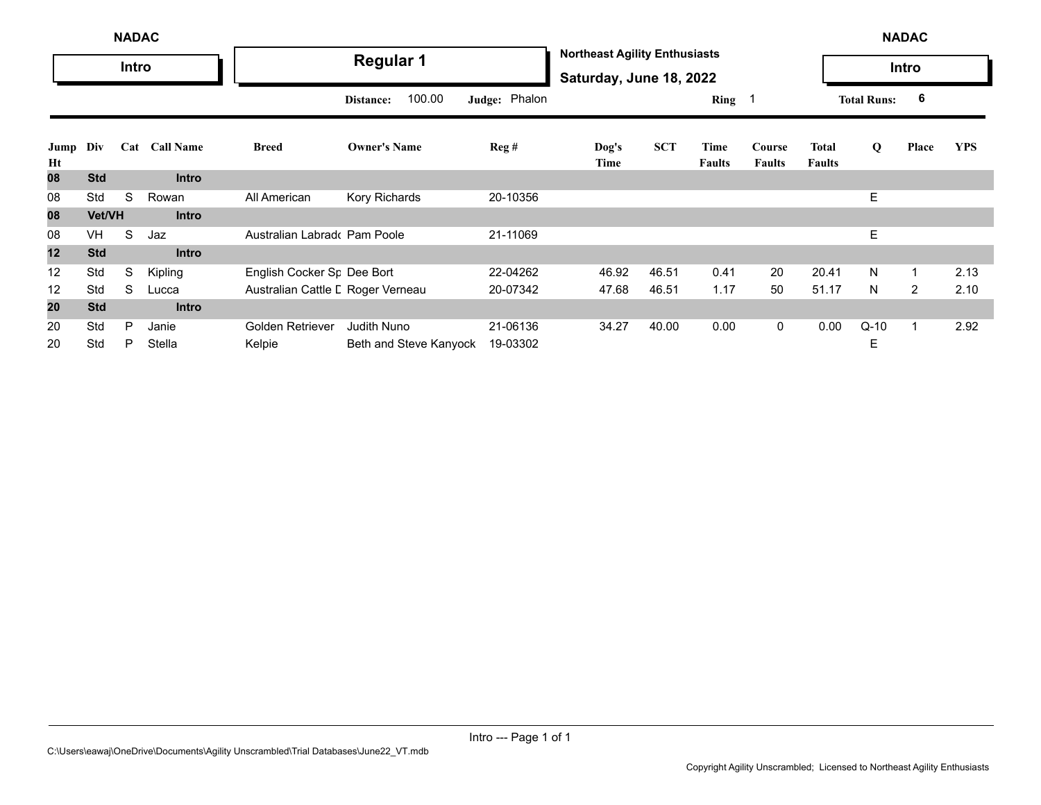|            | <b>NADAC</b> |       |               |                                   |                        |               |                                                                 |            |                       |                         |                        |                    | <b>NADAC</b>   |            |
|------------|--------------|-------|---------------|-----------------------------------|------------------------|---------------|-----------------------------------------------------------------|------------|-----------------------|-------------------------|------------------------|--------------------|----------------|------------|
|            |              | Intro |               |                                   | <b>Regular 1</b>       |               | <b>Northeast Agility Enthusiasts</b><br>Saturday, June 18, 2022 |            |                       |                         |                        |                    | Intro          |            |
|            |              |       |               |                                   | 100.00<br>Distance:    | Judge: Phalon |                                                                 |            | Ring 1                |                         |                        | <b>Total Runs:</b> | 6              |            |
| Jump<br>Ht | Div          |       | Cat Call Name | <b>Breed</b>                      | <b>Owner's Name</b>    | Reg#          | Dog's<br>Time                                                   | <b>SCT</b> | Time<br><b>Faults</b> | Course<br><b>Faults</b> | Total<br><b>Faults</b> | Q                  | Place          | <b>YPS</b> |
| 80         | <b>Std</b>   |       | <b>Intro</b>  |                                   |                        |               |                                                                 |            |                       |                         |                        |                    |                |            |
| 08         | Std          | S     | Rowan         | All American                      | Kory Richards          | 20-10356      |                                                                 |            |                       |                         |                        | E                  |                |            |
| 08         | Vet/VH       |       | <b>Intro</b>  |                                   |                        |               |                                                                 |            |                       |                         |                        |                    |                |            |
| 08         | <b>VH</b>    | S     | Jaz           | Australian Labrado Pam Poole      |                        | 21-11069      |                                                                 |            |                       |                         |                        | E                  |                |            |
| 12         | <b>Std</b>   |       | <b>Intro</b>  |                                   |                        |               |                                                                 |            |                       |                         |                        |                    |                |            |
| 12         | Std          | S     | Kipling       | English Cocker Sr Dee Bort        |                        | 22-04262      | 46.92                                                           | 46.51      | 0.41                  | 20                      | 20.41                  | N                  |                | 2.13       |
| 12         | Std          | S     | Lucca         | Australian Cattle L Roger Verneau |                        | 20-07342      | 47.68                                                           | 46.51      | 1.17                  | 50                      | 51.17                  | N                  | $\overline{2}$ | 2.10       |
| 20         | <b>Std</b>   |       | <b>Intro</b>  |                                   |                        |               |                                                                 |            |                       |                         |                        |                    |                |            |
| 20         | Std          | P     | Janie         | Golden Retriever                  | <b>Judith Nuno</b>     | 21-06136      | 34.27                                                           | 40.00      | 0.00                  | $\mathbf 0$             | 0.00                   | $Q-10$             |                | 2.92       |
| 20         | Std          | P     | Stella        | Kelpie                            | Beth and Steve Kanyock | 19-03302      |                                                                 |            |                       |                         |                        | E                  |                |            |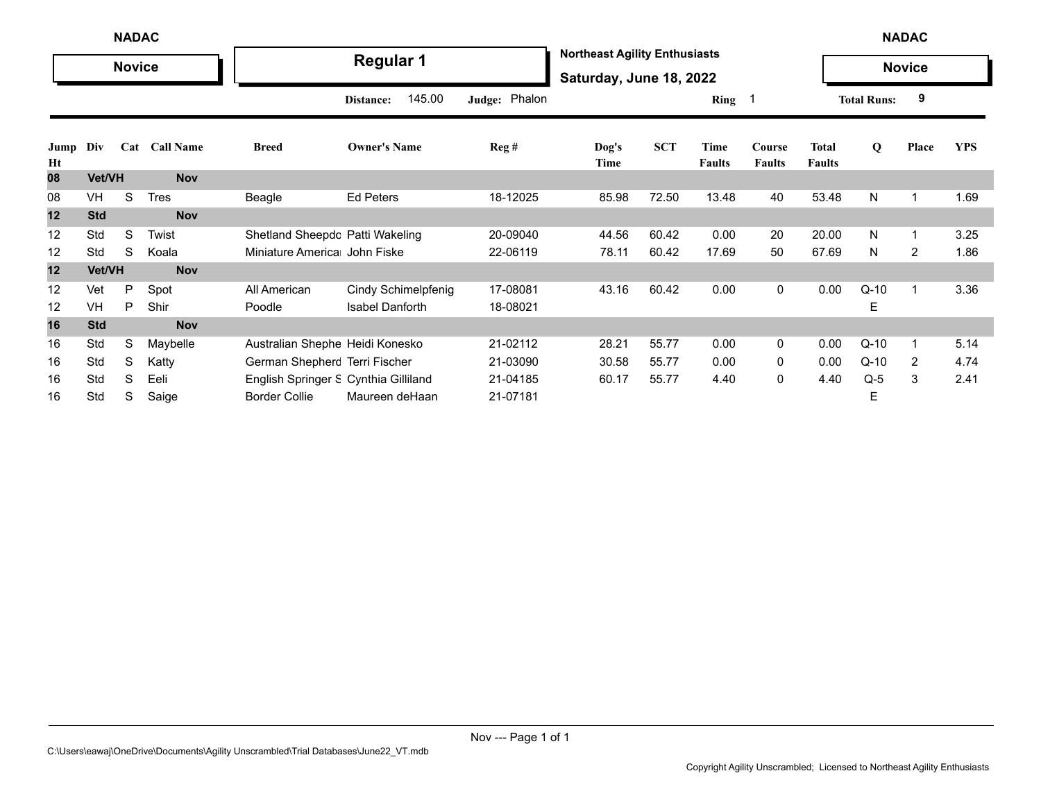|            | <b>NADAC</b><br><b>Novice</b> |     |                  |                                      |                        |                  |                                                                 |            |                       |                         |                               |                    | <b>NADAC</b>            |            |
|------------|-------------------------------|-----|------------------|--------------------------------------|------------------------|------------------|-----------------------------------------------------------------|------------|-----------------------|-------------------------|-------------------------------|--------------------|-------------------------|------------|
|            |                               |     |                  |                                      | <b>Regular 1</b>       |                  | <b>Northeast Agility Enthusiasts</b><br>Saturday, June 18, 2022 |            |                       |                         |                               |                    | <b>Novice</b>           |            |
|            |                               |     |                  |                                      | 145.00<br>Distance:    | Judge: Phalon    |                                                                 |            | Ring                  |                         |                               | <b>Total Runs:</b> | 9                       |            |
| Jump<br>Ht | Div                           | Cat | <b>Call Name</b> | <b>Breed</b>                         | <b>Owner's Name</b>    | $\text{Reg } \#$ | Dog's<br>Time                                                   | <b>SCT</b> | Time<br><b>Faults</b> | Course<br><b>Faults</b> | <b>Total</b><br><b>Faults</b> | Q                  | Place                   | <b>YPS</b> |
| 08         | Vet/VH                        |     | <b>Nov</b>       |                                      |                        |                  |                                                                 |            |                       |                         |                               |                    |                         |            |
| 08         | <b>VH</b>                     | S   | Tres             | Beagle                               | <b>Ed Peters</b>       | 18-12025         | 85.98                                                           | 72.50      | 13.48                 | 40                      | 53.48                         | N                  | 1                       | 1.69       |
| 12         | <b>Std</b>                    |     | <b>Nov</b>       |                                      |                        |                  |                                                                 |            |                       |                         |                               |                    |                         |            |
| 12         | Std                           | S   | Twist            | Shetland Sheepdc Patti Wakeling      |                        | 20-09040         | 44.56                                                           | 60.42      | 0.00                  | 20                      | 20.00                         | N                  | 1                       | 3.25       |
| 12         | Std                           | S   | Koala            | Miniature America John Fiske         |                        | 22-06119         | 78.11                                                           | 60.42      | 17.69                 | 50                      | 67.69                         | N                  | $\overline{2}$          | 1.86       |
| 12         | Vet/VH                        |     | <b>Nov</b>       |                                      |                        |                  |                                                                 |            |                       |                         |                               |                    |                         |            |
| 12         | Vet                           | P   | Spot             | All American                         | Cindy Schimelpfenig    | 17-08081         | 43.16                                                           | 60.42      | 0.00                  | $\mathbf 0$             | 0.00                          | $Q-10$             | $\overline{\mathbf{1}}$ | 3.36       |
| 12         | VH                            | P   | Shir             | Poodle                               | <b>Isabel Danforth</b> | 18-08021         |                                                                 |            |                       |                         |                               | Е                  |                         |            |
| 16         | <b>Std</b>                    |     | <b>Nov</b>       |                                      |                        |                  |                                                                 |            |                       |                         |                               |                    |                         |            |
| 16         | Std                           | S   | Maybelle         | Australian Shephe Heidi Konesko      |                        | 21-02112         | 28.21                                                           | 55.77      | 0.00                  | $\mathbf{0}$            | 0.00                          | $Q-10$             | 1                       | 5.14       |
| 16         | Std                           | S   | Katty            | German Shepherc Terri Fischer        |                        | 21-03090         | 30.58                                                           | 55.77      | 0.00                  | 0                       | 0.00                          | $Q-10$             | 2                       | 4.74       |
| 16         | Std                           | S   | Eeli             | English Springer S Cynthia Gilliland |                        | 21-04185         | 60.17                                                           | 55.77      | 4.40                  | 0                       | 4.40                          | $Q-5$              | 3                       | 2.41       |
| 16         | Std                           | S   | Saige            | <b>Border Collie</b>                 | Maureen deHaan         | 21-07181         |                                                                 |            |                       |                         |                               | E                  |                         |            |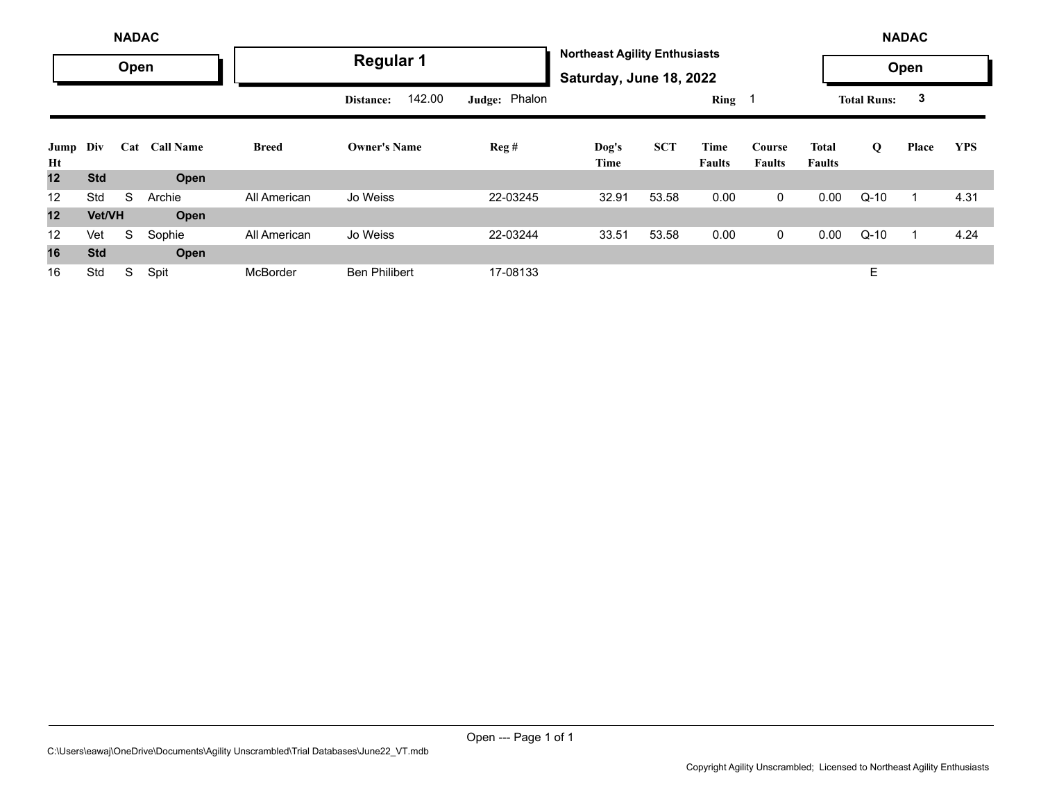|            |            | <b>NADAC</b> |                  |              |                      |               |                                                                 |            |                       |                         |                        |                    | <b>NADAC</b> |            |
|------------|------------|--------------|------------------|--------------|----------------------|---------------|-----------------------------------------------------------------|------------|-----------------------|-------------------------|------------------------|--------------------|--------------|------------|
|            |            | Open         |                  |              | <b>Regular 1</b>     |               | <b>Northeast Agility Enthusiasts</b><br>Saturday, June 18, 2022 |            |                       |                         |                        |                    | Open         |            |
|            |            |              |                  |              | 142.00<br>Distance:  | Judge: Phalon |                                                                 |            | Ring 1                |                         |                        | <b>Total Runs:</b> | 3            |            |
| Jump<br>Ht | Div        | Cat          | <b>Call Name</b> | <b>Breed</b> | <b>Owner's Name</b>  | Reg#          | Dog's<br>Time                                                   | <b>SCT</b> | Time<br><b>Faults</b> | Course<br><b>Faults</b> | Total<br><b>Faults</b> | Q                  | Place        | <b>YPS</b> |
| 12         | <b>Std</b> |              | Open             |              |                      |               |                                                                 |            |                       |                         |                        |                    |              |            |
| 12         | Std        | S            | Archie           | All American | Jo Weiss             | 22-03245      | 32.91                                                           | 53.58      | 0.00                  | 0                       | 0.00                   | $Q-10$             |              | 4.31       |
| 12         | Vet/VH     |              | Open             |              |                      |               |                                                                 |            |                       |                         |                        |                    |              |            |
| 12         | Vet        | S            | Sophie           | All American | Jo Weiss             | 22-03244      | 33.51                                                           | 53.58      | 0.00                  | 0                       | 0.00                   | $Q-10$             |              | 4.24       |
| 16         | <b>Std</b> |              | Open             |              |                      |               |                                                                 |            |                       |                         |                        |                    |              |            |
| 16         | Std        | S            | Spit             | McBorder     | <b>Ben Philibert</b> | 17-08133      |                                                                 |            |                       |                         |                        | E                  |              |            |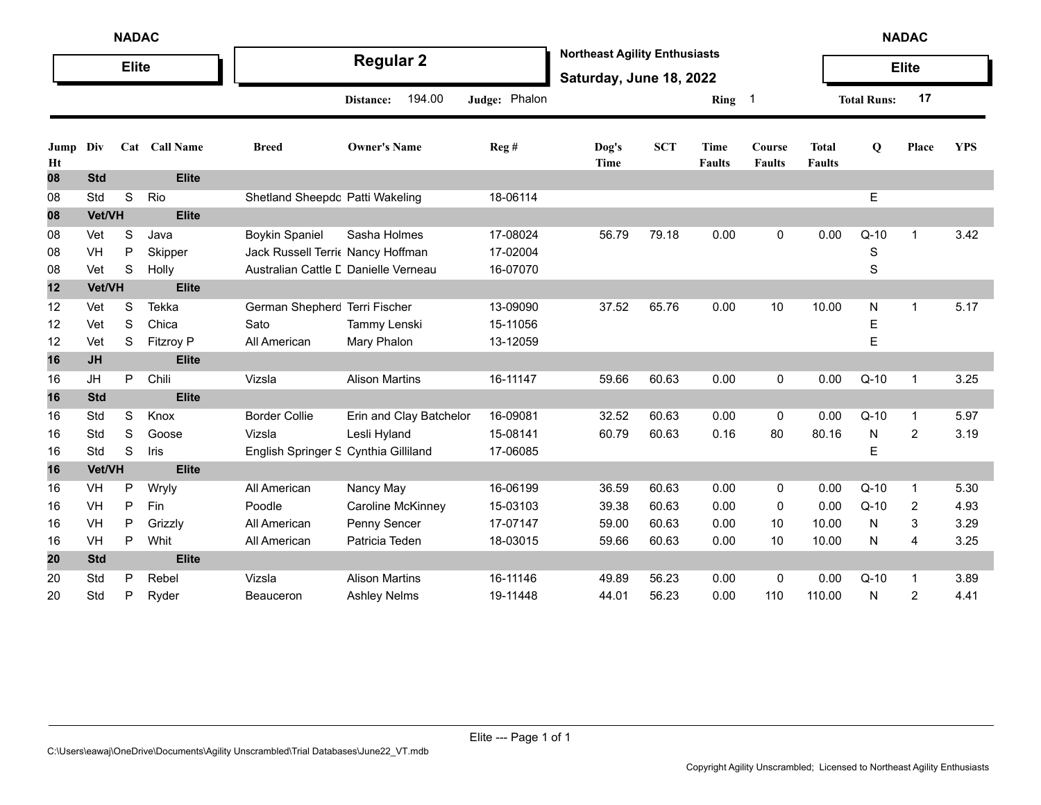|            |            | <b>NADAC</b> |                  |                                      |                         |               |                                                                 |            |                       |                         |                               |                    | <b>NADAC</b>   |            |
|------------|------------|--------------|------------------|--------------------------------------|-------------------------|---------------|-----------------------------------------------------------------|------------|-----------------------|-------------------------|-------------------------------|--------------------|----------------|------------|
|            |            | <b>Elite</b> |                  |                                      | <b>Regular 2</b>        |               | <b>Northeast Agility Enthusiasts</b><br>Saturday, June 18, 2022 |            |                       |                         |                               |                    | <b>Elite</b>   |            |
|            |            |              |                  |                                      | 194.00<br>Distance:     | Judge: Phalon |                                                                 |            | Ring 1                |                         |                               | <b>Total Runs:</b> | 17             |            |
| Jump<br>Ht | Div        |              | Cat Call Name    | <b>Breed</b>                         | <b>Owner's Name</b>     | Reg#          | Dog's<br>Time                                                   | <b>SCT</b> | Time<br><b>Faults</b> | Course<br><b>Faults</b> | <b>Total</b><br><b>Faults</b> | Q                  | Place          | <b>YPS</b> |
| 08         | <b>Std</b> |              | <b>Elite</b>     |                                      |                         |               |                                                                 |            |                       |                         |                               |                    |                |            |
| 08         | Std        | $\mathbf S$  | Rio              | Shetland Sheepdc Patti Wakeling      |                         | 18-06114      |                                                                 |            |                       |                         |                               | E                  |                |            |
| 08         | Vet/VH     |              | <b>Elite</b>     |                                      |                         |               |                                                                 |            |                       |                         |                               |                    |                |            |
| 08         | Vet        | S            | Java             | <b>Boykin Spaniel</b>                | Sasha Holmes            | 17-08024      | 56.79                                                           | 79.18      | 0.00                  | 0                       | 0.00                          | $Q-10$             | $\mathbf{1}$   | 3.42       |
| 08         | VH         | $\mathsf{P}$ | Skipper          | Jack Russell Terri Nancy Hoffman     |                         | 17-02004      |                                                                 |            |                       |                         |                               | $\mathbf S$        |                |            |
| 08         | Vet        | $\mathbb S$  | Holly            | Australian Cattle L Danielle Verneau |                         | 16-07070      |                                                                 |            |                       |                         |                               | S                  |                |            |
| 12         | Vet/VH     |              | <b>Elite</b>     |                                      |                         |               |                                                                 |            |                       |                         |                               |                    |                |            |
| 12         | Vet        | S            | Tekka            | German Shepherc Terri Fischer        |                         | 13-09090      | 37.52                                                           | 65.76      | 0.00                  | 10                      | 10.00                         | N                  | $\mathbf{1}$   | 5.17       |
| 12         | Vet        | S            | Chica            | Sato                                 | Tammy Lenski            | 15-11056      |                                                                 |            |                       |                         |                               | Е                  |                |            |
| 12         | Vet        | S            | <b>Fitzroy P</b> | All American                         | Mary Phalon             | 13-12059      |                                                                 |            |                       |                         |                               | E                  |                |            |
| 16         | <b>JH</b>  |              | <b>Elite</b>     |                                      |                         |               |                                                                 |            |                       |                         |                               |                    |                |            |
| 16         | JH         | P            | Chili            | Vizsla                               | <b>Alison Martins</b>   | 16-11147      | 59.66                                                           | 60.63      | 0.00                  | 0                       | 0.00                          | $Q-10$             | $\mathbf 1$    | 3.25       |
| 16         | <b>Std</b> |              | <b>Elite</b>     |                                      |                         |               |                                                                 |            |                       |                         |                               |                    |                |            |
| 16         | Std        | S            | Knox             | <b>Border Collie</b>                 | Erin and Clay Batchelor | 16-09081      | 32.52                                                           | 60.63      | 0.00                  | 0                       | 0.00                          | $Q-10$             | $\mathbf{1}$   | 5.97       |
| 16         | Std        | S            | Goose            | Vizsla                               | Lesli Hyland            | 15-08141      | 60.79                                                           | 60.63      | 0.16                  | 80                      | 80.16                         | N                  | 2              | 3.19       |
| 16         | Std        | S            | Iris             | English Springer S Cynthia Gilliland |                         | 17-06085      |                                                                 |            |                       |                         |                               | E.                 |                |            |
| 16         | Vet/VH     |              | <b>Elite</b>     |                                      |                         |               |                                                                 |            |                       |                         |                               |                    |                |            |
| 16         | VH         | P            | Wryly            | All American                         | Nancy May               | 16-06199      | 36.59                                                           | 60.63      | 0.00                  | 0                       | 0.00                          | $Q-10$             | 1              | 5.30       |
| 16         | VH         | P            | Fin              | Poodle                               | Caroline McKinney       | 15-03103      | 39.38                                                           | 60.63      | 0.00                  | 0                       | 0.00                          | $Q-10$             | 2              | 4.93       |
| 16         | VH         | $\mathsf{P}$ | Grizzly          | All American                         | Penny Sencer            | 17-07147      | 59.00                                                           | 60.63      | 0.00                  | 10                      | 10.00                         | N                  | 3              | 3.29       |
| 16         | VH         | P            | Whit             | All American                         | Patricia Teden          | 18-03015      | 59.66                                                           | 60.63      | 0.00                  | 10                      | 10.00                         | N                  | 4              | 3.25       |
| 20         | <b>Std</b> |              | <b>Elite</b>     |                                      |                         |               |                                                                 |            |                       |                         |                               |                    |                |            |
| 20         | Std        | P            | Rebel            | Vizsla                               | <b>Alison Martins</b>   | 16-11146      | 49.89                                                           | 56.23      | 0.00                  | 0                       | 0.00                          | $Q-10$             | $\mathbf{1}$   | 3.89       |
| 20         | Std        | P            | Ryder            | Beauceron                            | <b>Ashley Nelms</b>     | 19-11448      | 44.01                                                           | 56.23      | 0.00                  | 110                     | 110.00                        | N                  | $\overline{c}$ | 4.41       |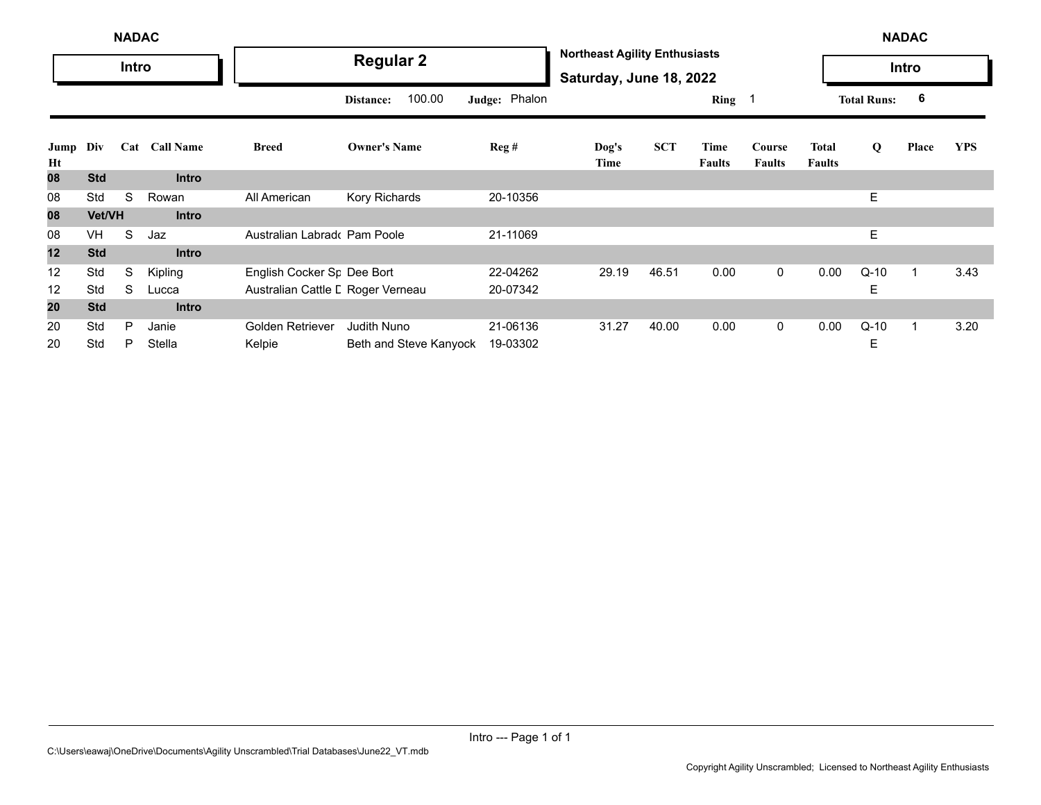|            |            | <b>NADAC</b> |               |                                   |                        |               |                                                                 |            |                       |                         |                               |                    | <b>NADAC</b> |            |
|------------|------------|--------------|---------------|-----------------------------------|------------------------|---------------|-----------------------------------------------------------------|------------|-----------------------|-------------------------|-------------------------------|--------------------|--------------|------------|
|            |            | Intro        |               |                                   | <b>Regular 2</b>       |               | <b>Northeast Agility Enthusiasts</b><br>Saturday, June 18, 2022 |            |                       |                         |                               |                    | Intro        |            |
|            |            |              |               |                                   | 100.00<br>Distance:    | Judge: Phalon |                                                                 |            | Ring $1$              |                         |                               | <b>Total Runs:</b> | 6            |            |
| Jump<br>Ht | Div        |              | Cat Call Name | <b>Breed</b>                      | <b>Owner's Name</b>    | Reg#          | Dog's<br>Time                                                   | <b>SCT</b> | Time<br><b>Faults</b> | Course<br><b>Faults</b> | <b>Total</b><br><b>Faults</b> | Q                  | Place        | <b>YPS</b> |
| 80         | <b>Std</b> |              | <b>Intro</b>  |                                   |                        |               |                                                                 |            |                       |                         |                               |                    |              |            |
| 08         | Std        | S            | Rowan         | All American                      | Kory Richards          | 20-10356      |                                                                 |            |                       |                         |                               | E.                 |              |            |
| 08         | Vet/VH     |              | <b>Intro</b>  |                                   |                        |               |                                                                 |            |                       |                         |                               |                    |              |            |
| 08         | VH         | S            | Jaz           | Australian Labrado Pam Poole      |                        | 21-11069      |                                                                 |            |                       |                         |                               | E.                 |              |            |
| 12         | <b>Std</b> |              | <b>Intro</b>  |                                   |                        |               |                                                                 |            |                       |                         |                               |                    |              |            |
| 12         | Std        | S            | Kipling       | English Cocker Sr Dee Bort        |                        | 22-04262      | 29.19                                                           | 46.51      | 0.00                  | $\mathbf{0}$            | 0.00                          | $Q-10$             |              | 3.43       |
| 12         | Std        | S            | Lucca         | Australian Cattle L Roger Verneau |                        | 20-07342      |                                                                 |            |                       |                         |                               | Ε                  |              |            |
| 20         | <b>Std</b> |              | <b>Intro</b>  |                                   |                        |               |                                                                 |            |                       |                         |                               |                    |              |            |
| 20         | Std        | P            | Janie         | Golden Retriever                  | Judith Nuno            | 21-06136      | 31.27                                                           | 40.00      | 0.00                  | $\mathbf 0$             | 0.00                          | $Q-10$             | 1            | 3.20       |
| 20         | Std        | P            | Stella        | Kelpie                            | Beth and Steve Kanyock | 19-03302      |                                                                 |            |                       |                         |                               | Е                  |              |            |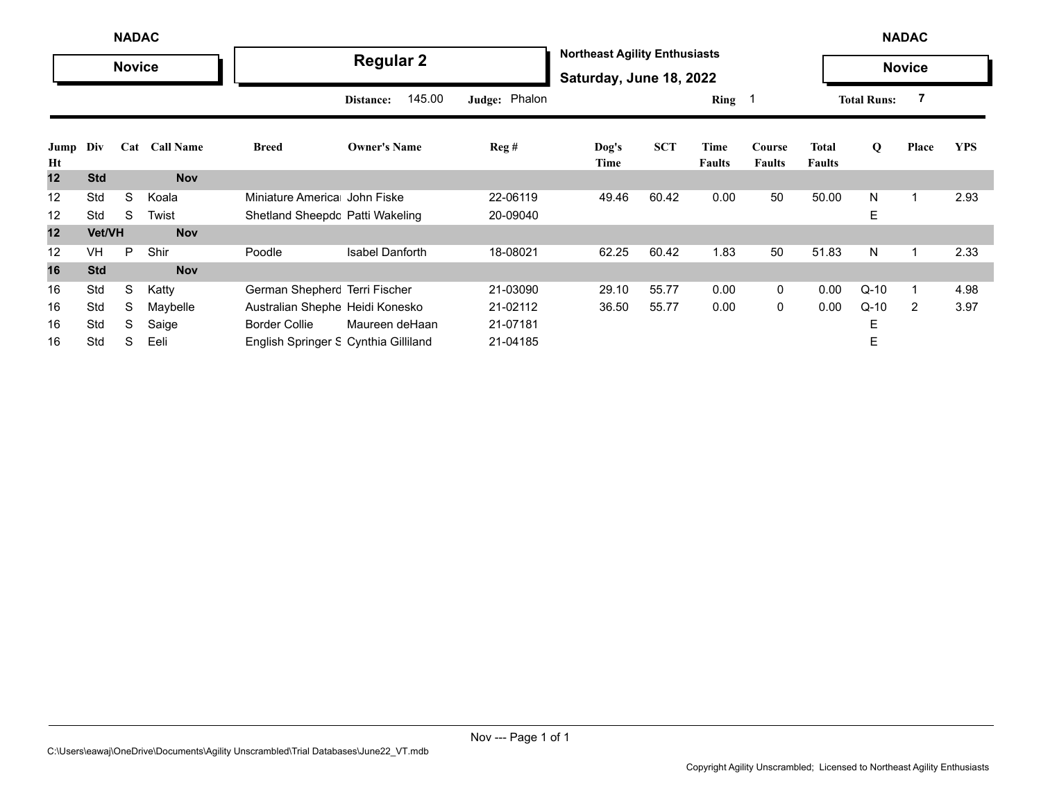|            | <b>NADAC</b>  |   |               |                                      |                        |               |                                                                 |            |                       |                         | <b>NADAC</b>           |                    |                |            |
|------------|---------------|---|---------------|--------------------------------------|------------------------|---------------|-----------------------------------------------------------------|------------|-----------------------|-------------------------|------------------------|--------------------|----------------|------------|
|            | <b>Novice</b> |   |               |                                      | <b>Regular 2</b>       |               | <b>Northeast Agility Enthusiasts</b><br>Saturday, June 18, 2022 |            |                       |                         |                        |                    | <b>Novice</b>  |            |
|            |               |   |               |                                      | 145.00<br>Distance:    | Judge: Phalon |                                                                 |            | $Ring \t1$            |                         |                        | <b>Total Runs:</b> |                |            |
| Jump<br>Ht | Div           |   | Cat Call Name | <b>Breed</b>                         | <b>Owner's Name</b>    | Reg#          | $\log's$<br>Time                                                | <b>SCT</b> | Time<br><b>Faults</b> | Course<br><b>Faults</b> | Total<br><b>Faults</b> | Q                  | Place          | <b>YPS</b> |
| 12         | <b>Std</b>    |   | <b>Nov</b>    |                                      |                        |               |                                                                 |            |                       |                         |                        |                    |                |            |
| 12         | Std           | S | Koala         | Miniature America John Fiske         |                        | 22-06119      | 49.46                                                           | 60.42      | 0.00                  | 50                      | 50.00                  | N                  |                | 2.93       |
| 12         | Std           | S | Twist         | Shetland Sheepdc Patti Wakeling      |                        | 20-09040      |                                                                 |            |                       |                         |                        | E                  |                |            |
| 12         | Vet/VH        |   | <b>Nov</b>    |                                      |                        |               |                                                                 |            |                       |                         |                        |                    |                |            |
| 12         | <b>VH</b>     | P | Shir          | Poodle                               | <b>Isabel Danforth</b> | 18-08021      | 62.25                                                           | 60.42      | 1.83                  | 50                      | 51.83                  | N                  | 1              | 2.33       |
| 16         | <b>Std</b>    |   | <b>Nov</b>    |                                      |                        |               |                                                                 |            |                       |                         |                        |                    |                |            |
| 16         | Std           | S | Katty         | German Shepherc Terri Fischer        |                        | 21-03090      | 29.10                                                           | 55.77      | 0.00                  | 0                       | 0.00                   | $Q-10$             |                | 4.98       |
| 16         | Std           | S | Maybelle      | Australian Shephe Heidi Konesko      |                        | 21-02112      | 36.50                                                           | 55.77      | 0.00                  | 0                       | 0.00                   | $Q-10$             | $\overline{2}$ | 3.97       |
| 16         | Std           | S | Saige         | <b>Border Collie</b>                 | Maureen deHaan         | 21-07181      |                                                                 |            |                       |                         |                        | Е                  |                |            |
| 16         | Std           | S | Eeli          | English Springer S Cynthia Gilliland |                        | 21-04185      |                                                                 |            |                       |                         |                        | E                  |                |            |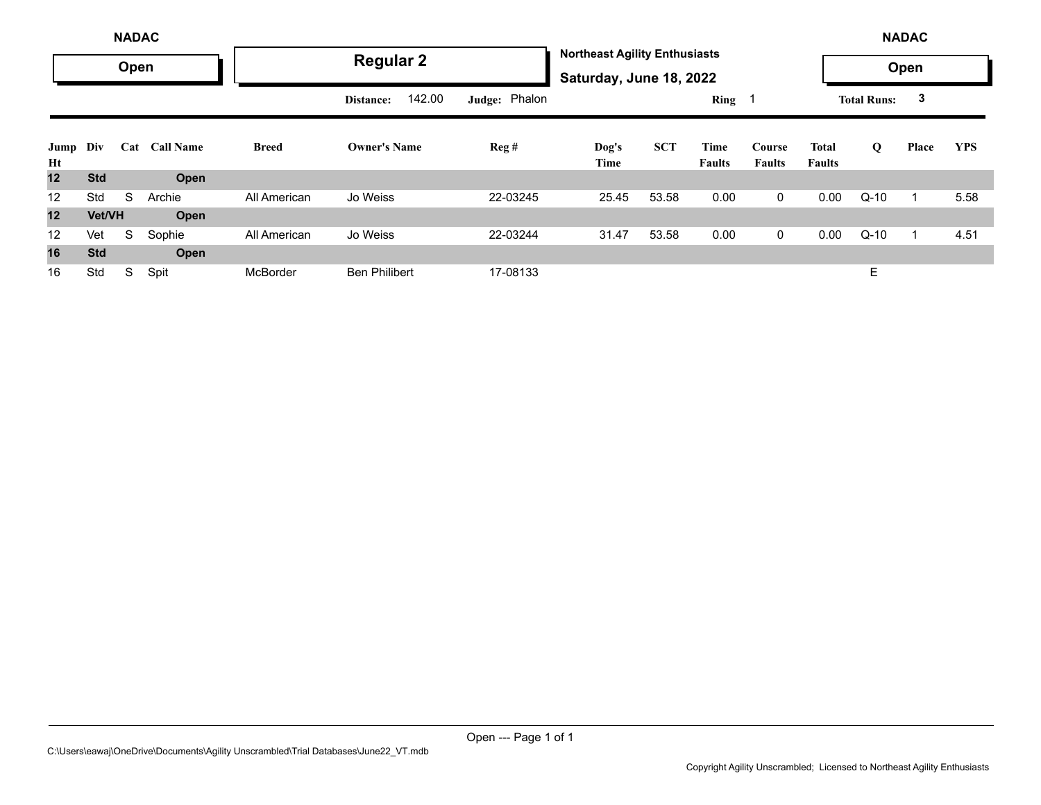|            |            | <b>NADAC</b> |                  |              |                      |               |                                                                 |            |                       |                         |                        |                    | <b>NADAC</b> |            |
|------------|------------|--------------|------------------|--------------|----------------------|---------------|-----------------------------------------------------------------|------------|-----------------------|-------------------------|------------------------|--------------------|--------------|------------|
|            |            | Open         |                  |              | <b>Regular 2</b>     |               | <b>Northeast Agility Enthusiasts</b><br>Saturday, June 18, 2022 |            |                       |                         |                        |                    | Open         |            |
|            |            |              |                  |              | 142.00<br>Distance:  | Judge: Phalon |                                                                 |            | Ring 1                |                         |                        | <b>Total Runs:</b> | 3            |            |
| Jump<br>Ht | Div        | Cat          | <b>Call Name</b> | <b>Breed</b> | <b>Owner's Name</b>  | Reg#          | Dog's<br>Time                                                   | <b>SCT</b> | Time<br><b>Faults</b> | Course<br><b>Faults</b> | Total<br><b>Faults</b> | Q                  | Place        | <b>YPS</b> |
| 12         | <b>Std</b> |              | Open             |              |                      |               |                                                                 |            |                       |                         |                        |                    |              |            |
| 12         | Std        | S            | Archie           | All American | Jo Weiss             | 22-03245      | 25.45                                                           | 53.58      | 0.00                  | 0                       | 0.00                   | $Q-10$             |              | 5.58       |
| 12         | Vet/VH     |              | Open             |              |                      |               |                                                                 |            |                       |                         |                        |                    |              |            |
| 12         | Vet        | S            | Sophie           | All American | Jo Weiss             | 22-03244      | 31.47                                                           | 53.58      | 0.00                  | 0                       | 0.00                   | $Q-10$             |              | 4.51       |
| 16         | <b>Std</b> |              | Open             |              |                      |               |                                                                 |            |                       |                         |                        |                    |              |            |
| 16         | Std        | S            | Spit             | McBorder     | <b>Ben Philibert</b> | 17-08133      |                                                                 |            |                       |                         |                        | E                  |              |            |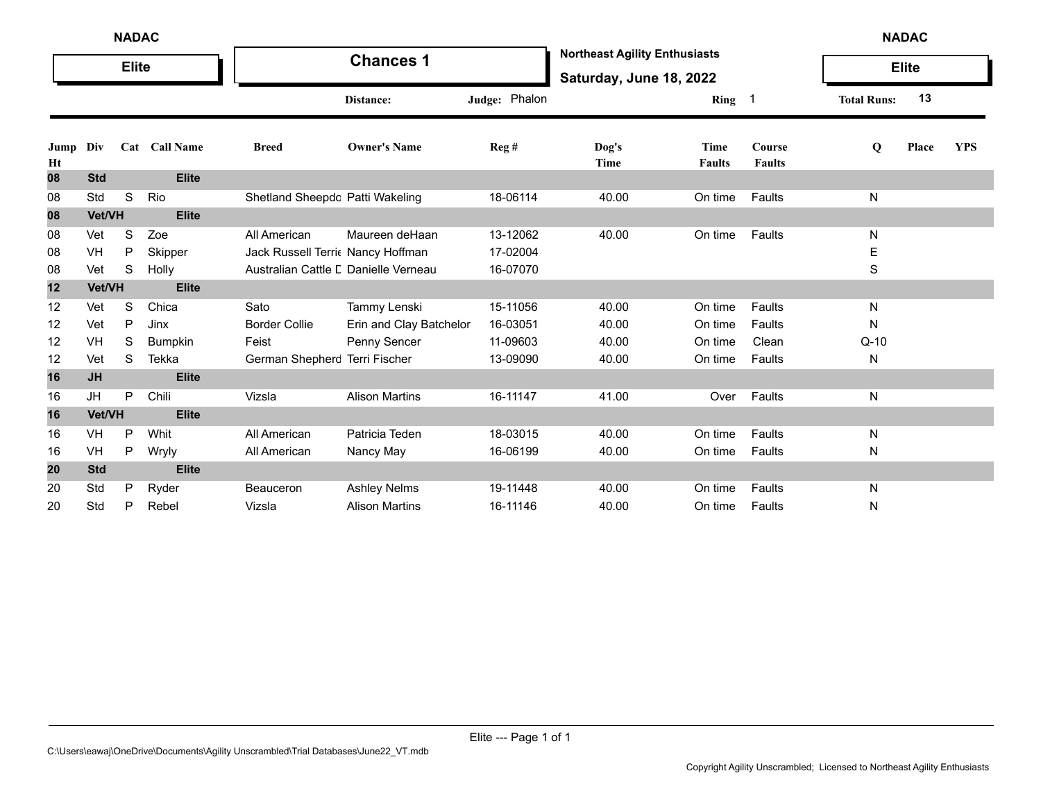|            |            | <b>NADAC</b> |                |                                      |                         |               |                                                                 |                              |                            |                    | <b>NADAC</b> |            |
|------------|------------|--------------|----------------|--------------------------------------|-------------------------|---------------|-----------------------------------------------------------------|------------------------------|----------------------------|--------------------|--------------|------------|
|            |            | <b>Elite</b> |                |                                      | <b>Chances 1</b>        |               | <b>Northeast Agility Enthusiasts</b><br>Saturday, June 18, 2022 |                              |                            |                    | <b>Elite</b> |            |
|            |            |              |                |                                      | Distance:               | Judge: Phalon |                                                                 | Ring                         | $\overline{\phantom{0}}$ 1 | <b>Total Runs:</b> | 13           |            |
| Jump<br>Ht | Div        |              | Cat Call Name  | <b>Breed</b>                         | <b>Owner's Name</b>     | Reg #         | Dog's<br>Time                                                   | <b>Time</b><br><b>Faults</b> | Course<br><b>Faults</b>    | Q                  | Place        | <b>YPS</b> |
| 08         | <b>Std</b> |              | <b>Elite</b>   |                                      |                         |               |                                                                 |                              |                            |                    |              |            |
| 08         | Std        | S            | Rio            | Shetland Sheepdc Patti Wakeling      |                         | 18-06114      | 40.00                                                           | On time                      | Faults                     | N                  |              |            |
| 08         | Vet/VH     |              | <b>Elite</b>   |                                      |                         |               |                                                                 |                              |                            |                    |              |            |
| 08         | Vet        | S            | Zoe            | All American                         | Maureen deHaan          | 13-12062      | 40.00                                                           | On time                      | Faults                     | N                  |              |            |
| 08         | VH         | P            | Skipper        | Jack Russell Terric Nancy Hoffman    |                         | 17-02004      |                                                                 |                              |                            | E                  |              |            |
| 08         | Vet        | S            | Holly          | Australian Cattle L Danielle Verneau |                         | 16-07070      |                                                                 |                              |                            | S                  |              |            |
| 12         | Vet/VH     |              | <b>Elite</b>   |                                      |                         |               |                                                                 |                              |                            |                    |              |            |
| 12         | Vet        | S            | Chica          | Sato                                 | Tammy Lenski            | 15-11056      | 40.00                                                           | On time                      | Faults                     | N                  |              |            |
| 12         | Vet        | P            | Jinx           | <b>Border Collie</b>                 | Erin and Clay Batchelor | 16-03051      | 40.00                                                           | On time                      | Faults                     | N                  |              |            |
| 12         | VH         | S            | <b>Bumpkin</b> | Feist                                | Penny Sencer            | 11-09603      | 40.00                                                           | On time                      | Clean                      | $Q-10$             |              |            |
| 12         | Vet        | S            | Tekka          | German Shepherc Terri Fischer        |                         | 13-09090      | 40.00                                                           | On time                      | Faults                     | N                  |              |            |
| 16         | <b>JH</b>  |              | <b>Elite</b>   |                                      |                         |               |                                                                 |                              |                            |                    |              |            |
| 16         | JH         | P            | Chili          | Vizsla                               | <b>Alison Martins</b>   | 16-11147      | 41.00                                                           | Over                         | Faults                     | N                  |              |            |
| 16         | Vet/VH     |              | <b>Elite</b>   |                                      |                         |               |                                                                 |                              |                            |                    |              |            |
| 16         | VH         | P            | Whit           | All American                         | Patricia Teden          | 18-03015      | 40.00                                                           | On time                      | Faults                     | N                  |              |            |
| 16         | VH         | P            | Wryly          | All American                         | Nancy May               | 16-06199      | 40.00                                                           | On time                      | Faults                     | N                  |              |            |
| 20         | <b>Std</b> |              | <b>Elite</b>   |                                      |                         |               |                                                                 |                              |                            |                    |              |            |
| 20         | Std        | P            | Ryder          | Beauceron                            | <b>Ashley Nelms</b>     | 19-11448      | 40.00                                                           | On time                      | Faults                     | N                  |              |            |
| 20         | Std        | P            | Rebel          | Vizsla                               | <b>Alison Martins</b>   | 16-11146      | 40.00                                                           | On time                      | Faults                     | N                  |              |            |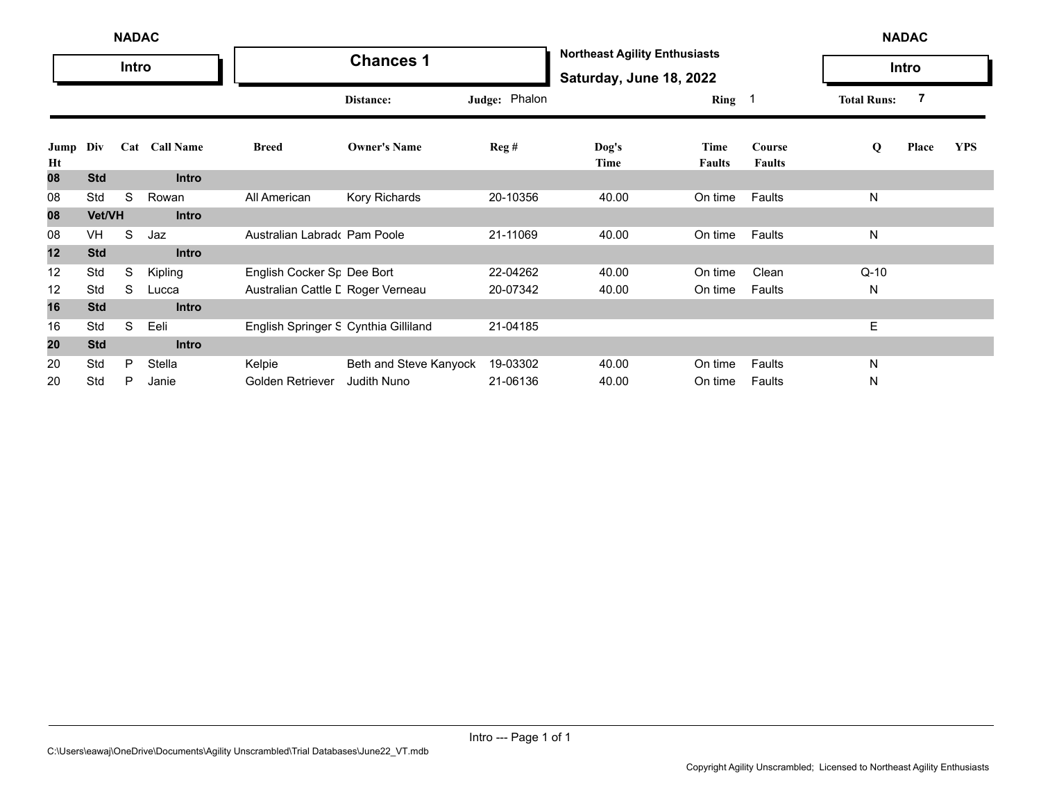|            |            | <b>NADAC</b> |               |                                      |                        |               |                                                                 |                       |                         |                    | <b>NADAC</b> |            |
|------------|------------|--------------|---------------|--------------------------------------|------------------------|---------------|-----------------------------------------------------------------|-----------------------|-------------------------|--------------------|--------------|------------|
|            |            | Intro        |               |                                      | <b>Chances 1</b>       |               | <b>Northeast Agility Enthusiasts</b><br>Saturday, June 18, 2022 |                       |                         |                    | Intro        |            |
|            |            |              |               |                                      | Distance:              | Judge: Phalon |                                                                 | Ring 1                |                         | <b>Total Runs:</b> | 7            |            |
| Jump<br>Ht | Div        |              | Cat Call Name | <b>Breed</b>                         | <b>Owner's Name</b>    | Reg#          | $\log's$<br>Time                                                | Time<br><b>Faults</b> | Course<br><b>Faults</b> | Q                  | Place        | <b>YPS</b> |
| 08         | <b>Std</b> |              | <b>Intro</b>  |                                      |                        |               |                                                                 |                       |                         |                    |              |            |
| 08         | Std        | S            | Rowan         | All American                         | Kory Richards          | 20-10356      | 40.00                                                           | On time               | Faults                  | N                  |              |            |
| 08         | Vet/VH     |              | <b>Intro</b>  |                                      |                        |               |                                                                 |                       |                         |                    |              |            |
| 08         | VH         | S            | Jaz           | Australian Labrado Pam Poole         |                        | 21-11069      | 40.00                                                           | On time               | Faults                  | N                  |              |            |
| 12         | <b>Std</b> |              | <b>Intro</b>  |                                      |                        |               |                                                                 |                       |                         |                    |              |            |
| 12         | Std        | S            | Kipling       | English Cocker Sr Dee Bort           |                        | 22-04262      | 40.00                                                           | On time               | Clean                   | $Q-10$             |              |            |
| 12         | Std        | S            | Lucca         | Australian Cattle L Roger Verneau    |                        | 20-07342      | 40.00                                                           | On time               | Faults                  | N                  |              |            |
| 16         | <b>Std</b> |              | <b>Intro</b>  |                                      |                        |               |                                                                 |                       |                         |                    |              |            |
| 16         | Std        | S            | Eeli          | English Springer S Cynthia Gilliland |                        | 21-04185      |                                                                 |                       |                         | Е                  |              |            |
| 20         | <b>Std</b> |              | <b>Intro</b>  |                                      |                        |               |                                                                 |                       |                         |                    |              |            |
| 20         | Std        | P            | Stella        | Kelpie                               | Beth and Steve Kanyock | 19-03302      | 40.00                                                           | On time               | Faults                  | N                  |              |            |
| 20         | Std        | P            | Janie         | Golden Retriever                     | <b>Judith Nuno</b>     | 21-06136      | 40.00                                                           | On time               | Faults                  | N                  |              |            |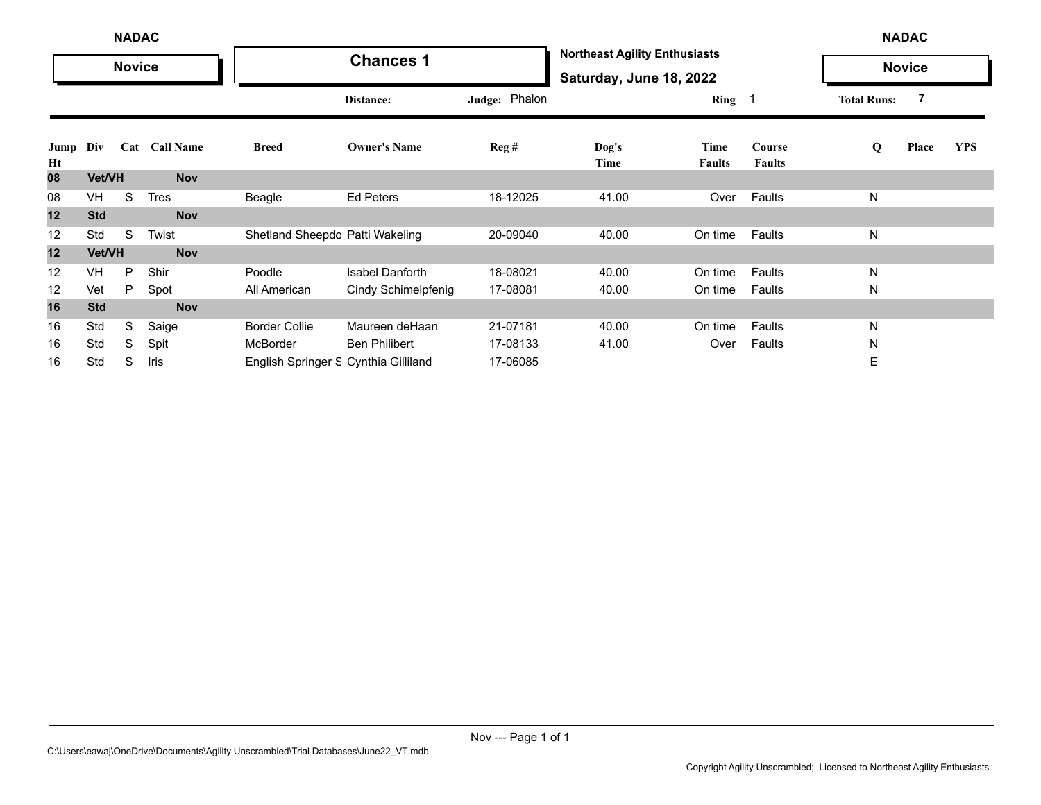|            |            | <b>NADAC</b>  |               |                                      |                        |                  |                                                                 |                       |                         |                    | <b>NADAC</b>  |            |
|------------|------------|---------------|---------------|--------------------------------------|------------------------|------------------|-----------------------------------------------------------------|-----------------------|-------------------------|--------------------|---------------|------------|
|            |            | <b>Novice</b> |               |                                      | <b>Chances 1</b>       |                  | <b>Northeast Agility Enthusiasts</b><br>Saturday, June 18, 2022 |                       |                         |                    | <b>Novice</b> |            |
|            |            |               |               |                                      | Distance:              | Judge: Phalon    |                                                                 | Ring 1                |                         | <b>Total Runs:</b> |               |            |
| Jump<br>Ht | Div        |               | Cat Call Name | <b>Breed</b>                         | <b>Owner's Name</b>    | $\text{Reg } \#$ | Dog's<br>Time                                                   | Time<br><b>Faults</b> | Course<br><b>Faults</b> | Q                  | Place         | <b>YPS</b> |
| 08         | Vet/VH     |               | <b>Nov</b>    |                                      |                        |                  |                                                                 |                       |                         |                    |               |            |
| 08         | VH         | S             | Tres          | Beagle                               | <b>Ed Peters</b>       | 18-12025         | 41.00                                                           | Over                  | Faults                  | N                  |               |            |
| 12         | <b>Std</b> |               | <b>Nov</b>    |                                      |                        |                  |                                                                 |                       |                         |                    |               |            |
| 12         | Std        | S             | Twist         | Shetland Sheepdc Patti Wakeling      |                        | 20-09040         | 40.00                                                           | On time               | Faults                  | Ν                  |               |            |
| 12         | Vet/VH     |               | <b>Nov</b>    |                                      |                        |                  |                                                                 |                       |                         |                    |               |            |
| 12         | VH         | P             | Shir          | Poodle                               | <b>Isabel Danforth</b> | 18-08021         | 40.00                                                           | On time               | Faults                  | N                  |               |            |
| 12         | Vet        | P             | Spot          | All American                         | Cindy Schimelpfenig    | 17-08081         | 40.00                                                           | On time               | Faults                  | N                  |               |            |
| 16         | <b>Std</b> |               | <b>Nov</b>    |                                      |                        |                  |                                                                 |                       |                         |                    |               |            |
| 16         | Std        | S             | Saige         | <b>Border Collie</b>                 | Maureen deHaan         | 21-07181         | 40.00                                                           | On time               | Faults                  | N                  |               |            |
| 16         | Std        | S             | Spit          | McBorder                             | <b>Ben Philibert</b>   | 17-08133         | 41.00                                                           | Over                  | Faults                  | N                  |               |            |
| 16         | Std        | S             | Iris          | English Springer S Cynthia Gilliland |                        | 17-06085         |                                                                 |                       |                         | E                  |               |            |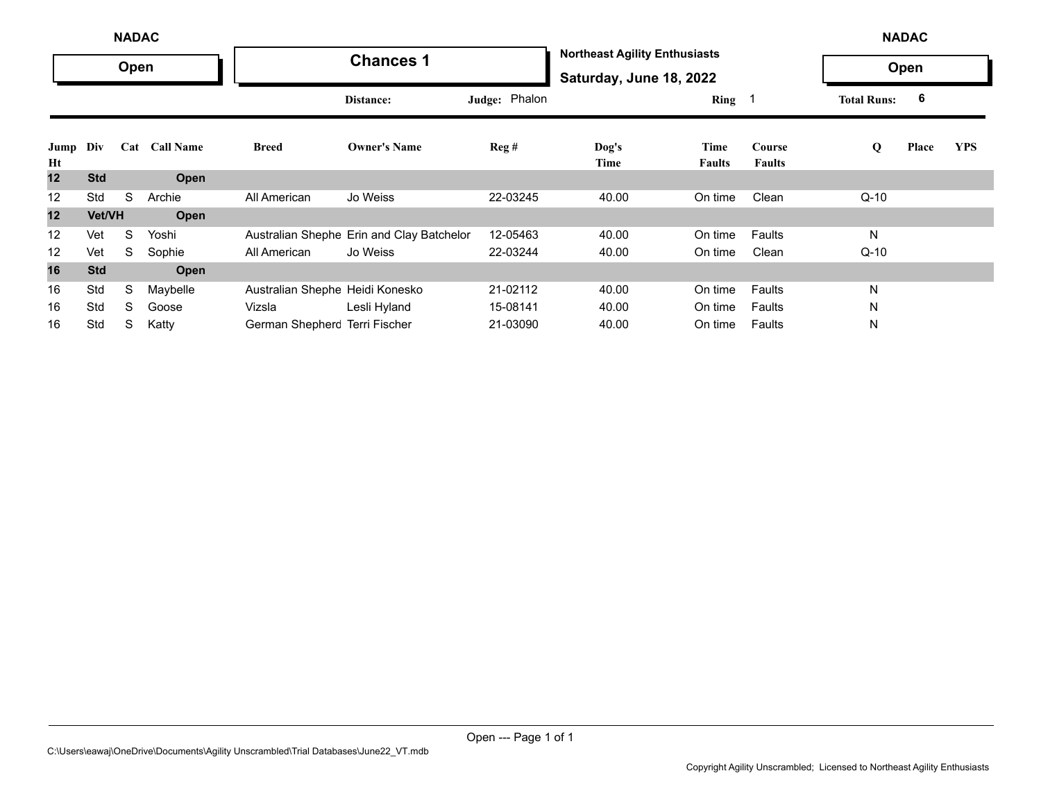|                   |               | <b>NADAC</b> |               |                                 |                                           |                            |                                                                 |                       |                         |                    | <b>NADAC</b> |            |
|-------------------|---------------|--------------|---------------|---------------------------------|-------------------------------------------|----------------------------|-----------------------------------------------------------------|-----------------------|-------------------------|--------------------|--------------|------------|
|                   |               | Open         |               |                                 | <b>Chances 1</b>                          |                            | <b>Northeast Agility Enthusiasts</b><br>Saturday, June 18, 2022 |                       |                         |                    | Open         |            |
|                   |               |              |               |                                 | Distance:                                 | Judge: Phalon              |                                                                 | Ring 1                |                         | <b>Total Runs:</b> | 6            |            |
| Jump<br>Ht        | Div           |              | Cat Call Name | <b>Breed</b>                    | <b>Owner's Name</b>                       | $\text{Re} \mathfrak{g}$ # | Dog's<br>Time                                                   | Time<br><b>Faults</b> | Course<br><b>Faults</b> | Q                  | Place        | <b>YPS</b> |
| 12                | <b>Std</b>    |              | Open          |                                 |                                           |                            |                                                                 |                       |                         |                    |              |            |
| 12                | Std           | S            | Archie        | All American                    | Jo Weiss                                  | 22-03245                   | 40.00                                                           | On time               | Clean                   | $Q-10$             |              |            |
| 12                | <b>Vet/VH</b> |              | Open          |                                 |                                           |                            |                                                                 |                       |                         |                    |              |            |
| $12 \overline{ }$ | Vet           | S            | Yoshi         |                                 | Australian Shephe Erin and Clay Batchelor | 12-05463                   | 40.00                                                           | On time               | Faults                  | N                  |              |            |
| $12 \overline{ }$ | Vet           | S            | Sophie        | All American                    | Jo Weiss                                  | 22-03244                   | 40.00                                                           | On time               | Clean                   | $Q-10$             |              |            |
| 16                | <b>Std</b>    |              | Open          |                                 |                                           |                            |                                                                 |                       |                         |                    |              |            |
| 16                | Std           | S            | Maybelle      | Australian Shephe Heidi Konesko |                                           | 21-02112                   | 40.00                                                           | On time               | Faults                  | N                  |              |            |
| 16                | Std           | S            | Goose         | Vizsla                          | Lesli Hyland                              | 15-08141                   | 40.00                                                           | On time               | Faults                  | N                  |              |            |
| 16                | Std           | S            | Katty         | German Shepherc Terri Fischer   |                                           | 21-03090                   | 40.00                                                           | On time               | Faults                  | N                  |              |            |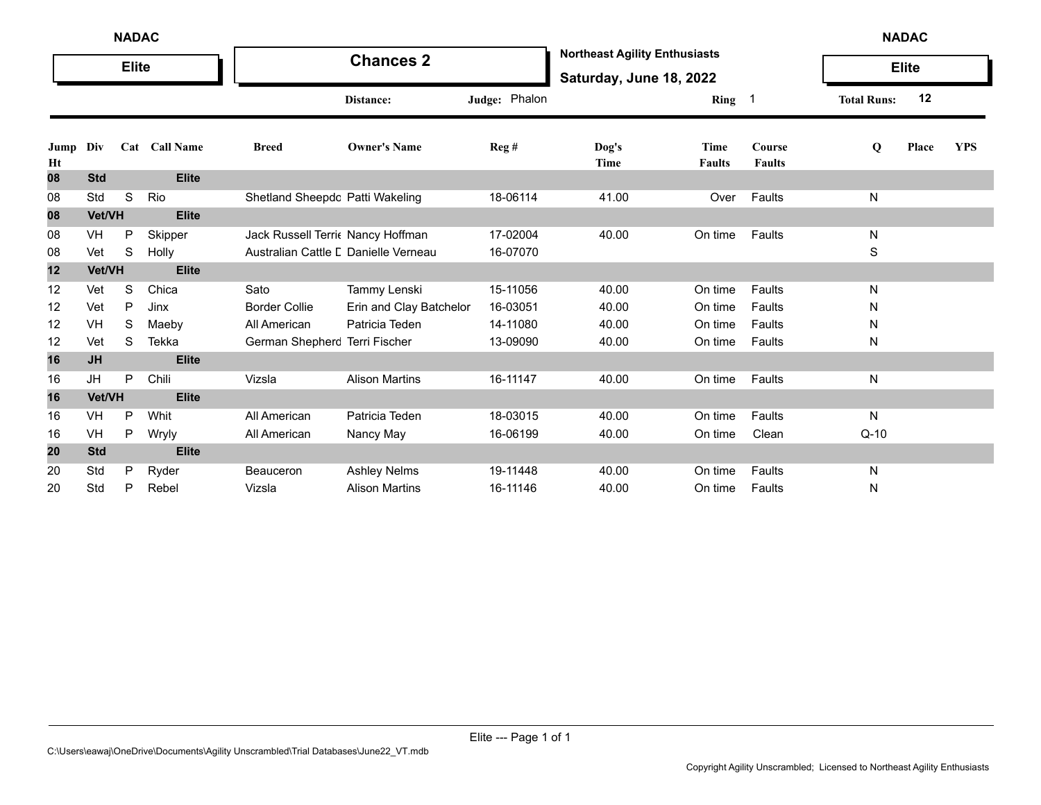|            |            | <b>NADAC</b> |               |                                      |                         |               |                                                                 |                       |                            |                    | <b>NADAC</b> |            |
|------------|------------|--------------|---------------|--------------------------------------|-------------------------|---------------|-----------------------------------------------------------------|-----------------------|----------------------------|--------------------|--------------|------------|
|            |            | <b>Elite</b> |               |                                      | <b>Chances 2</b>        |               | <b>Northeast Agility Enthusiasts</b><br>Saturday, June 18, 2022 |                       |                            |                    | <b>Elite</b> |            |
|            |            |              |               |                                      | Distance:               | Judge: Phalon |                                                                 | Ring                  | $\overline{\phantom{0}}$ 1 | <b>Total Runs:</b> | 12           |            |
| Jump<br>Ht | Div        |              | Cat Call Name | <b>Breed</b>                         | <b>Owner's Name</b>     | Reg#          | Dog's<br>Time                                                   | Time<br><b>Faults</b> | Course<br><b>Faults</b>    | Q                  | Place        | <b>YPS</b> |
| 08         | <b>Std</b> |              | <b>Elite</b>  |                                      |                         |               |                                                                 |                       |                            |                    |              |            |
| 08         | Std        | S            | Rio           | Shetland Sheepdc Patti Wakeling      |                         | 18-06114      | 41.00                                                           | Over                  | Faults                     | N                  |              |            |
| 08         | Vet/VH     |              | <b>Elite</b>  |                                      |                         |               |                                                                 |                       |                            |                    |              |            |
| 08         | VH         | P            | Skipper       | Jack Russell Terri Nancy Hoffman     |                         | 17-02004      | 40.00                                                           | On time               | Faults                     | N                  |              |            |
| 08         | Vet        | S            | Holly         | Australian Cattle L Danielle Verneau |                         | 16-07070      |                                                                 |                       |                            | S                  |              |            |
| 12         | Vet/VH     |              | <b>Elite</b>  |                                      |                         |               |                                                                 |                       |                            |                    |              |            |
| 12         | Vet        | S            | Chica         | Sato                                 | Tammy Lenski            | 15-11056      | 40.00                                                           | On time               | Faults                     | N                  |              |            |
| 12         | Vet        | P            | Jinx          | <b>Border Collie</b>                 | Erin and Clay Batchelor | 16-03051      | 40.00                                                           | On time               | Faults                     | N                  |              |            |
| 12         | VH         | S            | Maeby         | All American                         | Patricia Teden          | 14-11080      | 40.00                                                           | On time               | Faults                     | N                  |              |            |
| 12         | Vet        | S            | Tekka         | German Shepherc Terri Fischer        |                         | 13-09090      | 40.00                                                           | On time               | Faults                     | N                  |              |            |
| 16         | <b>JH</b>  |              | <b>Elite</b>  |                                      |                         |               |                                                                 |                       |                            |                    |              |            |
| 16         | JH         | P            | Chili         | Vizsla                               | <b>Alison Martins</b>   | 16-11147      | 40.00                                                           | On time               | Faults                     | N                  |              |            |
| 16         | Vet/VH     |              | <b>Elite</b>  |                                      |                         |               |                                                                 |                       |                            |                    |              |            |
| 16         | VH         | P            | Whit          | All American                         | Patricia Teden          | 18-03015      | 40.00                                                           | On time               | Faults                     | N                  |              |            |
| 16         | VH         | P            | Wryly         | All American                         | Nancy May               | 16-06199      | 40.00                                                           | On time               | Clean                      | $Q-10$             |              |            |
| 20         | <b>Std</b> |              | <b>Elite</b>  |                                      |                         |               |                                                                 |                       |                            |                    |              |            |
| 20         | Std        | P            | Ryder         | <b>Beauceron</b>                     | <b>Ashley Nelms</b>     | 19-11448      | 40.00                                                           | On time               | Faults                     | N                  |              |            |
| 20         | Std        | P            | Rebel         | Vizsla                               | <b>Alison Martins</b>   | 16-11146      | 40.00                                                           | On time               | Faults                     | N                  |              |            |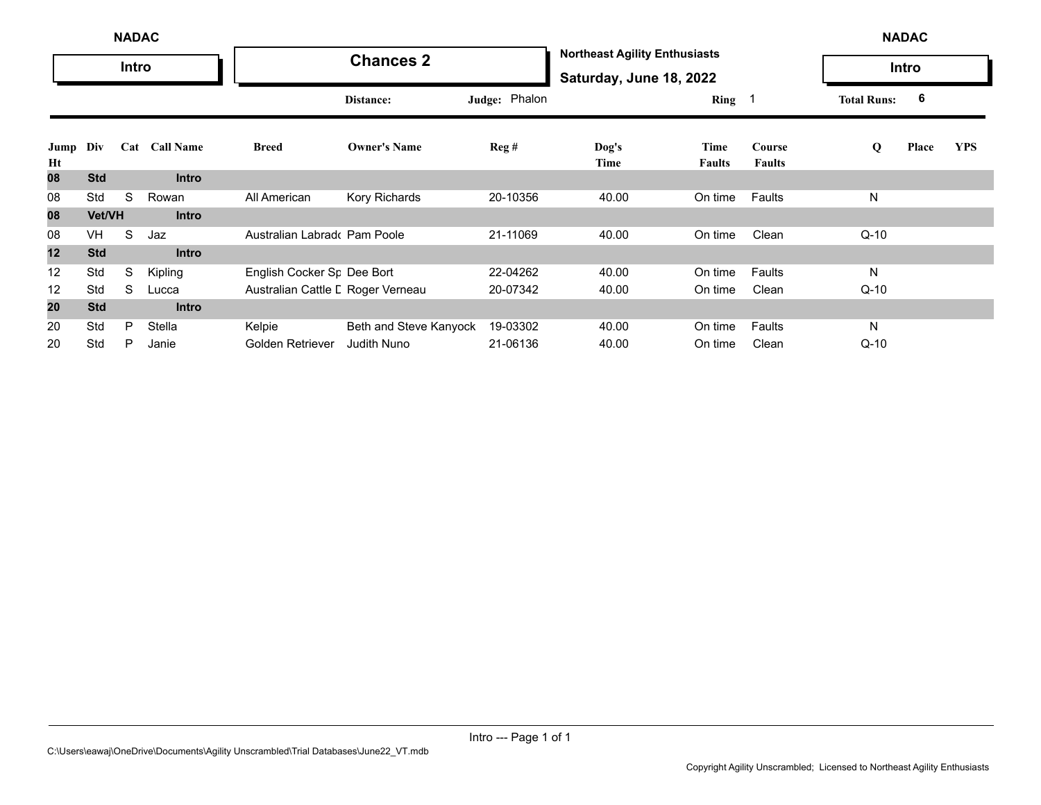|            |            | <b>NADAC</b> |               |                                        |                        |               |                                                                 |                       |                         |                    | <b>NADAC</b> |            |
|------------|------------|--------------|---------------|----------------------------------------|------------------------|---------------|-----------------------------------------------------------------|-----------------------|-------------------------|--------------------|--------------|------------|
|            |            | Intro        |               |                                        | <b>Chances 2</b>       |               | <b>Northeast Agility Enthusiasts</b><br>Saturday, June 18, 2022 |                       |                         |                    | Intro        |            |
|            |            |              |               |                                        | Distance:              | Judge: Phalon |                                                                 | Ring 1                |                         | <b>Total Runs:</b> | 6            |            |
| Jump<br>Ht | Div        |              | Cat Call Name | <b>Breed</b>                           | <b>Owner's Name</b>    | Reg#          | Dog's<br>Time                                                   | Time<br><b>Faults</b> | Course<br><b>Faults</b> | Q                  | Place        | <b>YPS</b> |
| 08         | <b>Std</b> |              | <b>Intro</b>  |                                        |                        |               |                                                                 |                       |                         |                    |              |            |
| 08         | Std        | S            | Rowan         | All American                           | Kory Richards          | 20-10356      | 40.00                                                           | On time               | Faults                  | N                  |              |            |
| 08         | Vet/VH     |              | <b>Intro</b>  |                                        |                        |               |                                                                 |                       |                         |                    |              |            |
| 08         | <b>VH</b>  | S            | Jaz           | Australian Labrado Pam Poole           |                        | 21-11069      | 40.00                                                           | On time               | Clean                   | $Q-10$             |              |            |
| 12         | <b>Std</b> |              | <b>Intro</b>  |                                        |                        |               |                                                                 |                       |                         |                    |              |            |
| 12         | Std        | S            | Kipling       | English Cocker S <sub>F</sub> Dee Bort |                        | 22-04262      | 40.00                                                           | On time               | Faults                  | N                  |              |            |
| 12         | Std        | S            | Lucca         | Australian Cattle L Roger Verneau      |                        | 20-07342      | 40.00                                                           | On time               | Clean                   | Q-10               |              |            |
| 20         | <b>Std</b> |              | <b>Intro</b>  |                                        |                        |               |                                                                 |                       |                         |                    |              |            |
| 20         | Std        | P            | Stella        | Kelpie                                 | Beth and Steve Kanyock | 19-03302      | 40.00                                                           | On time               | Faults                  | N                  |              |            |
| 20         | Std        | P            | Janie         | Golden Retriever                       | <b>Judith Nuno</b>     | 21-06136      | 40.00                                                           | On time               | Clean                   | $Q-10$             |              |            |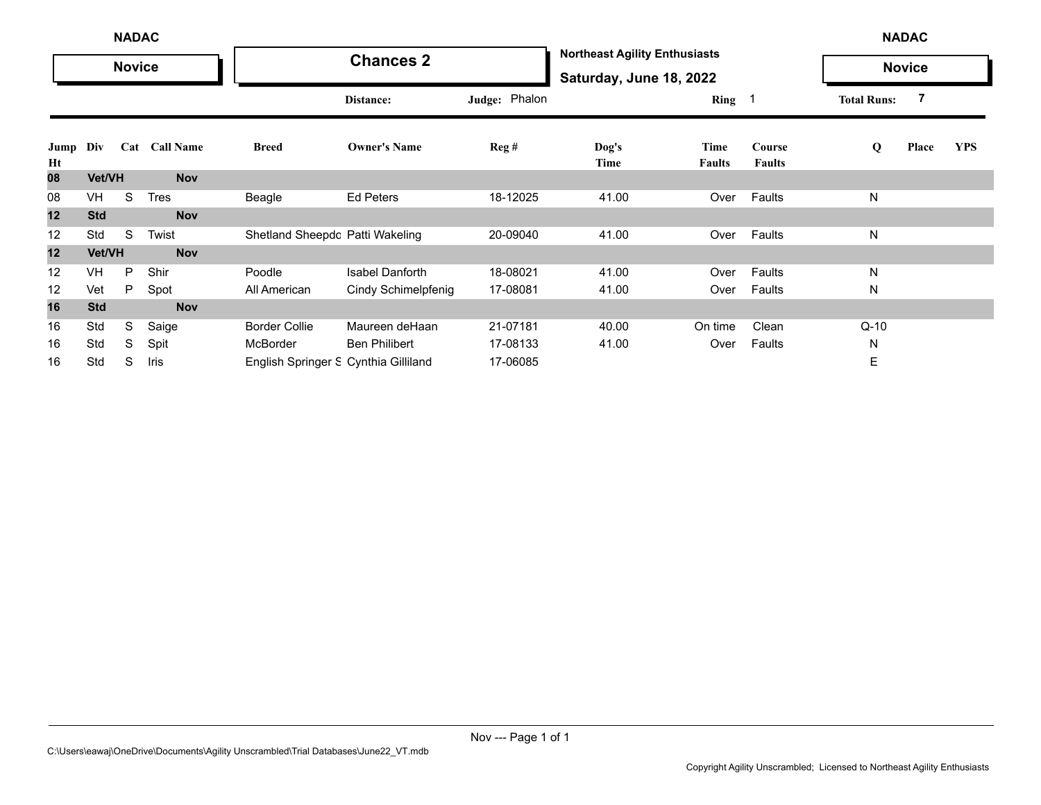|                |            | <b>NADAC</b>  |               |                                      |                            |                  |                                                                 |                       |                         |                    | <b>NADAC</b>  |            |
|----------------|------------|---------------|---------------|--------------------------------------|----------------------------|------------------|-----------------------------------------------------------------|-----------------------|-------------------------|--------------------|---------------|------------|
|                |            | <b>Novice</b> |               |                                      | <b>Chances 2</b>           |                  | <b>Northeast Agility Enthusiasts</b><br>Saturday, June 18, 2022 |                       |                         |                    | <b>Novice</b> |            |
|                |            |               |               |                                      | Distance:                  | Judge: Phalon    |                                                                 | <b>Ring</b>           |                         | <b>Total Runs:</b> | 7             |            |
| Jump Div<br>Ht |            |               | Cat Call Name | <b>Breed</b>                         | <b>Owner's Name</b>        | $\text{Reg } \#$ | Dog's<br>Time                                                   | Time<br><b>Faults</b> | Course<br><b>Faults</b> | Q                  | Place         | <b>YPS</b> |
| 08             | Vet/VH     |               | <b>Nov</b>    |                                      |                            |                  |                                                                 |                       |                         |                    |               |            |
| 08             | VH         | S             | <b>Tres</b>   | Beagle                               | <b>Ed Peters</b>           | 18-12025         | 41.00                                                           | Over                  | Faults                  | N                  |               |            |
| 12             | <b>Std</b> |               | <b>Nov</b>    |                                      |                            |                  |                                                                 |                       |                         |                    |               |            |
| 12             | Std        | S             | Twist         | Shetland Sheepdc Patti Wakeling      |                            | 20-09040         | 41.00                                                           | Over                  | Faults                  | N                  |               |            |
| 12             | Vet/VH     |               | <b>Nov</b>    |                                      |                            |                  |                                                                 |                       |                         |                    |               |            |
| 12             | <b>VH</b>  | P             | Shir          | Poodle                               | <b>Isabel Danforth</b>     | 18-08021         | 41.00                                                           | Over                  | Faults                  | N                  |               |            |
| 12             | Vet        | P.            | Spot          | All American                         | <b>Cindy Schimelpfenig</b> | 17-08081         | 41.00                                                           | Over                  | Faults                  | N                  |               |            |
| 16             | <b>Std</b> |               | <b>Nov</b>    |                                      |                            |                  |                                                                 |                       |                         |                    |               |            |
| 16             | Std        | S             | Saige         | <b>Border Collie</b>                 | Maureen deHaan             | 21-07181         | 40.00                                                           | On time               | Clean                   | Q-10               |               |            |
| 16             | Std        | S             | Spit          | McBorder                             | <b>Ben Philibert</b>       | 17-08133         | 41.00                                                           | Over                  | Faults                  | N                  |               |            |
| 16             | Std        | S             | Iris          | English Springer S Cynthia Gilliland |                            | 17-06085         |                                                                 |                       |                         | Е                  |               |            |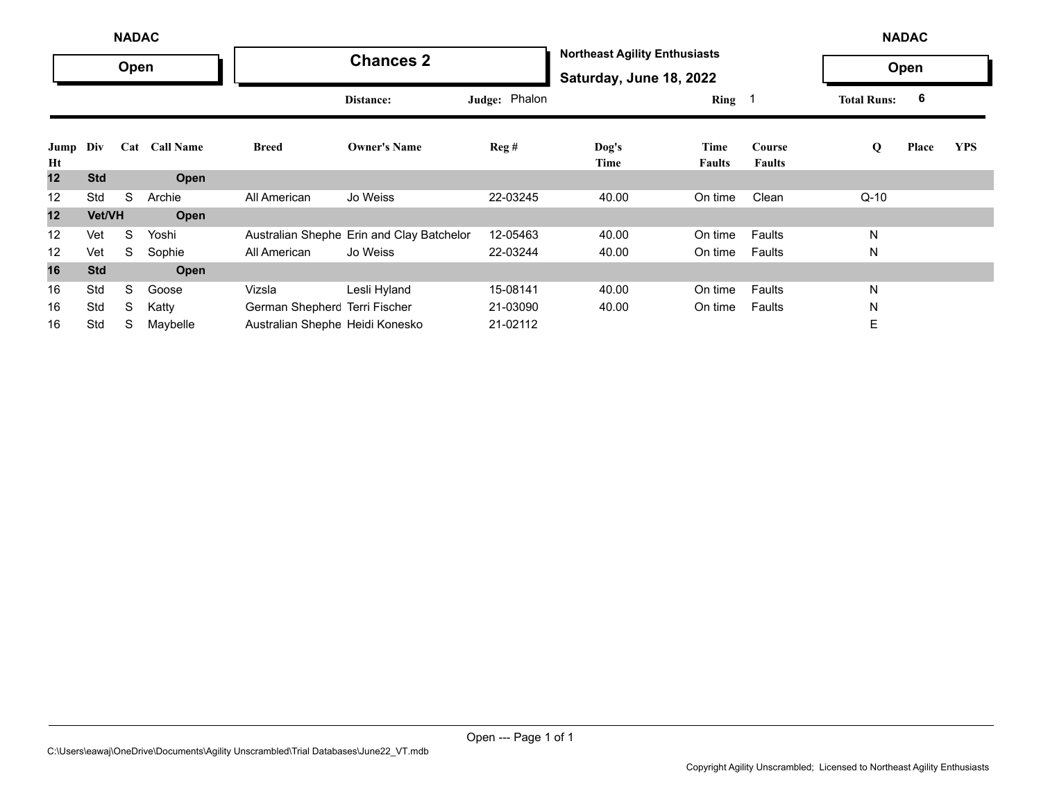|                   |            | <b>NADAC</b> |               |                                 |                                           |               |                                                                 |                       |                         |                    | <b>NADAC</b> |            |
|-------------------|------------|--------------|---------------|---------------------------------|-------------------------------------------|---------------|-----------------------------------------------------------------|-----------------------|-------------------------|--------------------|--------------|------------|
|                   |            | Open         |               |                                 | <b>Chances 2</b>                          |               | <b>Northeast Agility Enthusiasts</b><br>Saturday, June 18, 2022 |                       |                         |                    | Open         |            |
|                   |            |              |               |                                 | Distance:                                 | Judge: Phalon |                                                                 | Ring $1$              |                         | <b>Total Runs:</b> | 6            |            |
| Jump<br>Ht        | Div        |              | Cat Call Name | <b>Breed</b>                    | <b>Owner's Name</b>                       | Reg#          | $\log's$<br>Time                                                | Time<br><b>Faults</b> | Course<br><b>Faults</b> | Q                  | Place        | <b>YPS</b> |
| 12                | <b>Std</b> |              | Open          |                                 |                                           |               |                                                                 |                       |                         |                    |              |            |
| 12                | Std        | S            | Archie        | All American                    | Jo Weiss                                  | 22-03245      | 40.00                                                           | On time               | Clean                   | $Q-10$             |              |            |
| 12                | Vet/VH     |              | Open          |                                 |                                           |               |                                                                 |                       |                         |                    |              |            |
| $12 \overline{ }$ | Vet        | S            | Yoshi         |                                 | Australian Shephe Erin and Clay Batchelor | 12-05463      | 40.00                                                           | On time               | Faults                  | N                  |              |            |
| 12                | Vet        | S            | Sophie        | All American                    | Jo Weiss                                  | 22-03244      | 40.00                                                           | On time               | Faults                  | N                  |              |            |
| 16                | <b>Std</b> |              | Open          |                                 |                                           |               |                                                                 |                       |                         |                    |              |            |
| 16                | Std        | S            | Goose         | Vizsla                          | Lesli Hyland                              | 15-08141      | 40.00                                                           | On time               | Faults                  | N                  |              |            |
| 16                | Std        | S            | Katty         | German Shepherc Terri Fischer   |                                           | 21-03090      | 40.00                                                           | On time               | Faults                  | N                  |              |            |
| 16                | Std        | S            | Maybelle      | Australian Shephe Heidi Konesko |                                           | 21-02112      |                                                                 |                       |                         | Е                  |              |            |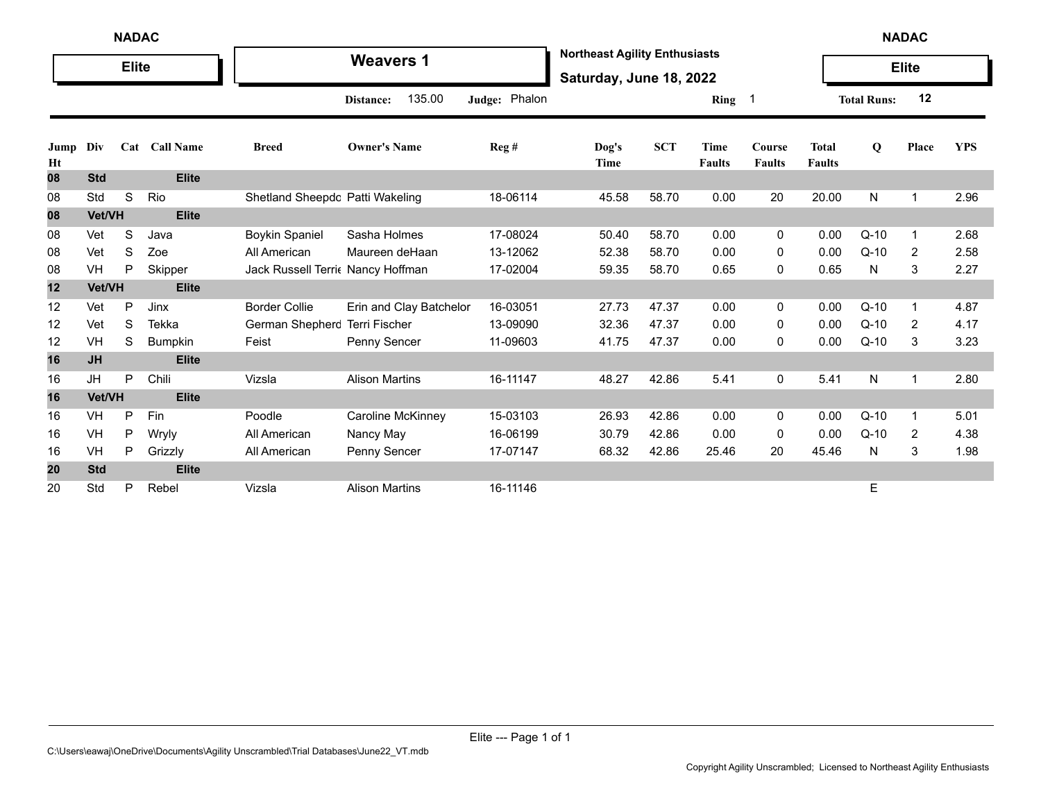|            | <b>NADAC</b><br><b>Elite</b> |   |                |                                  |                         |               |                                                                 |            |                              |                         |                               |                    | <b>NADAC</b>   |            |
|------------|------------------------------|---|----------------|----------------------------------|-------------------------|---------------|-----------------------------------------------------------------|------------|------------------------------|-------------------------|-------------------------------|--------------------|----------------|------------|
|            |                              |   |                |                                  | <b>Weavers 1</b>        |               | <b>Northeast Agility Enthusiasts</b><br>Saturday, June 18, 2022 |            |                              |                         |                               |                    | <b>Elite</b>   |            |
|            |                              |   |                |                                  | 135.00<br>Distance:     | Judge: Phalon |                                                                 |            | Ring <sub>1</sub>            |                         |                               | <b>Total Runs:</b> | 12             |            |
| Jump<br>Ht | Div                          |   | Cat Call Name  | <b>Breed</b>                     | <b>Owner's Name</b>     | Reg#          | Dog's<br>Time                                                   | <b>SCT</b> | <b>Time</b><br><b>Faults</b> | Course<br><b>Faults</b> | <b>Total</b><br><b>Faults</b> | Q                  | Place          | <b>YPS</b> |
| 08         | <b>Std</b>                   |   | <b>Elite</b>   |                                  |                         |               |                                                                 |            |                              |                         |                               |                    |                |            |
| 08         | Std                          | S | Rio            | Shetland Sheepdc Patti Wakeling  |                         | 18-06114      | 45.58                                                           | 58.70      | 0.00                         | 20                      | 20.00                         | N                  | $\mathbf{1}$   | 2.96       |
| 08         | Vet/VH                       |   | <b>Elite</b>   |                                  |                         |               |                                                                 |            |                              |                         |                               |                    |                |            |
| 08         | Vet                          | S | Java           | <b>Boykin Spaniel</b>            | Sasha Holmes            | 17-08024      | 50.40                                                           | 58.70      | 0.00                         | 0                       | 0.00                          | $Q-10$             | $\mathbf 1$    | 2.68       |
| 08         | Vet                          | S | Zoe            | All American                     | Maureen deHaan          | 13-12062      | 52.38                                                           | 58.70      | 0.00                         | 0                       | 0.00                          | $Q-10$             | 2              | 2.58       |
| 08         | VH                           | P | Skipper        | Jack Russell Terri Nancy Hoffman |                         | 17-02004      | 59.35                                                           | 58.70      | 0.65                         | 0                       | 0.65                          | N                  | 3              | 2.27       |
| 12         | Vet/VH                       |   | <b>Elite</b>   |                                  |                         |               |                                                                 |            |                              |                         |                               |                    |                |            |
| 12         | Vet                          | P | Jinx           | <b>Border Collie</b>             | Erin and Clay Batchelor | 16-03051      | 27.73                                                           | 47.37      | 0.00                         | 0                       | 0.00                          | $Q-10$             | 1              | 4.87       |
| 12         | Vet                          | S | Tekka          | German Shepherc Terri Fischer    |                         | 13-09090      | 32.36                                                           | 47.37      | 0.00                         | 0                       | 0.00                          | $Q-10$             | 2              | 4.17       |
| 12         | VH                           | S | <b>Bumpkin</b> | Feist                            | Penny Sencer            | 11-09603      | 41.75                                                           | 47.37      | 0.00                         | 0                       | 0.00                          | $Q-10$             | 3              | 3.23       |
| 16         | <b>JH</b>                    |   | <b>Elite</b>   |                                  |                         |               |                                                                 |            |                              |                         |                               |                    |                |            |
| 16         | JH                           | P | Chili          | Vizsla                           | <b>Alison Martins</b>   | 16-11147      | 48.27                                                           | 42.86      | 5.41                         | 0                       | 5.41                          | N                  | $\overline{1}$ | 2.80       |
| 16         | Vet/VH                       |   | <b>Elite</b>   |                                  |                         |               |                                                                 |            |                              |                         |                               |                    |                |            |
| 16         | VH                           | P | Fin            | Poodle                           | Caroline McKinney       | 15-03103      | 26.93                                                           | 42.86      | 0.00                         | 0                       | 0.00                          | $Q-10$             | $\overline{1}$ | 5.01       |
| 16         | VH                           | P | Wryly          | All American                     | Nancy May               | 16-06199      | 30.79                                                           | 42.86      | 0.00                         | 0                       | 0.00                          | $Q-10$             | 2              | 4.38       |
| 16         | VH                           | P | Grizzly        | All American                     | Penny Sencer            | 17-07147      | 68.32                                                           | 42.86      | 25.46                        | 20                      | 45.46                         | N                  | 3              | 1.98       |
| 20         | <b>Std</b>                   |   | <b>Elite</b>   |                                  |                         |               |                                                                 |            |                              |                         |                               |                    |                |            |
| 20         | Std                          | P | Rebel          | Vizsla                           | <b>Alison Martins</b>   | 16-11146      |                                                                 |            |                              |                         |                               | Е                  |                |            |

Elite --- Page 1 of 1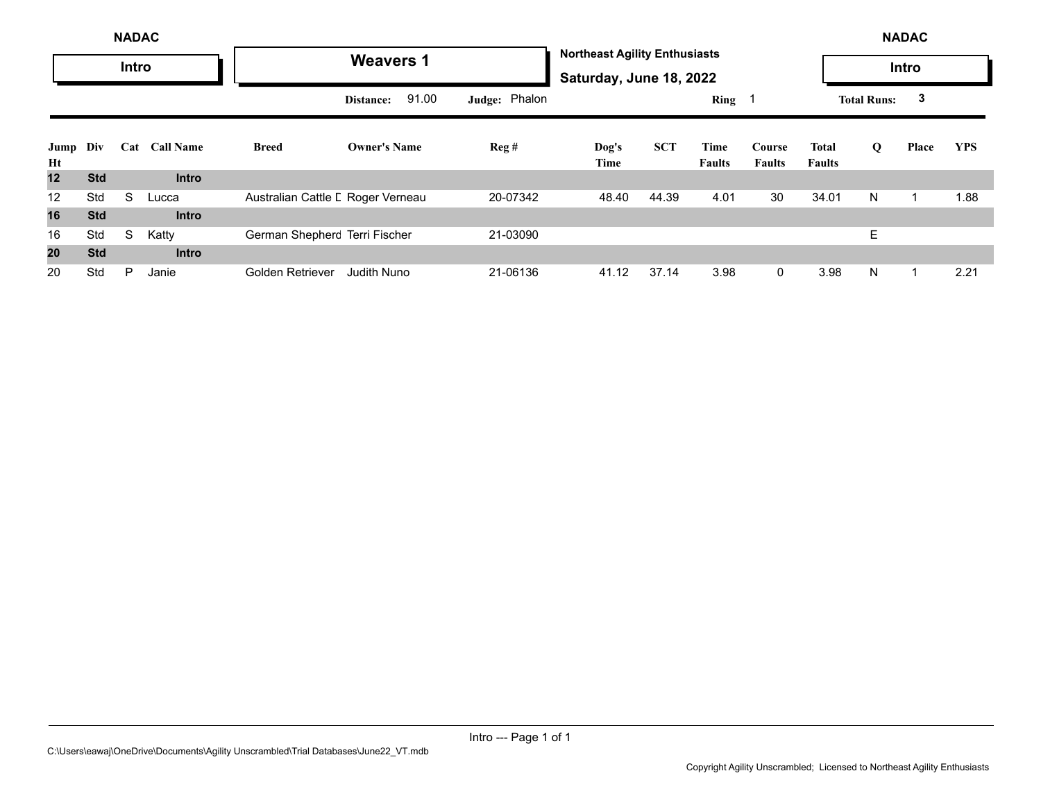|            |            | <b>NADAC</b> |               |                                   |                     |               |                                                                 |            |                       |                         |                               |                    | <b>NADAC</b> |            |
|------------|------------|--------------|---------------|-----------------------------------|---------------------|---------------|-----------------------------------------------------------------|------------|-----------------------|-------------------------|-------------------------------|--------------------|--------------|------------|
|            |            | Intro        |               |                                   | <b>Weavers 1</b>    |               | <b>Northeast Agility Enthusiasts</b><br>Saturday, June 18, 2022 |            |                       |                         |                               |                    | <b>Intro</b> |            |
|            |            |              |               |                                   | 91.00<br>Distance:  | Judge: Phalon |                                                                 |            | Ring 1                |                         |                               | <b>Total Runs:</b> | 3            |            |
| Jump<br>Ht | Div        |              | Cat Call Name | <b>Breed</b>                      | <b>Owner's Name</b> | Reg#          | Dog's<br>Time                                                   | <b>SCT</b> | Time<br><b>Faults</b> | Course<br><b>Faults</b> | <b>Total</b><br><b>Faults</b> | Q                  | Place        | <b>YPS</b> |
| 12         | <b>Std</b> |              | <b>Intro</b>  |                                   |                     |               |                                                                 |            |                       |                         |                               |                    |              |            |
| 12         | Std        | S            | Lucca         | Australian Cattle L Roger Verneau |                     | 20-07342      | 48.40                                                           | 44.39      | 4.01                  | 30                      | 34.01                         | N                  |              | 1.88       |
| 16         | <b>Std</b> |              | <b>Intro</b>  |                                   |                     |               |                                                                 |            |                       |                         |                               |                    |              |            |
| 16         | Std        | S            | Katty         | German Shepherc Terri Fischer     |                     | 21-03090      |                                                                 |            |                       |                         |                               | Ε                  |              |            |
| 20         | <b>Std</b> |              | <b>Intro</b>  |                                   |                     |               |                                                                 |            |                       |                         |                               |                    |              |            |
| 20         | Std        | P            | Janie         | Golden Retriever                  | <b>Judith Nuno</b>  | 21-06136      | 41.12                                                           | 37.14      | 3.98                  | $\mathbf{0}$            | 3.98                          | N                  |              | 2.21       |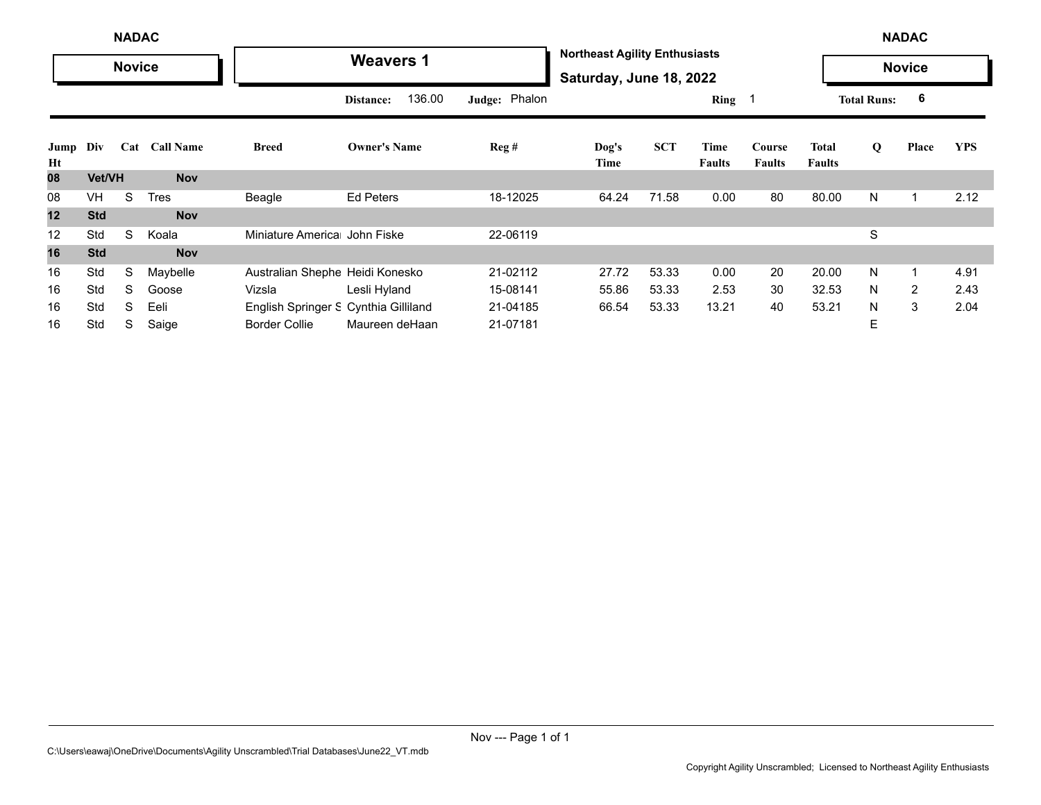|            |               | <b>NADAC</b>  |                  |                                      |                     |               |                                                                 |            |                       |                         |                               |                    | <b>NADAC</b>   |            |
|------------|---------------|---------------|------------------|--------------------------------------|---------------------|---------------|-----------------------------------------------------------------|------------|-----------------------|-------------------------|-------------------------------|--------------------|----------------|------------|
|            |               | <b>Novice</b> |                  |                                      | <b>Weavers 1</b>    |               | <b>Northeast Agility Enthusiasts</b><br>Saturday, June 18, 2022 |            |                       |                         |                               |                    | <b>Novice</b>  |            |
|            |               |               |                  |                                      | 136.00<br>Distance: | Judge: Phalon |                                                                 |            | Ring $1$              |                         |                               | <b>Total Runs:</b> | 6              |            |
| Jump<br>Ht | Div           | Cat           | <b>Call Name</b> | <b>Breed</b>                         | <b>Owner's Name</b> | Reg#          | Dog's<br>Time                                                   | <b>SCT</b> | Time<br><b>Faults</b> | Course<br><b>Faults</b> | <b>Total</b><br><b>Faults</b> | Q                  | Place          | <b>YPS</b> |
| 08         | <b>Vet/VH</b> |               | <b>Nov</b>       |                                      |                     |               |                                                                 |            |                       |                         |                               |                    |                |            |
| 08         | VH            | S             | <b>Tres</b>      | Beagle                               | <b>Ed Peters</b>    | 18-12025      | 64.24                                                           | 71.58      | 0.00                  | 80                      | 80.00                         | N                  |                | 2.12       |
| 12         | <b>Std</b>    |               | <b>Nov</b>       |                                      |                     |               |                                                                 |            |                       |                         |                               |                    |                |            |
| 12         | Std           | S             | Koala            | Miniature America John Fiske         |                     | 22-06119      |                                                                 |            |                       |                         |                               | S                  |                |            |
| 16         | <b>Std</b>    |               | <b>Nov</b>       |                                      |                     |               |                                                                 |            |                       |                         |                               |                    |                |            |
| 16         | Std           | S             | Maybelle         | Australian Shephe Heidi Konesko      |                     | 21-02112      | 27.72                                                           | 53.33      | 0.00                  | 20                      | 20.00                         | N                  | -1             | 4.91       |
| 16         | Std           | S             | Goose            | Vizsla                               | Lesli Hyland        | 15-08141      | 55.86                                                           | 53.33      | 2.53                  | 30                      | 32.53                         | N                  | $\overline{2}$ | 2.43       |
| 16         | Std           | S             | Eeli             | English Springer S Cynthia Gilliland |                     | 21-04185      | 66.54                                                           | 53.33      | 13.21                 | 40                      | 53.21                         | N                  | 3              | 2.04       |
| 16         | Std           | S             | Saige            | <b>Border Collie</b>                 | Maureen deHaan      | 21-07181      |                                                                 |            |                       |                         |                               | Ε                  |                |            |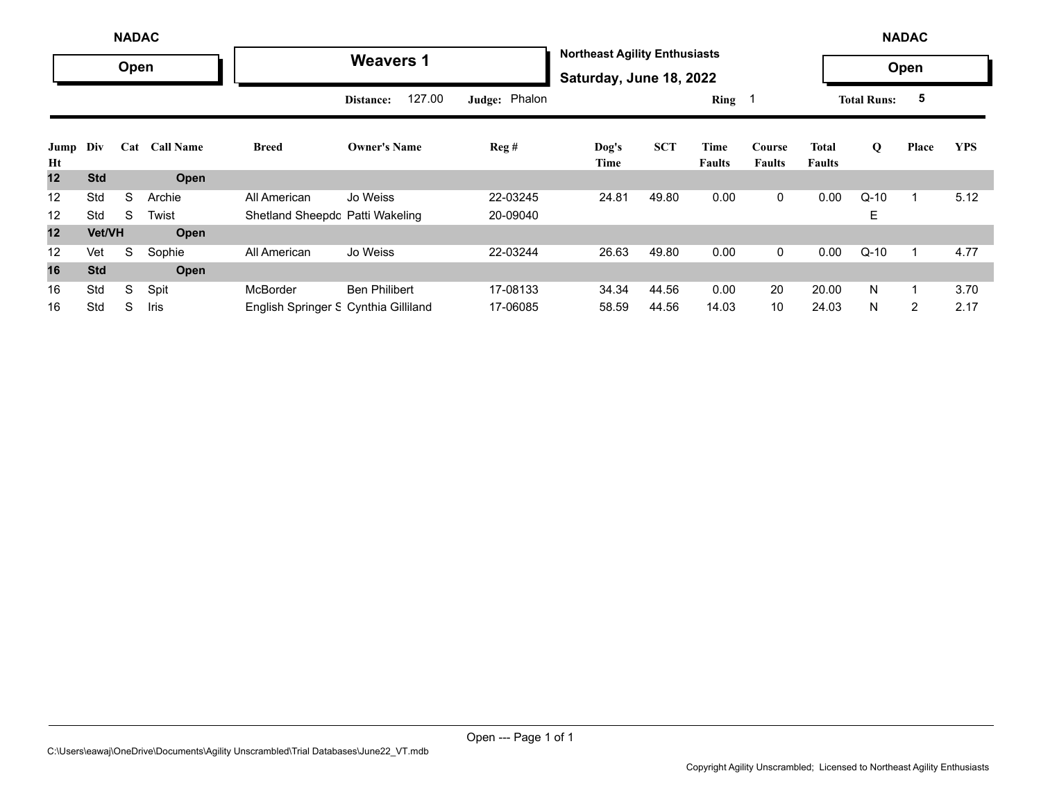|                   | <b>NADAC</b>  |      |                  |                                      |                      |               |                                                                 |            |                       |                         |                               |                    | <b>NADAC</b>   |            |
|-------------------|---------------|------|------------------|--------------------------------------|----------------------|---------------|-----------------------------------------------------------------|------------|-----------------------|-------------------------|-------------------------------|--------------------|----------------|------------|
|                   |               | Open |                  |                                      | <b>Weavers 1</b>     |               | <b>Northeast Agility Enthusiasts</b><br>Saturday, June 18, 2022 |            |                       |                         |                               |                    | Open           |            |
|                   |               |      |                  |                                      | 127.00<br>Distance:  | Judge: Phalon |                                                                 |            | Ring $1$              |                         |                               | <b>Total Runs:</b> | 5              |            |
| Jump<br>Ht        | Div           | Cat  | <b>Call Name</b> | <b>Breed</b>                         | <b>Owner's Name</b>  | Reg#          | Dog's<br>Time                                                   | <b>SCT</b> | Time<br><b>Faults</b> | Course<br><b>Faults</b> | <b>Total</b><br><b>Faults</b> | Q                  | Place          | <b>YPS</b> |
| 12                | <b>Std</b>    |      | Open             |                                      |                      |               |                                                                 |            |                       |                         |                               |                    |                |            |
| 12                | Std           | S    | Archie           | All American                         | Jo Weiss             | 22-03245      | 24.81                                                           | 49.80      | 0.00                  | $\mathbf 0$             | 0.00                          | $Q-10$             |                | 5.12       |
| 12                | Std           | S    | Twist            | Shetland Sheepdc Patti Wakeling      |                      | 20-09040      |                                                                 |            |                       |                         |                               | Е                  |                |            |
| 12                | <b>Vet/VH</b> |      | Open             |                                      |                      |               |                                                                 |            |                       |                         |                               |                    |                |            |
| $12 \overline{ }$ | Vet           | S    | Sophie           | All American                         | Jo Weiss             | 22-03244      | 26.63                                                           | 49.80      | 0.00                  | $\mathbf 0$             | 0.00                          | $Q-10$             | 1              | 4.77       |
| 16                | <b>Std</b>    |      | <b>Open</b>      |                                      |                      |               |                                                                 |            |                       |                         |                               |                    |                |            |
| 16                | Std           | S    | Spit             | <b>McBorder</b>                      | <b>Ben Philibert</b> | 17-08133      | 34.34                                                           | 44.56      | 0.00                  | 20                      | 20.00                         | N                  |                | 3.70       |
| 16                | Std           | S    | Iris             | English Springer S Cynthia Gilliland |                      | 17-06085      | 58.59                                                           | 44.56      | 14.03                 | 10                      | 24.03                         | N                  | $\overline{2}$ | 2.17       |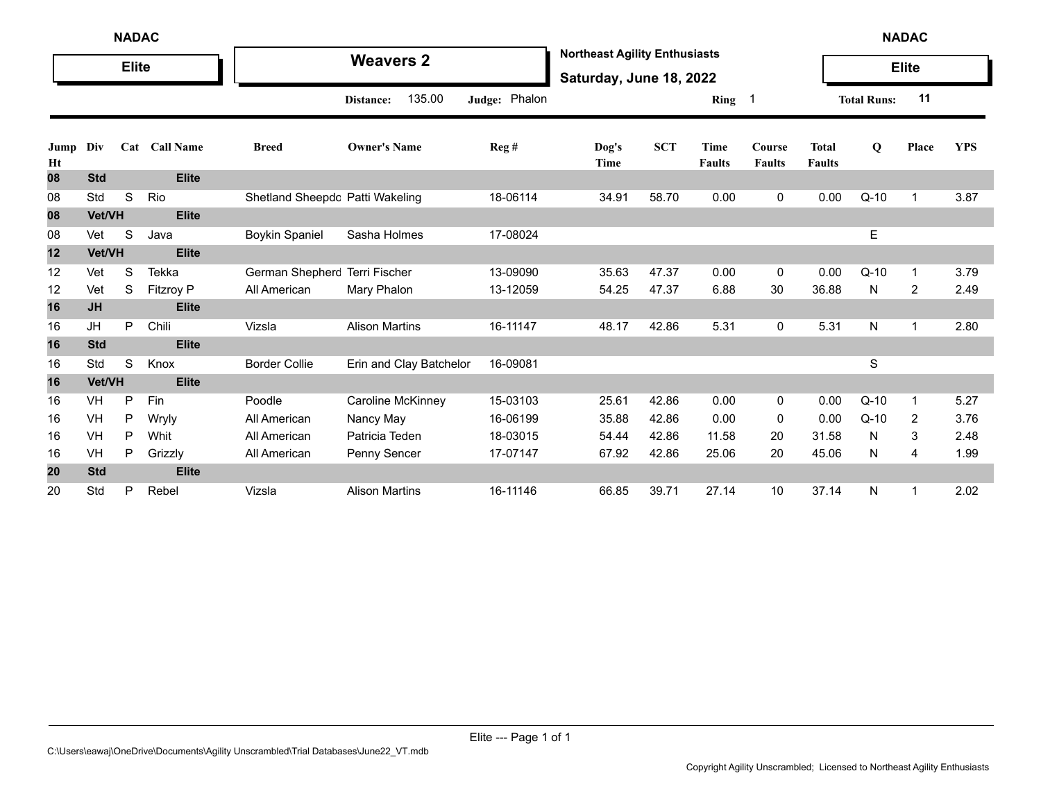|            | <b>NADAC</b><br><b>Elite</b> |   |               |                                 |                         |               |                                                                 |            |                              |                         |                               |                    | <b>NADAC</b> |            |
|------------|------------------------------|---|---------------|---------------------------------|-------------------------|---------------|-----------------------------------------------------------------|------------|------------------------------|-------------------------|-------------------------------|--------------------|--------------|------------|
|            |                              |   |               |                                 | <b>Weavers 2</b>        |               | <b>Northeast Agility Enthusiasts</b><br>Saturday, June 18, 2022 |            |                              |                         |                               |                    | <b>Elite</b> |            |
|            |                              |   |               |                                 | 135.00<br>Distance:     | Judge: Phalon |                                                                 |            | Ring 1                       |                         |                               | <b>Total Runs:</b> | 11           |            |
| Jump<br>Ht | Div                          |   | Cat Call Name | <b>Breed</b>                    | <b>Owner's Name</b>     | Reg #         | $\log's$<br>Time                                                | <b>SCT</b> | <b>Time</b><br><b>Faults</b> | Course<br><b>Faults</b> | <b>Total</b><br><b>Faults</b> | $\bf{Q}$           | Place        | <b>YPS</b> |
| 08         | <b>Std</b>                   |   | <b>Elite</b>  |                                 |                         |               |                                                                 |            |                              |                         |                               |                    |              |            |
| 08         | Std                          | S | Rio           | Shetland Sheepdc Patti Wakeling |                         | 18-06114      | 34.91                                                           | 58.70      | 0.00                         | 0                       | 0.00                          | $Q-10$             | $\mathbf 1$  | 3.87       |
| 08         | Vet/VH                       |   | <b>Elite</b>  |                                 |                         |               |                                                                 |            |                              |                         |                               |                    |              |            |
| 08         | Vet                          | S | Java          | <b>Boykin Spaniel</b>           | Sasha Holmes            | 17-08024      |                                                                 |            |                              |                         |                               | $\mathsf E$        |              |            |
| 12         | Vet/VH                       |   | <b>Elite</b>  |                                 |                         |               |                                                                 |            |                              |                         |                               |                    |              |            |
| 12         | Vet                          | S | Tekka         | German Shepherc Terri Fischer   |                         | 13-09090      | 35.63                                                           | 47.37      | 0.00                         | 0                       | 0.00                          | $Q-10$             | -1           | 3.79       |
| 12         | Vet                          | S | Fitzroy P     | All American                    | Mary Phalon             | 13-12059      | 54.25                                                           | 47.37      | 6.88                         | 30                      | 36.88                         | N                  | 2            | 2.49       |
| 16         | <b>JH</b>                    |   | <b>Elite</b>  |                                 |                         |               |                                                                 |            |                              |                         |                               |                    |              |            |
| 16         | JH                           | P | Chili         | Vizsla                          | <b>Alison Martins</b>   | 16-11147      | 48.17                                                           | 42.86      | 5.31                         | 0                       | 5.31                          | N                  | $\mathbf{1}$ | 2.80       |
| 16         | <b>Std</b>                   |   | <b>Elite</b>  |                                 |                         |               |                                                                 |            |                              |                         |                               |                    |              |            |
| 16         | Std                          | S | Knox          | <b>Border Collie</b>            | Erin and Clay Batchelor | 16-09081      |                                                                 |            |                              |                         |                               | S                  |              |            |
| 16         | Vet/VH                       |   | <b>Elite</b>  |                                 |                         |               |                                                                 |            |                              |                         |                               |                    |              |            |
| 16         | VH                           | P | Fin           | Poodle                          | Caroline McKinney       | 15-03103      | 25.61                                                           | 42.86      | 0.00                         | 0                       | 0.00                          | $Q-10$             | $\mathbf{1}$ | 5.27       |
| 16         | VH                           | P | Wryly         | All American                    | Nancy May               | 16-06199      | 35.88                                                           | 42.86      | 0.00                         | 0                       | 0.00                          | $Q-10$             | 2            | 3.76       |
| 16         | <b>VH</b>                    | P | Whit          | All American                    | Patricia Teden          | 18-03015      | 54.44                                                           | 42.86      | 11.58                        | 20                      | 31.58                         | N                  | 3            | 2.48       |
| 16         | VH                           | P | Grizzly       | All American                    | Penny Sencer            | 17-07147      | 67.92                                                           | 42.86      | 25.06                        | 20                      | 45.06                         | N                  | 4            | 1.99       |
| 20         | <b>Std</b>                   |   | <b>Elite</b>  |                                 |                         |               |                                                                 |            |                              |                         |                               |                    |              |            |
| 20         | Std                          | P | Rebel         | Vizsla                          | <b>Alison Martins</b>   | 16-11146      | 66.85                                                           | 39.71      | 27.14                        | 10                      | 37.14                         | N                  | $\mathbf{1}$ | 2.02       |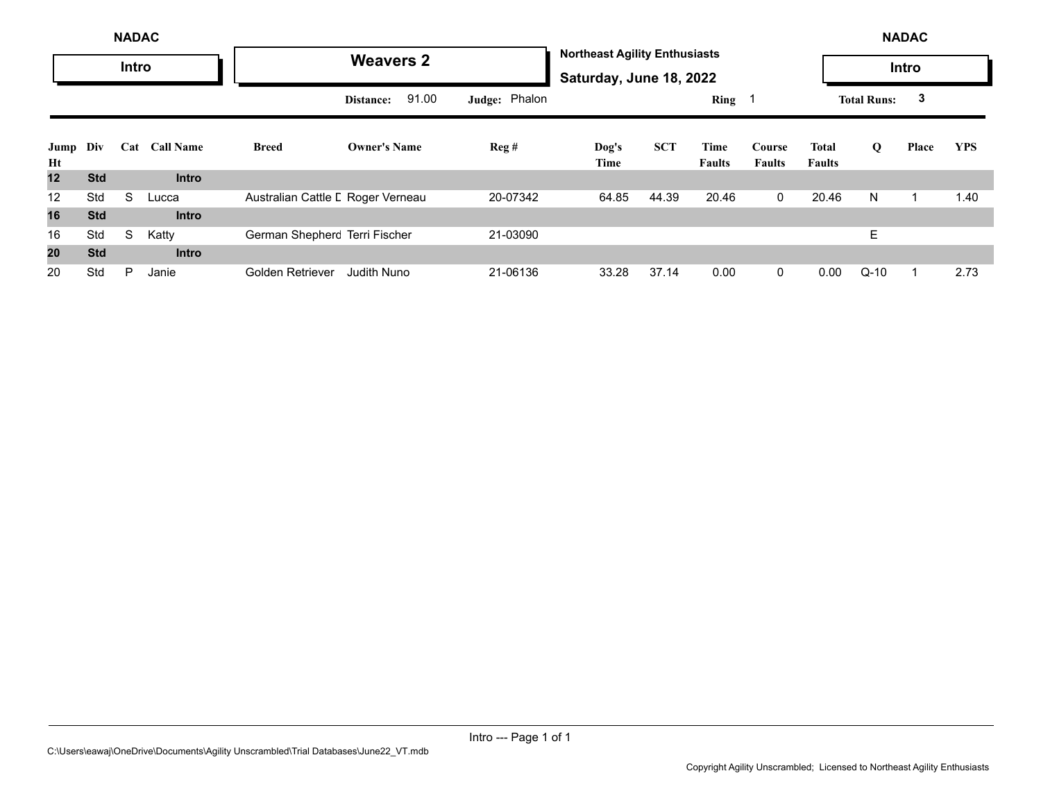|                |            | <b>NADAC</b> |                  |                                   |                     |               |                                                                 |            |                       |                         |                        |                    | <b>NADAC</b> |            |
|----------------|------------|--------------|------------------|-----------------------------------|---------------------|---------------|-----------------------------------------------------------------|------------|-----------------------|-------------------------|------------------------|--------------------|--------------|------------|
|                |            | Intro        |                  |                                   | <b>Weavers 2</b>    |               | <b>Northeast Agility Enthusiasts</b><br>Saturday, June 18, 2022 |            |                       |                         |                        |                    | Intro        |            |
|                |            |              |                  |                                   | 91.00<br>Distance:  | Judge: Phalon |                                                                 |            | Ring 1                |                         |                        | <b>Total Runs:</b> | 3            |            |
| Jump Div<br>Ht |            | Cat          | <b>Call Name</b> | <b>Breed</b>                      | <b>Owner's Name</b> | Reg#          | Dog's<br>Time                                                   | <b>SCT</b> | Time<br><b>Faults</b> | Course<br><b>Faults</b> | Total<br><b>Faults</b> | Q                  | Place        | <b>YPS</b> |
| 12             | <b>Std</b> |              | <b>Intro</b>     |                                   |                     |               |                                                                 |            |                       |                         |                        |                    |              |            |
| 12             | Std        | S            | Lucca            | Australian Cattle L Roger Verneau |                     | 20-07342      | 64.85                                                           | 44.39      | 20.46                 | $\mathbf{0}$            | 20.46                  | N                  |              | 1.40       |
| 16             | <b>Std</b> |              | <b>Intro</b>     |                                   |                     |               |                                                                 |            |                       |                         |                        |                    |              |            |
| 16             | Std        | S            | Katty            | German Shepherc Terri Fischer     |                     | 21-03090      |                                                                 |            |                       |                         |                        | E.                 |              |            |
| 20             | <b>Std</b> |              | <b>Intro</b>     |                                   |                     |               |                                                                 |            |                       |                         |                        |                    |              |            |
| 20             | Std        | P            | Janie            | Golden Retriever                  | <b>Judith Nuno</b>  | 21-06136      | 33.28                                                           | 37.14      | 0.00                  | $\mathbf{0}$            | 0.00                   | $Q-10$             |              | 2.73       |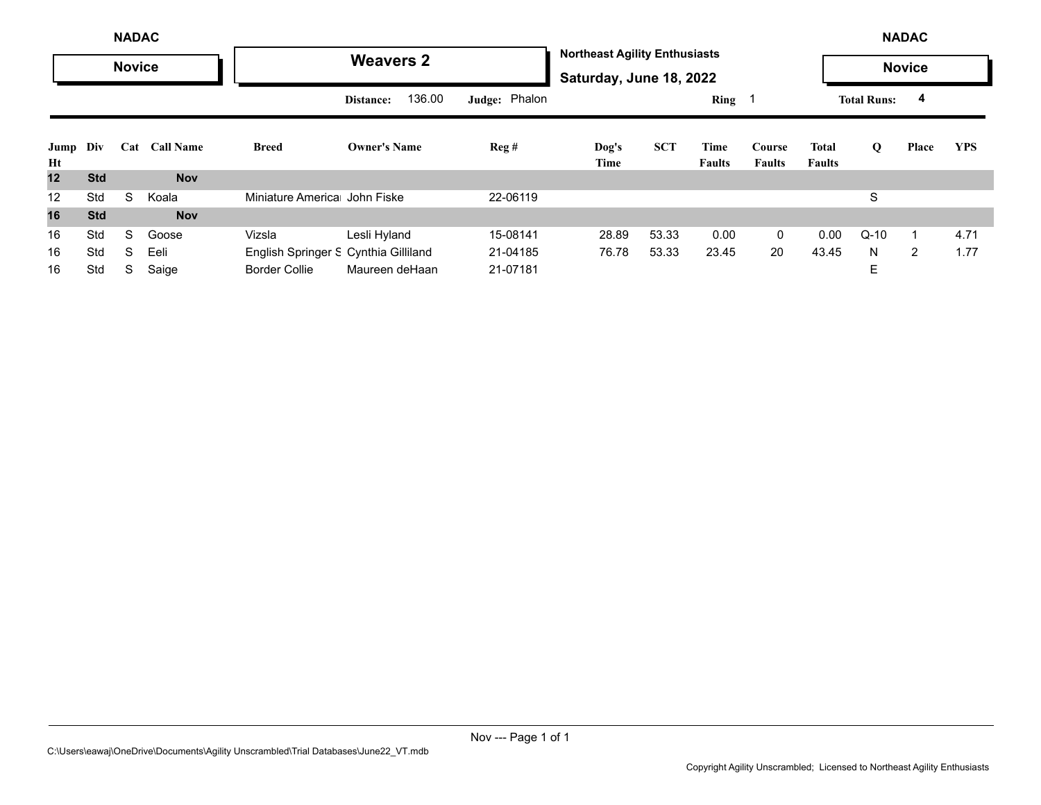|            |                         | <b>NADAC</b>  |            |                                      |                     |               |                                                                 |            |                       |                         |                               |                    | <b>NADAC</b>   |            |
|------------|-------------------------|---------------|------------|--------------------------------------|---------------------|---------------|-----------------------------------------------------------------|------------|-----------------------|-------------------------|-------------------------------|--------------------|----------------|------------|
|            |                         | <b>Novice</b> |            |                                      | <b>Weavers 2</b>    |               | <b>Northeast Agility Enthusiasts</b><br>Saturday, June 18, 2022 |            |                       |                         |                               |                    | <b>Novice</b>  |            |
|            | <b>Call Name</b><br>Cat |               |            |                                      | 136.00<br>Distance: | Judge: Phalon |                                                                 |            | Ring                  |                         |                               | <b>Total Runs:</b> | 4              |            |
| Jump<br>Ht | Div                     |               |            | <b>Breed</b>                         | <b>Owner's Name</b> | Reg#          | $\log's$<br>Time                                                | <b>SCT</b> | Time<br><b>Faults</b> | Course<br><b>Faults</b> | <b>Total</b><br><b>Faults</b> | Q                  | Place          | <b>YPS</b> |
| 12         | <b>Std</b>              |               | <b>Nov</b> |                                      |                     |               |                                                                 |            |                       |                         |                               |                    |                |            |
| 12         | Std                     | S             | Koala      | Miniature America John Fiske         |                     | 22-06119      |                                                                 |            |                       |                         |                               | S                  |                |            |
| 16         | <b>Std</b>              |               | <b>Nov</b> |                                      |                     |               |                                                                 |            |                       |                         |                               |                    |                |            |
| 16         | Std                     | S             | Goose      | Vizsla                               | Lesli Hyland        | 15-08141      | 28.89                                                           | 53.33      | 0.00                  | $\mathbf 0$             | 0.00                          | $Q-10$             | 1              | 4.71       |
| 16         | Std                     | S             | Eeli       | English Springer S Cynthia Gilliland |                     | 21-04185      | 76.78                                                           | 53.33      | 23.45                 | 20                      | 43.45                         | N                  | $\overline{2}$ | 1.77       |
| 16         | Std                     | S             | Saige      | <b>Border Collie</b>                 | Maureen deHaan      | 21-07181      |                                                                 |            |                       |                         |                               | E                  |                |            |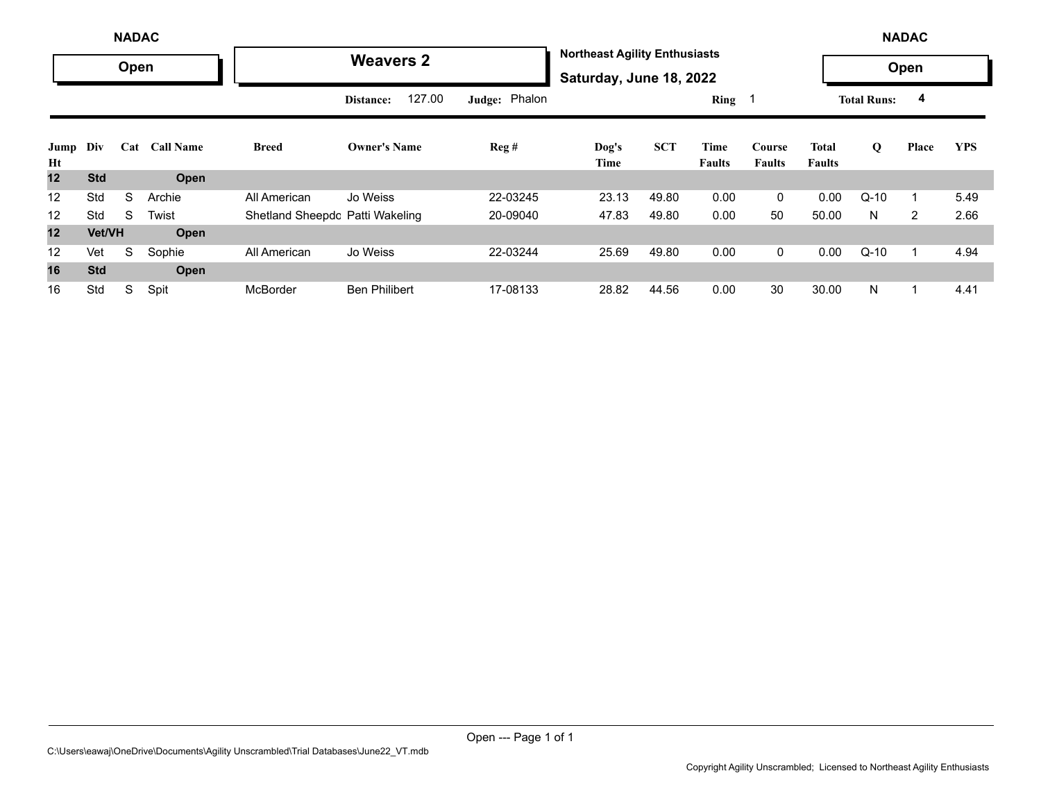|            |                                | <b>NADAC</b> |        |                                 |                      |               |                                                                 |            |                       |                         |                        |                    | <b>NADAC</b> |            |
|------------|--------------------------------|--------------|--------|---------------------------------|----------------------|---------------|-----------------------------------------------------------------|------------|-----------------------|-------------------------|------------------------|--------------------|--------------|------------|
|            |                                | Open         |        |                                 | <b>Weavers 2</b>     |               | <b>Northeast Agility Enthusiasts</b><br>Saturday, June 18, 2022 |            |                       |                         |                        |                    | Open         |            |
|            | Div<br>Cat<br><b>Call Name</b> |              |        |                                 | 127.00<br>Distance:  | Judge: Phalon |                                                                 |            | Ring                  |                         |                        | <b>Total Runs:</b> | 4            |            |
| Jump<br>Ht |                                |              |        | <b>Breed</b>                    | <b>Owner's Name</b>  | Reg#          | Dog's<br>Time                                                   | <b>SCT</b> | Time<br><b>Faults</b> | Course<br><b>Faults</b> | Total<br><b>Faults</b> | Q                  | Place        | <b>YPS</b> |
| 12         | <b>Std</b>                     |              | Open   |                                 |                      |               |                                                                 |            |                       |                         |                        |                    |              |            |
| 12         | Std                            | S            | Archie | All American                    | Jo Weiss             | 22-03245      | 23.13                                                           | 49.80      | 0.00                  | $\mathbf 0$             | 0.00                   | $Q-10$             |              | 5.49       |
| 12         | Std                            | S            | Twist  | Shetland Sheepdc Patti Wakeling |                      | 20-09040      | 47.83                                                           | 49.80      | 0.00                  | 50                      | 50.00                  | N                  | 2            | 2.66       |
| 12         | Vet/VH                         |              | Open   |                                 |                      |               |                                                                 |            |                       |                         |                        |                    |              |            |
| 12         | Vet                            | S            | Sophie | All American                    | Jo Weiss             | 22-03244      | 25.69                                                           | 49.80      | 0.00                  | $\mathbf 0$             | 0.00                   | $Q-10$             |              | 4.94       |
| 16         | <b>Std</b>                     |              | Open   |                                 |                      |               |                                                                 |            |                       |                         |                        |                    |              |            |
| 16         | Std                            | S            | Spit   | <b>McBorder</b>                 | <b>Ben Philibert</b> | 17-08133      | 28.82                                                           | 44.56      | 0.00                  | 30                      | 30.00                  | N                  |              | 4.41       |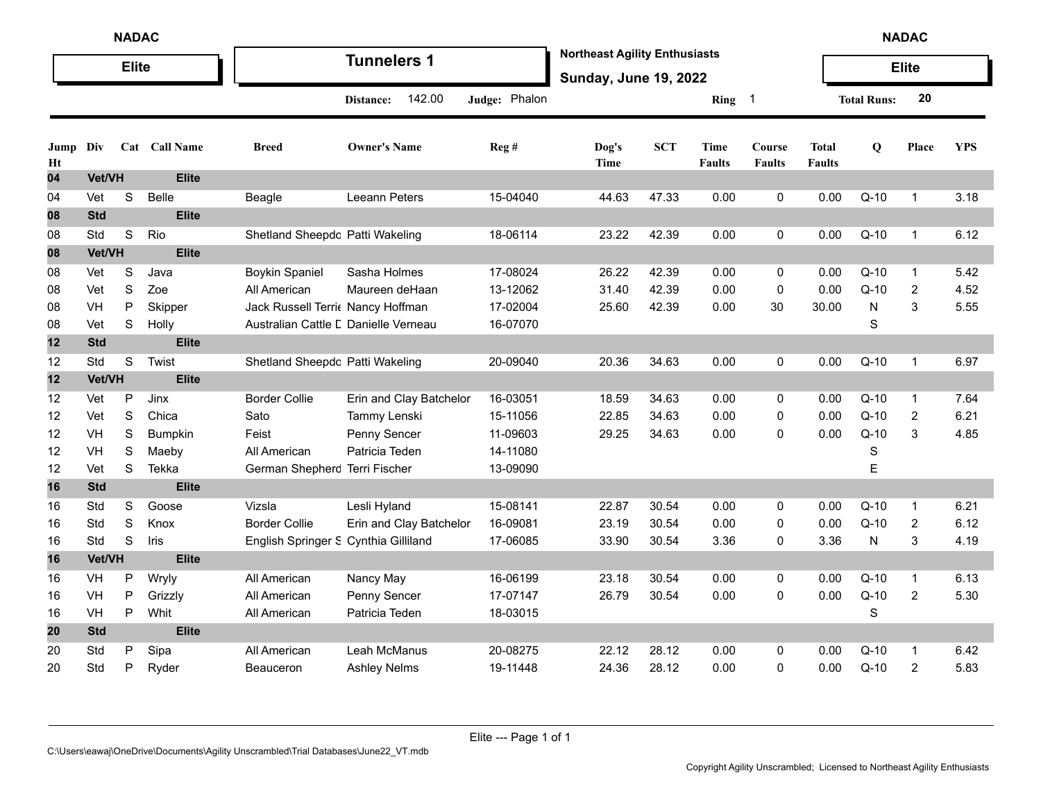|            | <b>NADAC</b><br><b>Elite</b> |             |               |                                      |                         |               |                                                                      |            |                       |                         |                               |                    | <b>NADAC</b>   |            |
|------------|------------------------------|-------------|---------------|--------------------------------------|-------------------------|---------------|----------------------------------------------------------------------|------------|-----------------------|-------------------------|-------------------------------|--------------------|----------------|------------|
|            |                              |             |               |                                      | <b>Tunnelers 1</b>      |               | <b>Northeast Agility Enthusiasts</b><br><b>Sunday, June 19, 2022</b> |            |                       |                         |                               |                    | <b>Elite</b>   |            |
|            |                              |             |               |                                      | 142.00<br>Distance:     | Judge: Phalon |                                                                      |            | Ring 1                |                         |                               | <b>Total Runs:</b> | 20             |            |
| Jump<br>Ht | Div                          |             | Cat Call Name | <b>Breed</b>                         | <b>Owner's Name</b>     | Reg #         | Dog's<br>Time                                                        | <b>SCT</b> | Time<br><b>Faults</b> | Course<br><b>Faults</b> | <b>Total</b><br><b>Faults</b> | Q                  | Place          | <b>YPS</b> |
| 04         | Vet/VH                       |             | <b>Elite</b>  |                                      |                         |               |                                                                      |            |                       |                         |                               |                    |                |            |
| 04         | Vet                          | S           | <b>Belle</b>  | Beagle                               | <b>Leeann Peters</b>    | 15-04040      | 44.63                                                                | 47.33      | 0.00                  | 0                       | 0.00                          | $Q-10$             | $\mathbf{1}$   | 3.18       |
| 08         | <b>Std</b>                   |             | <b>Elite</b>  |                                      |                         |               |                                                                      |            |                       |                         |                               |                    |                |            |
| 08         | Std                          | S           | Rio           | Shetland Sheepdc Patti Wakeling      |                         | 18-06114      | 23.22                                                                | 42.39      | 0.00                  | 0                       | 0.00                          | $Q-10$             | $\mathbf{1}$   | 6.12       |
| 08         | Vet/VH                       |             | <b>Elite</b>  |                                      |                         |               |                                                                      |            |                       |                         |                               |                    |                |            |
| 08         | Vet                          | S           | Java          | <b>Boykin Spaniel</b>                | Sasha Holmes            | 17-08024      | 26.22                                                                | 42.39      | 0.00                  | 0                       | 0.00                          | $Q-10$             | $\mathbf{1}$   | 5.42       |
| 08         | Vet                          | $\mathbf S$ | Zoe           | All American                         | Maureen deHaan          | 13-12062      | 31.40                                                                | 42.39      | 0.00                  | 0                       | 0.00                          | $Q-10$             | $\overline{c}$ | 4.52       |
| 08         | VH                           | P           | Skipper       | Jack Russell Terri Nancy Hoffman     |                         | 17-02004      | 25.60                                                                | 42.39      | 0.00                  | 30                      | 30.00                         | N                  | 3              | 5.55       |
| 08         | Vet                          | $\mathbf S$ | Holly         | Australian Cattle L Danielle Verneau |                         | 16-07070      |                                                                      |            |                       |                         |                               | $\mathbf S$        |                |            |
| 12         | <b>Std</b>                   |             | <b>Elite</b>  |                                      |                         |               |                                                                      |            |                       |                         |                               |                    |                |            |
| 12         | Std                          | $\mathbb S$ | Twist         | Shetland Sheepdc Patti Wakeling      |                         | 20-09040      | 20.36                                                                | 34.63      | 0.00                  | 0                       | 0.00                          | $Q-10$             | $\mathbf{1}$   | 6.97       |
| 12         | Vet/VH                       |             | <b>Elite</b>  |                                      |                         |               |                                                                      |            |                       |                         |                               |                    |                |            |
| 12         | Vet                          | P           | Jinx          | <b>Border Collie</b>                 | Erin and Clay Batchelor | 16-03051      | 18.59                                                                | 34.63      | 0.00                  | 0                       | 0.00                          | $Q-10$             | $\mathbf{1}$   | 7.64       |
| 12         | Vet                          | $\mathbf S$ | Chica         | Sato                                 | Tammy Lenski            | 15-11056      | 22.85                                                                | 34.63      | 0.00                  | 0                       | 0.00                          | $Q-10$             | $\overline{c}$ | 6.21       |
| 12         | VH                           | $\mathbf S$ | Bumpkin       | Feist                                | Penny Sencer            | 11-09603      | 29.25                                                                | 34.63      | 0.00                  | 0                       | 0.00                          | $Q-10$             | 3              | 4.85       |
| 12         | VH                           | $\mathbf S$ | Maeby         | All American                         | Patricia Teden          | 14-11080      |                                                                      |            |                       |                         |                               | $\mathbf S$        |                |            |
| 12         | Vet                          | S           | Tekka         | German Shepherc Terri Fischer        |                         | 13-09090      |                                                                      |            |                       |                         |                               | E                  |                |            |
| 16         | <b>Std</b>                   |             | <b>Elite</b>  |                                      |                         |               |                                                                      |            |                       |                         |                               |                    |                |            |
| 16         | Std                          | S           | Goose         | Vizsla                               | Lesli Hyland            | 15-08141      | 22.87                                                                | 30.54      | 0.00                  | 0                       | 0.00                          | $Q-10$             | $\mathbf{1}$   | 6.21       |
| 16         | Std                          | S           | Knox          | <b>Border Collie</b>                 | Erin and Clay Batchelor | 16-09081      | 23.19                                                                | 30.54      | 0.00                  | 0                       | 0.00                          | $Q-10$             | 2              | 6.12       |
| 16         | Std                          | S           | Iris          | English Springer S Cynthia Gilliland |                         | 17-06085      | 33.90                                                                | 30.54      | 3.36                  | 0                       | 3.36                          | N                  | 3              | 4.19       |
| 16         | Vet/VH                       |             | <b>Elite</b>  |                                      |                         |               |                                                                      |            |                       |                         |                               |                    |                |            |
| 16         | VH                           | P           | Wryly         | All American                         | Nancy May               | 16-06199      | 23.18                                                                | 30.54      | 0.00                  | 0                       | 0.00                          | $Q-10$             | $\mathbf{1}$   | 6.13       |
| 16         | VH                           | P           | Grizzly       | All American                         | Penny Sencer            | 17-07147      | 26.79                                                                | 30.54      | 0.00                  | 0                       | 0.00                          | $Q-10$             | $\overline{2}$ | 5.30       |
| 16         | VH                           | P           | Whit          | All American                         | Patricia Teden          | 18-03015      |                                                                      |            |                       |                         |                               | S                  |                |            |
| 20         | <b>Std</b>                   |             | <b>Elite</b>  |                                      |                         |               |                                                                      |            |                       |                         |                               |                    |                |            |
| 20         | Std                          | Ρ           | Sipa          | All American                         | Leah McManus            | 20-08275      | 22.12                                                                | 28.12      | 0.00                  | 0                       | 0.00                          | $Q-10$             | $\mathbf{1}$   | 6.42       |
| 20         | Std                          | Ρ           | Ryder         | Beauceron                            | <b>Ashley Nelms</b>     | 19-11448      | 24.36                                                                | 28.12      | 0.00                  | 0                       | 0.00                          | $Q-10$             | $\overline{c}$ | 5.83       |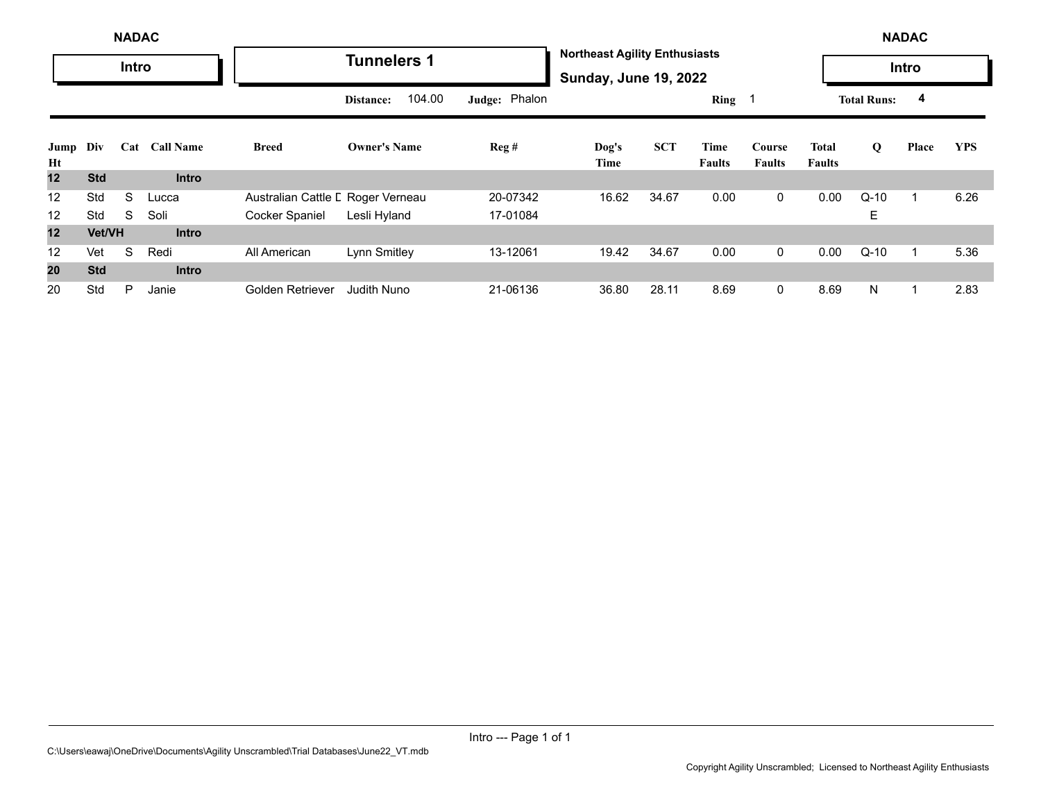|                   |                                | <b>NADAC</b> |              |                                   |                     |               |                                                                      |            |                |                         |                        |                    | <b>NADAC</b> |            |
|-------------------|--------------------------------|--------------|--------------|-----------------------------------|---------------------|---------------|----------------------------------------------------------------------|------------|----------------|-------------------------|------------------------|--------------------|--------------|------------|
|                   |                                | <b>Intro</b> |              |                                   | <b>Tunnelers 1</b>  |               | <b>Northeast Agility Enthusiasts</b><br><b>Sunday, June 19, 2022</b> |            |                |                         |                        |                    | Intro        |            |
|                   | <b>Call Name</b><br>Div<br>Cat |              |              |                                   | 104.00<br>Distance: | Judge: Phalon |                                                                      |            | Ring           |                         |                        | <b>Total Runs:</b> | 4            |            |
| Jump<br>Ht        |                                |              |              | Breed                             | <b>Owner's Name</b> | Reg#          | Dog's<br>Time                                                        | <b>SCT</b> | Time<br>Faults | Course<br><b>Faults</b> | Total<br><b>Faults</b> | Q                  | Place        | <b>YPS</b> |
| 12                | <b>Std</b>                     |              | <b>Intro</b> |                                   |                     |               |                                                                      |            |                |                         |                        |                    |              |            |
| 12                | Std                            | S            | Lucca        | Australian Cattle L Roger Verneau |                     | 20-07342      | 16.62                                                                | 34.67      | 0.00           | $\mathbf 0$             | 0.00                   | $Q-10$             |              | 6.26       |
| 12                | Std                            | S            | Soli         | Cocker Spaniel                    | Lesli Hyland        | 17-01084      |                                                                      |            |                |                         |                        | Е                  |              |            |
| 12                | Vet/VH                         |              | <b>Intro</b> |                                   |                     |               |                                                                      |            |                |                         |                        |                    |              |            |
| $12 \overline{ }$ | Vet                            | S            | Redi         | All American                      | Lynn Smitley        | 13-12061      | 19.42                                                                | 34.67      | 0.00           | 0                       | 0.00                   | $Q-10$             |              | 5.36       |
| 20                | <b>Std</b>                     |              | <b>Intro</b> |                                   |                     |               |                                                                      |            |                |                         |                        |                    |              |            |
| 20                | Std                            | P            | Janie        | Golden Retriever                  | <b>Judith Nuno</b>  | 21-06136      | 36.80                                                                | 28.11      | 8.69           | 0                       | 8.69                   | N                  |              | 2.83       |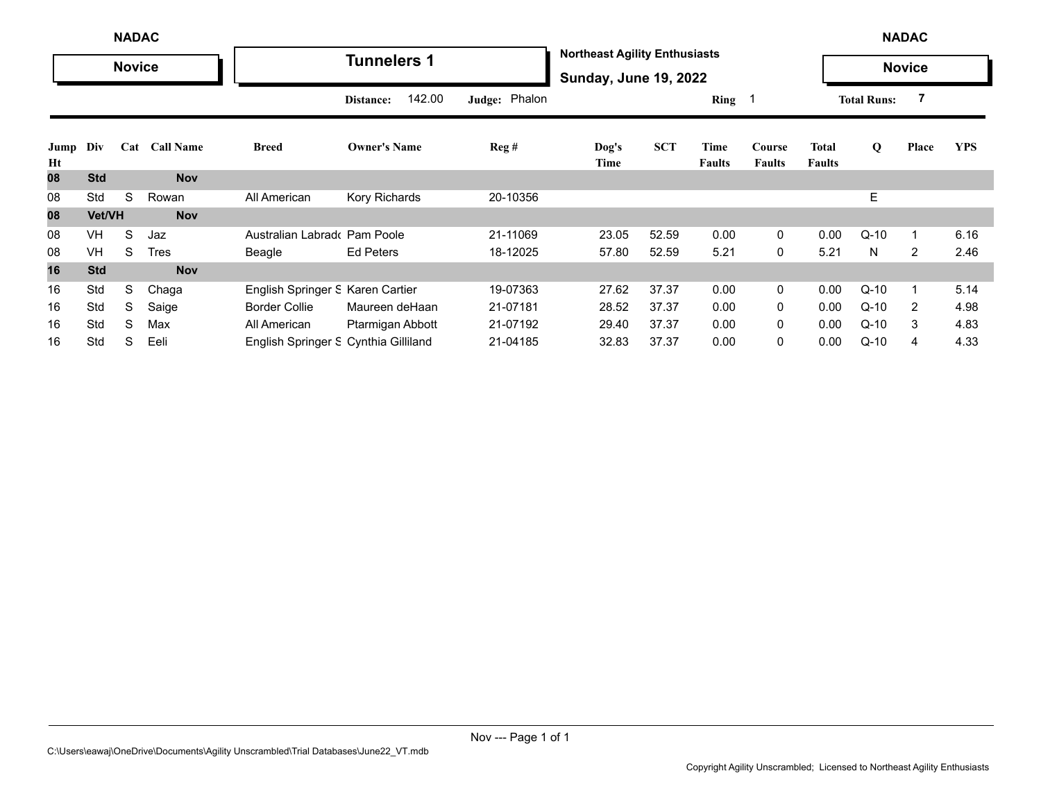|            |            | <b>NADAC</b>  |                  |                                      |                     |                |                                                                      |            |                       |                         |                               |                    | <b>NADAC</b>  |            |
|------------|------------|---------------|------------------|--------------------------------------|---------------------|----------------|----------------------------------------------------------------------|------------|-----------------------|-------------------------|-------------------------------|--------------------|---------------|------------|
|            |            | <b>Novice</b> |                  |                                      | <b>Tunnelers 1</b>  |                | <b>Northeast Agility Enthusiasts</b><br><b>Sunday, June 19, 2022</b> |            |                       |                         |                               |                    | <b>Novice</b> |            |
|            |            |               |                  |                                      | 142.00<br>Distance: | Judge: Phalon  |                                                                      |            | Ring <sub>1</sub>     |                         |                               | <b>Total Runs:</b> |               |            |
| Jump<br>Ht | Div        | Cat           | <b>Call Name</b> | <b>Breed</b>                         | <b>Owner's Name</b> | $\text{Reg}$ # | Dog's<br>Time                                                        | <b>SCT</b> | Time<br><b>Faults</b> | Course<br><b>Faults</b> | <b>Total</b><br><b>Faults</b> | Q                  | Place         | <b>YPS</b> |
| 08         | <b>Std</b> |               | <b>Nov</b>       |                                      |                     |                |                                                                      |            |                       |                         |                               |                    |               |            |
| 08         | Std        | S             | Rowan            | All American                         | Kory Richards       | 20-10356       |                                                                      |            |                       |                         |                               | Е                  |               |            |
| 08         | Vet/VH     |               | <b>Nov</b>       |                                      |                     |                |                                                                      |            |                       |                         |                               |                    |               |            |
| 08         | VH         | S             | Jaz              | Australian Labrado Pam Poole         |                     | 21-11069       | 23.05                                                                | 52.59      | 0.00                  | 0                       | 0.00                          | $Q-10$             |               | 6.16       |
| 08         | VH         | S             | Tres             | Beagle                               | <b>Ed Peters</b>    | 18-12025       | 57.80                                                                | 52.59      | 5.21                  | 0                       | 5.21                          | N.                 | 2             | 2.46       |
| 16         | <b>Std</b> |               | <b>Nov</b>       |                                      |                     |                |                                                                      |            |                       |                         |                               |                    |               |            |
| 16         | Std        | S             | Chaga            | English Springer S Karen Cartier     |                     | 19-07363       | 27.62                                                                | 37.37      | 0.00                  | 0                       | 0.00                          | $Q-10$             |               | 5.14       |
| 16         | Std        | S             | Saige            | <b>Border Collie</b>                 | Maureen deHaan      | 21-07181       | 28.52                                                                | 37.37      | 0.00                  | 0                       | 0.00                          | $Q-10$             | 2             | 4.98       |
| 16         | Std        | S             | Max              | All American                         | Ptarmigan Abbott    | 21-07192       | 29.40                                                                | 37.37      | 0.00                  | 0                       | 0.00                          | $Q-10$             | 3             | 4.83       |
| 16         | Std        | S             | Eeli             | English Springer S Cynthia Gilliland |                     | 21-04185       | 32.83                                                                | 37.37      | 0.00                  | 0                       | 0.00                          | $Q-10$             | 4             | 4.33       |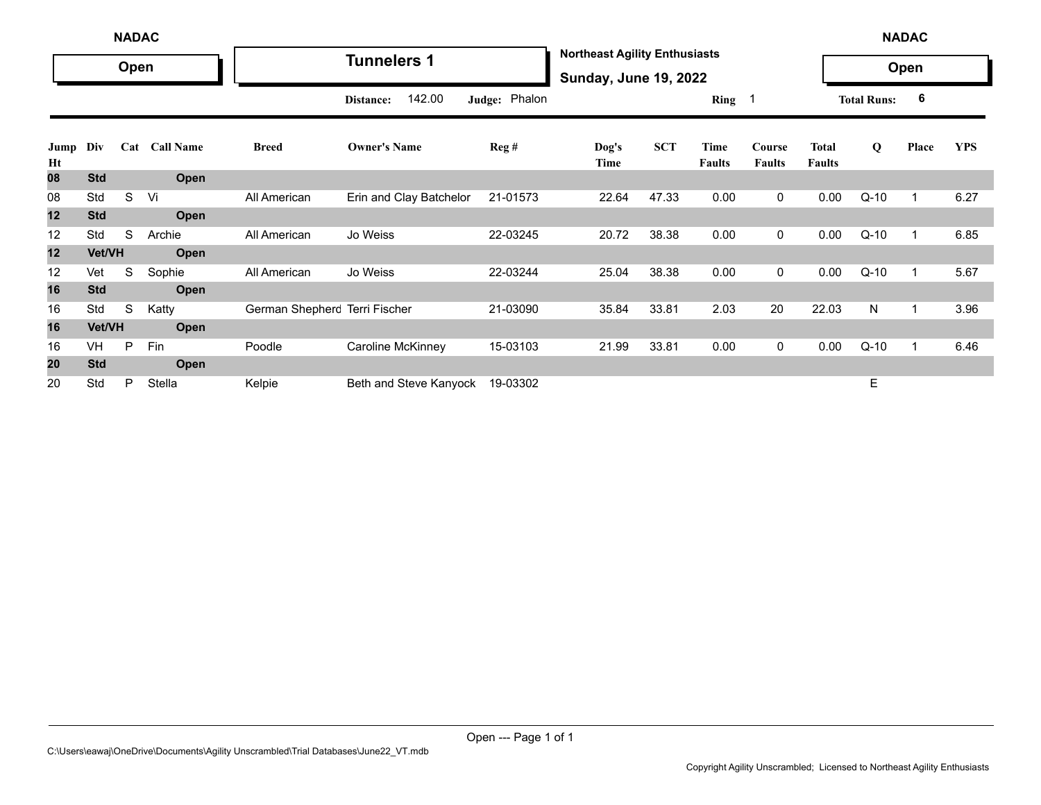|            | <b>NADAC</b> |      |               |                               |                         |               |                                                                      |            |                       |                         |                               |                    | <b>NADAC</b> |            |
|------------|--------------|------|---------------|-------------------------------|-------------------------|---------------|----------------------------------------------------------------------|------------|-----------------------|-------------------------|-------------------------------|--------------------|--------------|------------|
|            |              | Open |               |                               | <b>Tunnelers 1</b>      |               | <b>Northeast Agility Enthusiasts</b><br><b>Sunday, June 19, 2022</b> |            |                       |                         |                               |                    | Open         |            |
|            |              |      |               |                               | 142.00<br>Distance:     | Judge: Phalon |                                                                      |            | Ring 1                |                         |                               | <b>Total Runs:</b> | 6            |            |
| Jump<br>Ht | Div          |      | Cat Call Name | <b>Breed</b>                  | <b>Owner's Name</b>     | Reg#          | Dog's<br>Time                                                        | <b>SCT</b> | Time<br><b>Faults</b> | Course<br><b>Faults</b> | <b>Total</b><br><b>Faults</b> | Q                  | Place        | <b>YPS</b> |
| 08         | <b>Std</b>   |      | Open          |                               |                         |               |                                                                      |            |                       |                         |                               |                    |              |            |
| 08         | Std          | S    | Vi            | All American                  | Erin and Clay Batchelor | 21-01573      | 22.64                                                                | 47.33      | 0.00                  | $\mathbf{0}$            | 0.00                          | $Q-10$             | 1            | 6.27       |
| 12         | <b>Std</b>   |      | Open          |                               |                         |               |                                                                      |            |                       |                         |                               |                    |              |            |
| 12         | Std          | S    | Archie        | All American                  | Jo Weiss                | 22-03245      | 20.72                                                                | 38.38      | 0.00                  | $\mathbf 0$             | 0.00                          | $Q-10$             | 1            | 6.85       |
| 12         | Vet/VH       |      | Open          |                               |                         |               |                                                                      |            |                       |                         |                               |                    |              |            |
| 12         | Vet          | S    | Sophie        | All American                  | Jo Weiss                | 22-03244      | 25.04                                                                | 38.38      | 0.00                  | $\mathbf 0$             | 0.00                          | $Q-10$             | $\mathbf{1}$ | 5.67       |
| 16         | <b>Std</b>   |      | Open          |                               |                         |               |                                                                      |            |                       |                         |                               |                    |              |            |
| 16         | Std          | S    | Katty         | German Shepherc Terri Fischer |                         | 21-03090      | 35.84                                                                | 33.81      | 2.03                  | 20                      | 22.03                         | N                  | 1            | 3.96       |
| 16         | Vet/VH       |      | Open          |                               |                         |               |                                                                      |            |                       |                         |                               |                    |              |            |
| 16         | VH           | P    | Fin           | Poodle                        | Caroline McKinney       | 15-03103      | 21.99                                                                | 33.81      | 0.00                  | $\mathbf 0$             | 0.00                          | $Q-10$             | 1            | 6.46       |
| 20         | <b>Std</b>   |      | <b>Open</b>   |                               |                         |               |                                                                      |            |                       |                         |                               |                    |              |            |
| 20         | Std          | P    | Stella        | Kelpie                        | Beth and Steve Kanyock  | 19-03302      |                                                                      |            |                       |                         |                               | Е                  |              |            |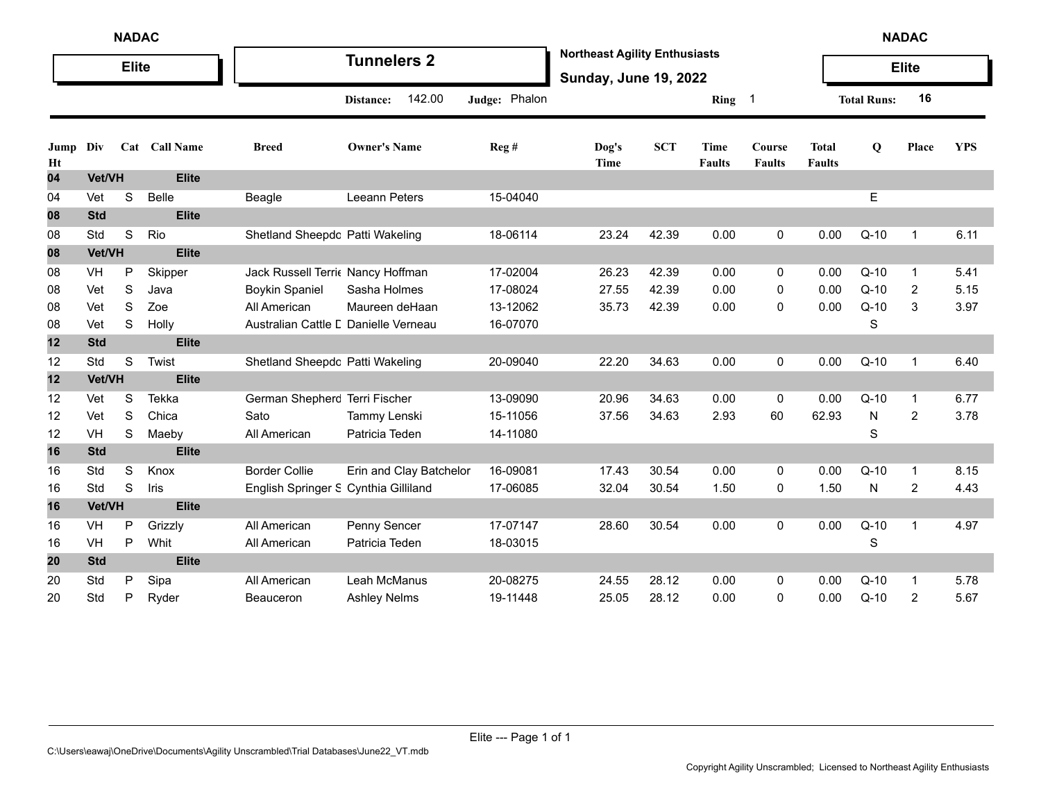|            | <b>NADAC</b> |              |               |                                      |                         |               |                                                                      |            |                              |                         |                               |                    | <b>NADAC</b>   |            |
|------------|--------------|--------------|---------------|--------------------------------------|-------------------------|---------------|----------------------------------------------------------------------|------------|------------------------------|-------------------------|-------------------------------|--------------------|----------------|------------|
|            |              | <b>Elite</b> |               |                                      | <b>Tunnelers 2</b>      |               | <b>Northeast Agility Enthusiasts</b><br><b>Sunday, June 19, 2022</b> |            |                              |                         |                               |                    | <b>Elite</b>   |            |
|            |              |              |               |                                      | 142.00<br>Distance:     | Judge: Phalon |                                                                      |            | Ring                         | - 1                     |                               | <b>Total Runs:</b> | 16             |            |
| Jump<br>Ht | Div          |              | Cat Call Name | <b>Breed</b>                         | <b>Owner's Name</b>     | Reg#          | Dog's<br>Time                                                        | <b>SCT</b> | <b>Time</b><br><b>Faults</b> | Course<br><b>Faults</b> | <b>Total</b><br><b>Faults</b> | Q                  | Place          | <b>YPS</b> |
| 04         | Vet/VH       |              | <b>Elite</b>  |                                      |                         |               |                                                                      |            |                              |                         |                               |                    |                |            |
| 04         | Vet          | S            | Belle         | Beagle                               | Leeann Peters           | 15-04040      |                                                                      |            |                              |                         |                               | E                  |                |            |
| 08         | <b>Std</b>   |              | <b>Elite</b>  |                                      |                         |               |                                                                      |            |                              |                         |                               |                    |                |            |
| 08         | Std          | S            | Rio           | Shetland Sheepdc Patti Wakeling      |                         | 18-06114      | 23.24                                                                | 42.39      | 0.00                         | 0                       | 0.00                          | $Q-10$             | $\mathbf 1$    | 6.11       |
| 08         | Vet/VH       |              | <b>Elite</b>  |                                      |                         |               |                                                                      |            |                              |                         |                               |                    |                |            |
| 08         | VH           | P            | Skipper       | Jack Russell Terri Nancy Hoffman     |                         | 17-02004      | 26.23                                                                | 42.39      | 0.00                         | 0                       | 0.00                          | $Q-10$             | $\overline{1}$ | 5.41       |
| 08         | Vet          | S            | Java          | <b>Boykin Spaniel</b>                | Sasha Holmes            | 17-08024      | 27.55                                                                | 42.39      | 0.00                         | 0                       | 0.00                          | $Q-10$             | 2              | 5.15       |
| 08         | Vet          | S            | Zoe           | All American                         | Maureen deHaan          | 13-12062      | 35.73                                                                | 42.39      | 0.00                         | 0                       | 0.00                          | $Q-10$             | 3              | 3.97       |
| 08         | Vet          | S            | Holly         | Australian Cattle L Danielle Verneau |                         | 16-07070      |                                                                      |            |                              |                         |                               | $\mathbf S$        |                |            |
| 12         | <b>Std</b>   |              | <b>Elite</b>  |                                      |                         |               |                                                                      |            |                              |                         |                               |                    |                |            |
| 12         | Std          | $\mathbf S$  | Twist         | Shetland Sheepdc Patti Wakeling      |                         | 20-09040      | 22.20                                                                | 34.63      | 0.00                         | 0                       | 0.00                          | $Q-10$             | $\mathbf{1}$   | 6.40       |
| 12         | Vet/VH       |              | <b>Elite</b>  |                                      |                         |               |                                                                      |            |                              |                         |                               |                    |                |            |
| 12         | Vet          | S            | Tekka         | German Shepherc Terri Fischer        |                         | 13-09090      | 20.96                                                                | 34.63      | 0.00                         | 0                       | 0.00                          | $Q-10$             | $\mathbf 1$    | 6.77       |
| 12         | Vet          | S            | Chica         | Sato                                 | Tammy Lenski            | 15-11056      | 37.56                                                                | 34.63      | 2.93                         | 60                      | 62.93                         | ${\sf N}$          | $\overline{2}$ | 3.78       |
| 12         | VH           | S            | Maeby         | All American                         | Patricia Teden          | 14-11080      |                                                                      |            |                              |                         |                               | S                  |                |            |
| 16         | <b>Std</b>   |              | <b>Elite</b>  |                                      |                         |               |                                                                      |            |                              |                         |                               |                    |                |            |
| 16         | Std          | S            | Knox          | <b>Border Collie</b>                 | Erin and Clay Batchelor | 16-09081      | 17.43                                                                | 30.54      | 0.00                         | 0                       | 0.00                          | $Q-10$             | $\mathbf{1}$   | 8.15       |
| 16         | Std          | S            | Iris          | English Springer S Cynthia Gilliland |                         | 17-06085      | 32.04                                                                | 30.54      | 1.50                         | 0                       | 1.50                          | $\mathsf{N}$       | $\overline{2}$ | 4.43       |
| 16         | Vet/VH       |              | <b>Elite</b>  |                                      |                         |               |                                                                      |            |                              |                         |                               |                    |                |            |
| 16         | VH           | $\mathsf{P}$ | Grizzly       | All American                         | Penny Sencer            | 17-07147      | 28.60                                                                | 30.54      | 0.00                         | 0                       | 0.00                          | $Q-10$             | $\overline{1}$ | 4.97       |
| 16         | VH           | P            | Whit          | All American                         | Patricia Teden          | 18-03015      |                                                                      |            |                              |                         |                               | $\mathbf S$        |                |            |
| 20         | <b>Std</b>   |              | <b>Elite</b>  |                                      |                         |               |                                                                      |            |                              |                         |                               |                    |                |            |
| 20         | Std          | P            | Sipa          | All American                         | Leah McManus            | 20-08275      | 24.55                                                                | 28.12      | 0.00                         | 0                       | 0.00                          | $Q-10$             | $\mathbf 1$    | 5.78       |
| 20         | Std          | P            | Ryder         | Beauceron                            | <b>Ashley Nelms</b>     | 19-11448      | 25.05                                                                | 28.12      | 0.00                         | 0                       | 0.00                          | $Q-10$             | $\overline{2}$ | 5.67       |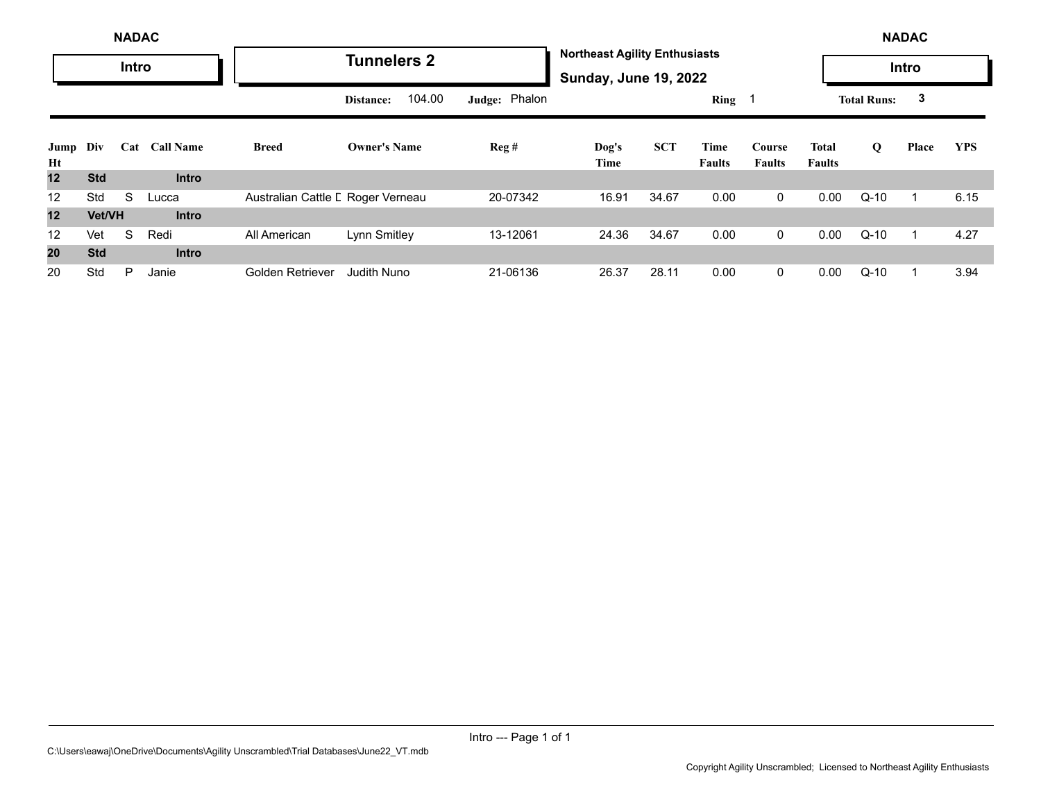|                |               | <b>NADAC</b> |                  |                                   |                     |               |                                                                      |            |                       |                         |                        |                    | <b>NADAC</b> |            |
|----------------|---------------|--------------|------------------|-----------------------------------|---------------------|---------------|----------------------------------------------------------------------|------------|-----------------------|-------------------------|------------------------|--------------------|--------------|------------|
|                |               | Intro        |                  |                                   | <b>Tunnelers 2</b>  |               | <b>Northeast Agility Enthusiasts</b><br><b>Sunday, June 19, 2022</b> |            |                       |                         |                        |                    | <b>Intro</b> |            |
|                |               |              |                  |                                   | 104.00<br>Distance: | Judge: Phalon |                                                                      |            | Ring 1                |                         |                        | <b>Total Runs:</b> | 3            |            |
| Jump Div<br>Ht |               | Cat          | <b>Call Name</b> | <b>Breed</b>                      | <b>Owner's Name</b> | Reg#          | Dog's<br>Time                                                        | <b>SCT</b> | Time<br><b>Faults</b> | Course<br><b>Faults</b> | Total<br><b>Faults</b> | Q                  | Place        | <b>YPS</b> |
| 12             | <b>Std</b>    |              | <b>Intro</b>     |                                   |                     |               |                                                                      |            |                       |                         |                        |                    |              |            |
| 12             | Std           | S            | Lucca            | Australian Cattle L Roger Verneau |                     | 20-07342      | 16.91                                                                | 34.67      | 0.00                  | $\mathbf 0$             | 0.00                   | $Q-10$             |              | 6.15       |
| 12             | <b>Vet/VH</b> |              | <b>Intro</b>     |                                   |                     |               |                                                                      |            |                       |                         |                        |                    |              |            |
| 12             | Vet           | S            | Redi             | All American                      | Lynn Smitley        | 13-12061      | 24.36                                                                | 34.67      | 0.00                  | $\mathbf 0$             | 0.00                   | $Q-10$             |              | 4.27       |
| 20             | <b>Std</b>    |              | <b>Intro</b>     |                                   |                     |               |                                                                      |            |                       |                         |                        |                    |              |            |
| 20             | Std           | P            | Janie            | Golden Retriever                  | <b>Judith Nuno</b>  | 21-06136      | 26.37                                                                | 28.11      | 0.00                  | $\mathbf{0}$            | 0.00                   | $Q-10$             |              | 3.94       |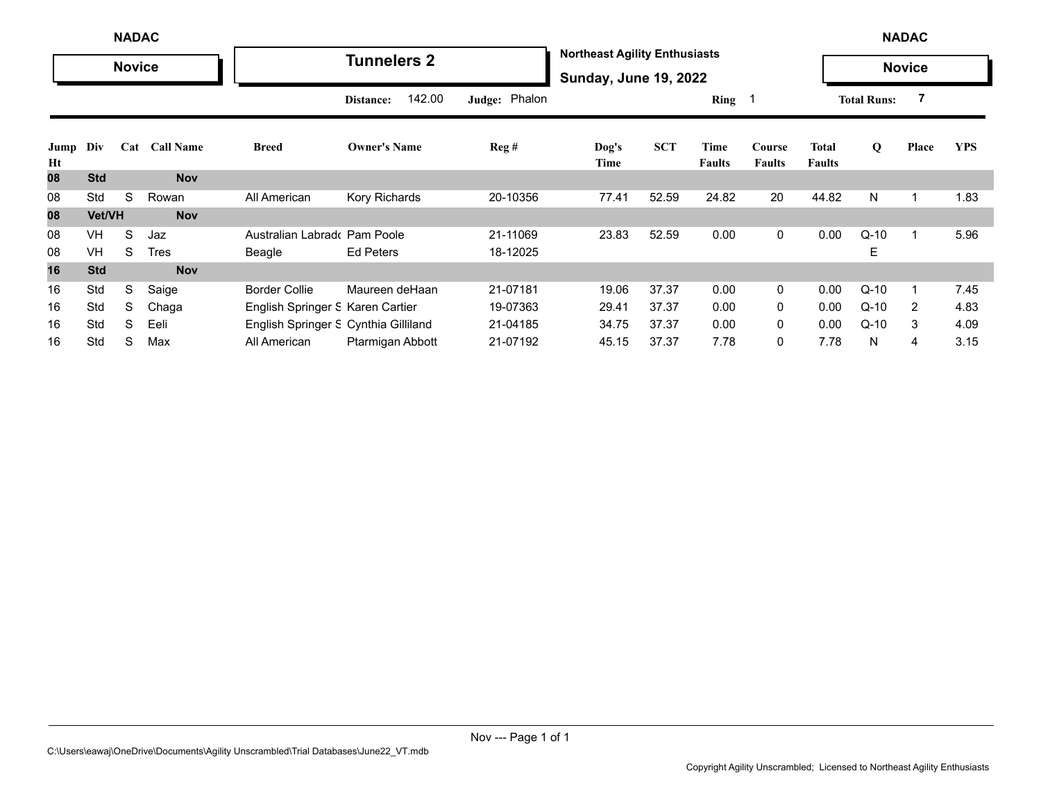|            |            | <b>NADAC</b>  |               |                                      |                     |                  |                                                                      |            |                       |                         |                               |                    | <b>NADAC</b>            |            |
|------------|------------|---------------|---------------|--------------------------------------|---------------------|------------------|----------------------------------------------------------------------|------------|-----------------------|-------------------------|-------------------------------|--------------------|-------------------------|------------|
|            |            | <b>Novice</b> |               |                                      | <b>Tunnelers 2</b>  |                  | <b>Northeast Agility Enthusiasts</b><br><b>Sunday, June 19, 2022</b> |            |                       |                         |                               |                    | <b>Novice</b>           |            |
|            |            |               |               |                                      | 142.00<br>Distance: | Judge: Phalon    |                                                                      |            | $Ring \t1$            |                         |                               | <b>Total Runs:</b> |                         |            |
| Jump<br>Ht | Div        |               | Cat Call Name | <b>Breed</b>                         | <b>Owner's Name</b> | $\text{Reg } \#$ | Dog's<br>Time                                                        | <b>SCT</b> | Time<br><b>Faults</b> | Course<br><b>Faults</b> | <b>Total</b><br><b>Faults</b> | Q                  | Place                   | <b>YPS</b> |
| 08         | <b>Std</b> |               | <b>Nov</b>    |                                      |                     |                  |                                                                      |            |                       |                         |                               |                    |                         |            |
| 08         | Std        | S             | Rowan         | All American                         | Kory Richards       | 20-10356         | 77.41                                                                | 52.59      | 24.82                 | 20                      | 44.82                         | N                  | $\overline{\mathbf{1}}$ | 1.83       |
| 08         | Vet/VH     |               | <b>Nov</b>    |                                      |                     |                  |                                                                      |            |                       |                         |                               |                    |                         |            |
| 08         | VH         | S             | Jaz           | Australian Labrad Pam Poole          |                     | 21-11069         | 23.83                                                                | 52.59      | 0.00                  | 0                       | 0.00                          | $Q-10$             | $\mathbf 1$             | 5.96       |
| 08         | VH         | S             | <b>Tres</b>   | Beagle                               | Ed Peters           | 18-12025         |                                                                      |            |                       |                         |                               | E                  |                         |            |
| 16         | <b>Std</b> |               | <b>Nov</b>    |                                      |                     |                  |                                                                      |            |                       |                         |                               |                    |                         |            |
| 16         | Std        | S             | Saige         | <b>Border Collie</b>                 | Maureen deHaan      | 21-07181         | 19.06                                                                | 37.37      | 0.00                  | 0                       | 0.00                          | $Q-10$             |                         | 7.45       |
| 16         | Std        | S             | Chaga         | English Springer S Karen Cartier     |                     | 19-07363         | 29.41                                                                | 37.37      | 0.00                  | 0                       | 0.00                          | $Q-10$             | 2                       | 4.83       |
| 16         | Std        | S             | Eeli          | English Springer S Cynthia Gilliland |                     | 21-04185         | 34.75                                                                | 37.37      | 0.00                  | $\mathbf{0}$            | 0.00                          | $Q-10$             | 3                       | 4.09       |
| 16         | Std        | S             | Max           | All American                         | Ptarmigan Abbott    | 21-07192         | 45.15                                                                | 37.37      | 7.78                  | 0                       | 7.78                          | N                  | 4                       | 3.15       |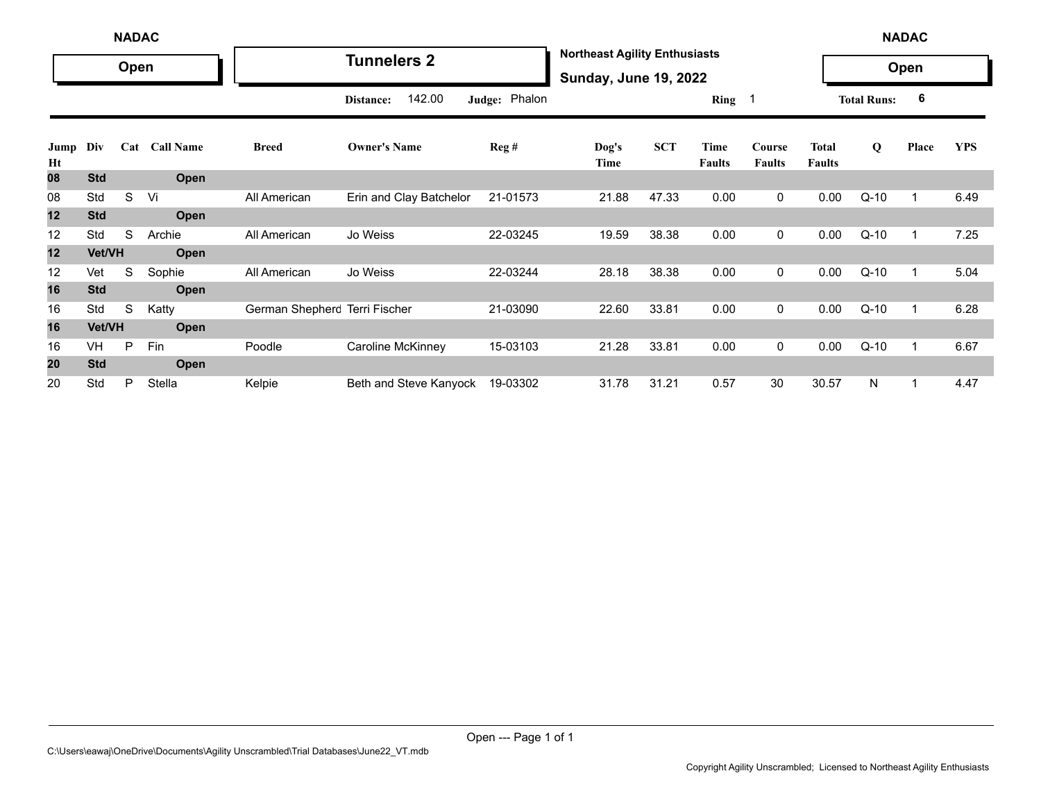|            | <b>NADAC</b> |      |                  |                               |                         |               |                                                                      |            |                       |                         |                               | <b>NADAC</b>       |       |            |
|------------|--------------|------|------------------|-------------------------------|-------------------------|---------------|----------------------------------------------------------------------|------------|-----------------------|-------------------------|-------------------------------|--------------------|-------|------------|
|            |              | Open |                  |                               | <b>Tunnelers 2</b>      |               | <b>Northeast Agility Enthusiasts</b><br><b>Sunday, June 19, 2022</b> |            |                       |                         |                               |                    | Open  |            |
|            |              |      |                  |                               | 142.00<br>Distance:     | Judge: Phalon |                                                                      |            | Ring <sub>1</sub>     |                         |                               | <b>Total Runs:</b> | 6     |            |
| Jump<br>Ht | Div          | Cat  | <b>Call Name</b> | <b>Breed</b>                  | <b>Owner's Name</b>     | Reg#          | $\log's$<br>Time                                                     | <b>SCT</b> | Time<br><b>Faults</b> | Course<br><b>Faults</b> | <b>Total</b><br><b>Faults</b> | Q                  | Place | <b>YPS</b> |
| 08         | <b>Std</b>   |      | Open             |                               |                         |               |                                                                      |            |                       |                         |                               |                    |       |            |
| 08         | Std          | S    | Vi               | All American                  | Erin and Clay Batchelor | 21-01573      | 21.88                                                                | 47.33      | 0.00                  | 0                       | 0.00                          | $Q-10$             |       | 6.49       |
| 12         | <b>Std</b>   |      | Open             |                               |                         |               |                                                                      |            |                       |                         |                               |                    |       |            |
| 12         | Std          | S    | Archie           | All American                  | Jo Weiss                | 22-03245      | 19.59                                                                | 38.38      | 0.00                  | 0                       | 0.00                          | $Q-10$             | -1    | 7.25       |
| 12         | Vet/VH       |      | Open             |                               |                         |               |                                                                      |            |                       |                         |                               |                    |       |            |
| 12         | Vet          | S    | Sophie           | All American                  | Jo Weiss                | 22-03244      | 28.18                                                                | 38.38      | 0.00                  | 0                       | 0.00                          | $Q-10$             | -1    | 5.04       |
| 16         | <b>Std</b>   |      | Open             |                               |                         |               |                                                                      |            |                       |                         |                               |                    |       |            |
| 16         | Std          | S    | Katty            | German Shepherc Terri Fischer |                         | 21-03090      | 22.60                                                                | 33.81      | 0.00                  | 0                       | 0.00                          | $Q-10$             |       | 6.28       |
| 16         | Vet/VH       |      | Open             |                               |                         |               |                                                                      |            |                       |                         |                               |                    |       |            |
| 16         | VH           | P    | Fin              | Poodle                        | Caroline McKinney       | 15-03103      | 21.28                                                                | 33.81      | 0.00                  | $\mathbf 0$             | 0.00                          | $Q-10$             |       | 6.67       |
| 20         | <b>Std</b>   |      | Open             |                               |                         |               |                                                                      |            |                       |                         |                               |                    |       |            |
| 20         | Std          | P    | Stella           | Kelpie                        | Beth and Steve Kanyock  | 19-03302      | 31.78                                                                | 31.21      | 0.57                  | 30                      | 30.57                         | N                  |       | 4.47       |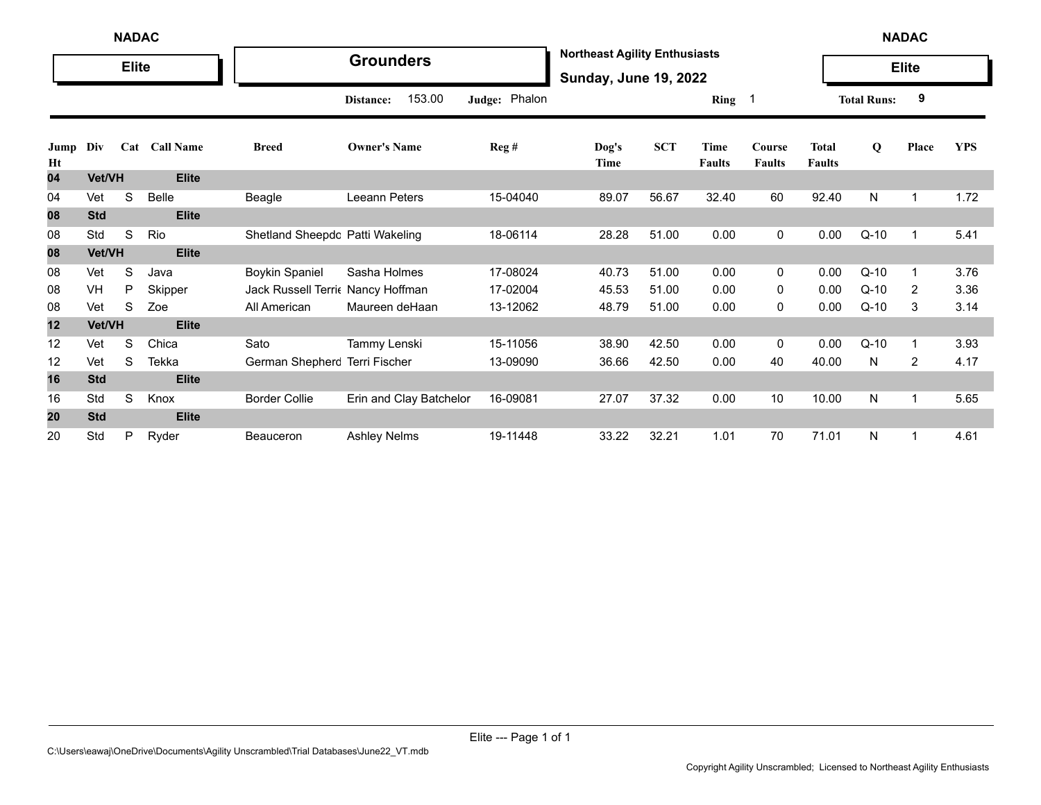|            | <b>NADAC</b><br><b>Elite</b> |   |                      |                                  |                         |               |                                                                      |            |                              |                         |                               |                    | <b>NADAC</b>            |            |
|------------|------------------------------|---|----------------------|----------------------------------|-------------------------|---------------|----------------------------------------------------------------------|------------|------------------------------|-------------------------|-------------------------------|--------------------|-------------------------|------------|
|            |                              |   |                      |                                  | <b>Grounders</b>        |               | <b>Northeast Agility Enthusiasts</b><br><b>Sunday, June 19, 2022</b> |            |                              |                         |                               |                    | <b>Elite</b>            |            |
|            |                              |   |                      |                                  | 153.00<br>Distance:     | Judge: Phalon |                                                                      |            | Ring 1                       |                         |                               | <b>Total Runs:</b> | 9                       |            |
| Jump<br>Ht | Div                          |   | <b>Cat Call Name</b> | <b>Breed</b>                     | <b>Owner's Name</b>     | Reg#          | Dog's<br>Time                                                        | <b>SCT</b> | <b>Time</b><br><b>Faults</b> | Course<br><b>Faults</b> | <b>Total</b><br><b>Faults</b> | $\mathbf Q$        | Place                   | <b>YPS</b> |
| 04         | Vet/VH                       |   | <b>Elite</b>         |                                  |                         |               |                                                                      |            |                              |                         |                               |                    |                         |            |
| 04         | Vet                          | S | Belle                | Beagle                           | <b>Leeann Peters</b>    | 15-04040      | 89.07                                                                | 56.67      | 32.40                        | 60                      | 92.40                         | N                  | $\overline{\mathbf{1}}$ | 1.72       |
| 08         | <b>Std</b>                   |   | <b>Elite</b>         |                                  |                         |               |                                                                      |            |                              |                         |                               |                    |                         |            |
| 08         | Std                          | S | Rio                  | Shetland Sheepdc Patti Wakeling  |                         | 18-06114      | 28.28                                                                | 51.00      | 0.00                         | 0                       | 0.00                          | $Q-10$             | -1                      | 5.41       |
| 08         | Vet/VH                       |   | <b>Elite</b>         |                                  |                         |               |                                                                      |            |                              |                         |                               |                    |                         |            |
| 08         | Vet                          | S | Java                 | <b>Boykin Spaniel</b>            | Sasha Holmes            | 17-08024      | 40.73                                                                | 51.00      | 0.00                         | 0                       | 0.00                          | $Q-10$             |                         | 3.76       |
| 08         | VH                           | P | Skipper              | Jack Russell Terri Nancy Hoffman |                         | 17-02004      | 45.53                                                                | 51.00      | 0.00                         | 0                       | 0.00                          | $Q-10$             | 2                       | 3.36       |
| 08         | Vet                          | S | Zoe                  | All American                     | Maureen deHaan          | 13-12062      | 48.79                                                                | 51.00      | 0.00                         | 0                       | 0.00                          | $Q-10$             | 3                       | 3.14       |
| 12         | Vet/VH                       |   | <b>Elite</b>         |                                  |                         |               |                                                                      |            |                              |                         |                               |                    |                         |            |
| 12         | Vet                          | S | Chica                | Sato                             | Tammy Lenski            | 15-11056      | 38.90                                                                | 42.50      | 0.00                         | 0                       | 0.00                          | $Q-10$             | -1                      | 3.93       |
| 12         | Vet                          | S | <b>Tekka</b>         | German Shepherc Terri Fischer    |                         | 13-09090      | 36.66                                                                | 42.50      | 0.00                         | 40                      | 40.00                         | N                  | 2                       | 4.17       |
| 16         | <b>Std</b>                   |   | <b>Elite</b>         |                                  |                         |               |                                                                      |            |                              |                         |                               |                    |                         |            |
| 16         | Std                          | S | Knox                 | <b>Border Collie</b>             | Erin and Clay Batchelor | 16-09081      | 27.07                                                                | 37.32      | 0.00                         | 10                      | 10.00                         | N                  | -1                      | 5.65       |
| 20         | <b>Std</b>                   |   | <b>Elite</b>         |                                  |                         |               |                                                                      |            |                              |                         |                               |                    |                         |            |
| 20         | Std                          | P | Ryder                | <b>Beauceron</b>                 | <b>Ashley Nelms</b>     | 19-11448      | 33.22                                                                | 32.21      | 1.01                         | 70                      | 71.01                         | N                  | -1                      | 4.61       |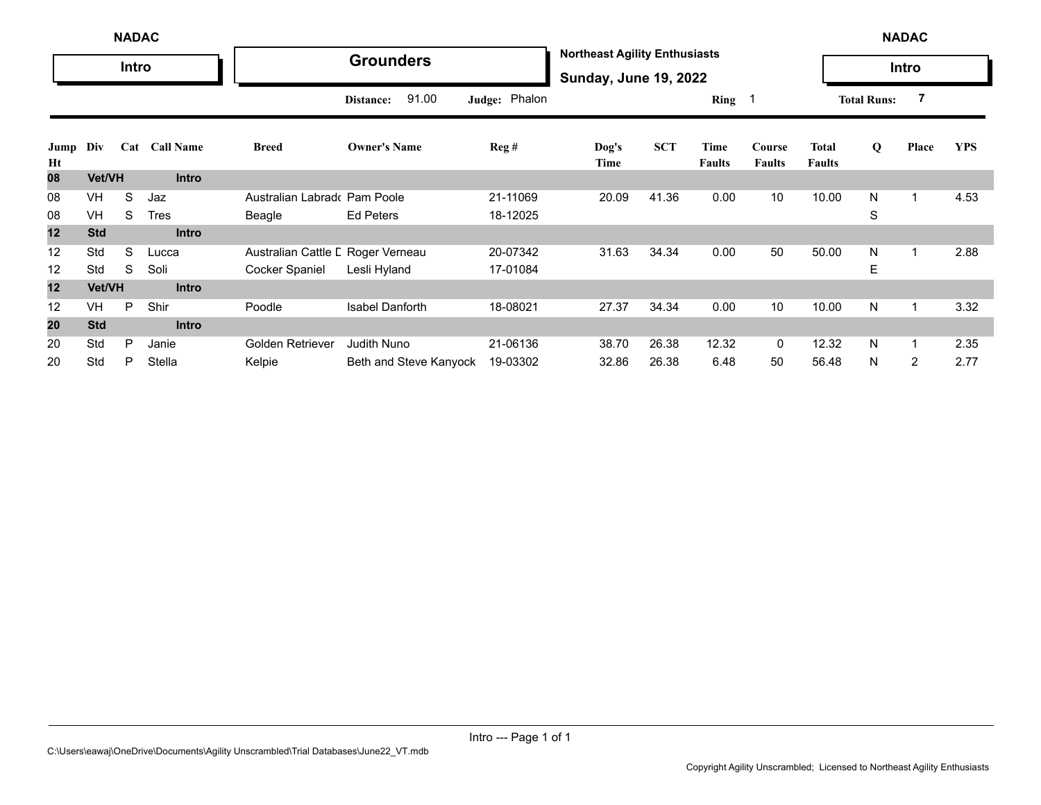|            | <b>NADAC</b>  |       |                  |                                   |                        |               |                                                                      |            |                       |                         |                               |                    | <b>NADAC</b> |            |
|------------|---------------|-------|------------------|-----------------------------------|------------------------|---------------|----------------------------------------------------------------------|------------|-----------------------|-------------------------|-------------------------------|--------------------|--------------|------------|
|            |               | Intro |                  |                                   | <b>Grounders</b>       |               | <b>Northeast Agility Enthusiasts</b><br><b>Sunday, June 19, 2022</b> |            |                       |                         |                               |                    | Intro        |            |
|            |               |       |                  |                                   | 91.00<br>Distance:     | Judge: Phalon |                                                                      |            | $Ring \t1$            |                         |                               | <b>Total Runs:</b> | 7            |            |
| Jump<br>Ht | Div           | Cat   | <b>Call Name</b> | <b>Breed</b>                      | <b>Owner's Name</b>    | Reg#          | Dog's<br>Time                                                        | <b>SCT</b> | Time<br><b>Faults</b> | Course<br><b>Faults</b> | <b>Total</b><br><b>Faults</b> | Q                  | Place        | <b>YPS</b> |
| 08         | <b>Vet/VH</b> |       | <b>Intro</b>     |                                   |                        |               |                                                                      |            |                       |                         |                               |                    |              |            |
| 08         | VH            | S     | Jaz              | Australian Labrado                | Pam Poole              | 21-11069      | 20.09                                                                | 41.36      | 0.00                  | 10                      | 10.00                         | N                  |              | 4.53       |
| 08         | VH            | S     | <b>Tres</b>      | Beagle                            | <b>Ed Peters</b>       | 18-12025      |                                                                      |            |                       |                         |                               | S                  |              |            |
| 12         | <b>Std</b>    |       | <b>Intro</b>     |                                   |                        |               |                                                                      |            |                       |                         |                               |                    |              |            |
| 12         | Std           | S     | Lucca            | Australian Cattle L Roger Verneau |                        | 20-07342      | 31.63                                                                | 34.34      | 0.00                  | 50                      | 50.00                         | N                  |              | 2.88       |
| 12         | Std           | S     | Soli             | Cocker Spaniel                    | Lesli Hyland           | 17-01084      |                                                                      |            |                       |                         |                               | E                  |              |            |
| 12         | Vet/VH        |       | <b>Intro</b>     |                                   |                        |               |                                                                      |            |                       |                         |                               |                    |              |            |
| 12         | <b>VH</b>     | P     | Shir             | Poodle                            | <b>Isabel Danforth</b> | 18-08021      | 27.37                                                                | 34.34      | 0.00                  | 10                      | 10.00                         | N                  |              | 3.32       |
| 20         | <b>Std</b>    |       | <b>Intro</b>     |                                   |                        |               |                                                                      |            |                       |                         |                               |                    |              |            |
| 20         | Std           | P     | Janie            | Golden Retriever                  | <b>Judith Nuno</b>     | 21-06136      | 38.70                                                                | 26.38      | 12.32                 | 0                       | 12.32                         | N                  |              | 2.35       |
| 20         | Std           | P     | Stella           | Kelpie                            | Beth and Steve Kanyock | 19-03302      | 32.86                                                                | 26.38      | 6.48                  | 50                      | 56.48                         | N                  | 2            | 2.77       |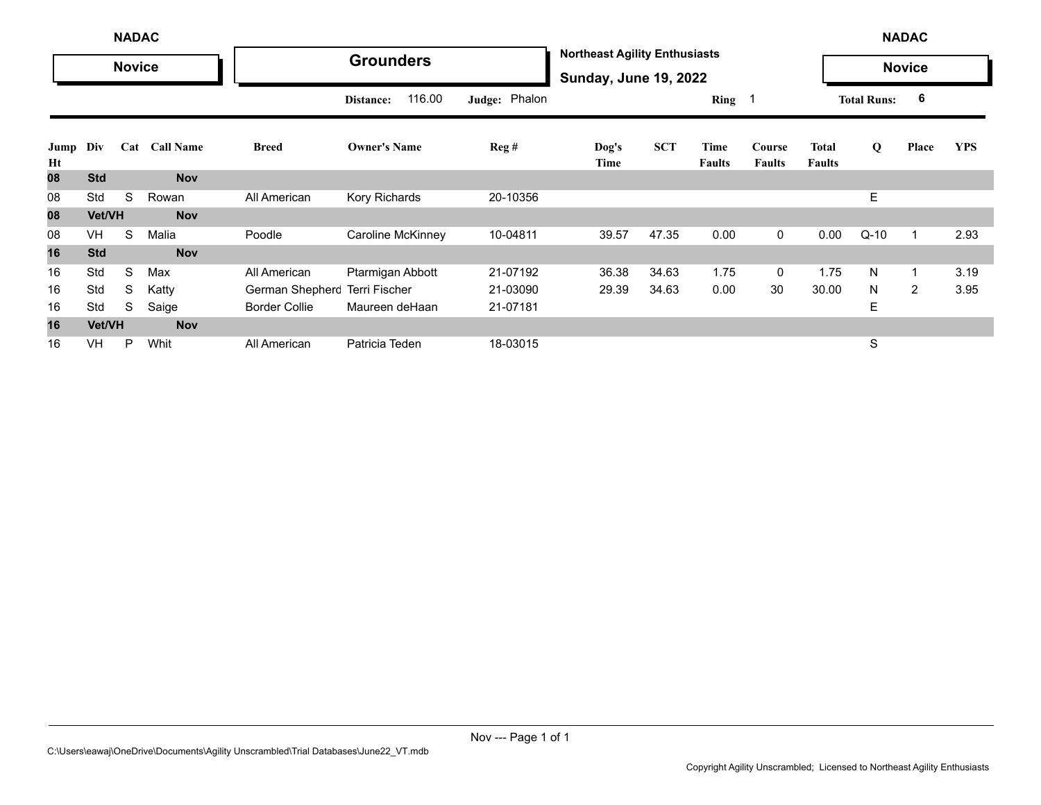|            |               | <b>NADAC</b>  |                  |                               |                     |               |                                                                      |            |                       |                         |                               |                    | <b>NADAC</b>   |            |
|------------|---------------|---------------|------------------|-------------------------------|---------------------|---------------|----------------------------------------------------------------------|------------|-----------------------|-------------------------|-------------------------------|--------------------|----------------|------------|
|            |               | <b>Novice</b> |                  |                               | <b>Grounders</b>    |               | <b>Northeast Agility Enthusiasts</b><br><b>Sunday, June 19, 2022</b> |            |                       |                         |                               |                    | <b>Novice</b>  |            |
|            |               |               |                  |                               | 116.00<br>Distance: | Judge: Phalon |                                                                      |            | Ring 1                |                         |                               | <b>Total Runs:</b> | 6              |            |
| Jump<br>Ht | Div           | Cat           | <b>Call Name</b> | <b>Breed</b>                  | <b>Owner's Name</b> | Reg#          | Dog's<br>Time                                                        | <b>SCT</b> | Time<br><b>Faults</b> | Course<br><b>Faults</b> | <b>Total</b><br><b>Faults</b> | Q                  | Place          | <b>YPS</b> |
| 80         | <b>Std</b>    |               | <b>Nov</b>       |                               |                     |               |                                                                      |            |                       |                         |                               |                    |                |            |
| 08         | Std           | S             | Rowan            | All American                  | Kory Richards       | 20-10356      |                                                                      |            |                       |                         |                               | E                  |                |            |
| 08         | <b>Vet/VH</b> |               | <b>Nov</b>       |                               |                     |               |                                                                      |            |                       |                         |                               |                    |                |            |
| 08         | <b>VH</b>     | S             | Malia            | Poodle                        | Caroline McKinney   | 10-04811      | 39.57                                                                | 47.35      | 0.00                  | $\mathbf 0$             | 0.00                          | $Q-10$             |                | 2.93       |
| 16         | <b>Std</b>    |               | <b>Nov</b>       |                               |                     |               |                                                                      |            |                       |                         |                               |                    |                |            |
| 16         | Std           | S             | Max              | All American                  | Ptarmigan Abbott    | 21-07192      | 36.38                                                                | 34.63      | 1.75                  | 0                       | 1.75                          | N                  |                | 3.19       |
| 16         | Std           | S             | Katty            | German Shepherc Terri Fischer |                     | 21-03090      | 29.39                                                                | 34.63      | 0.00                  | 30                      | 30.00                         | N.                 | $\overline{2}$ | 3.95       |
| 16         | Std           | S             | Saige            | <b>Border Collie</b>          | Maureen deHaan      | 21-07181      |                                                                      |            |                       |                         |                               | Е                  |                |            |
| 16         | Vet/VH        |               | <b>Nov</b>       |                               |                     |               |                                                                      |            |                       |                         |                               |                    |                |            |
| 16         | VH            | P             | Whit             | All American                  | Patricia Teden      | 18-03015      |                                                                      |            |                       |                         |                               | S                  |                |            |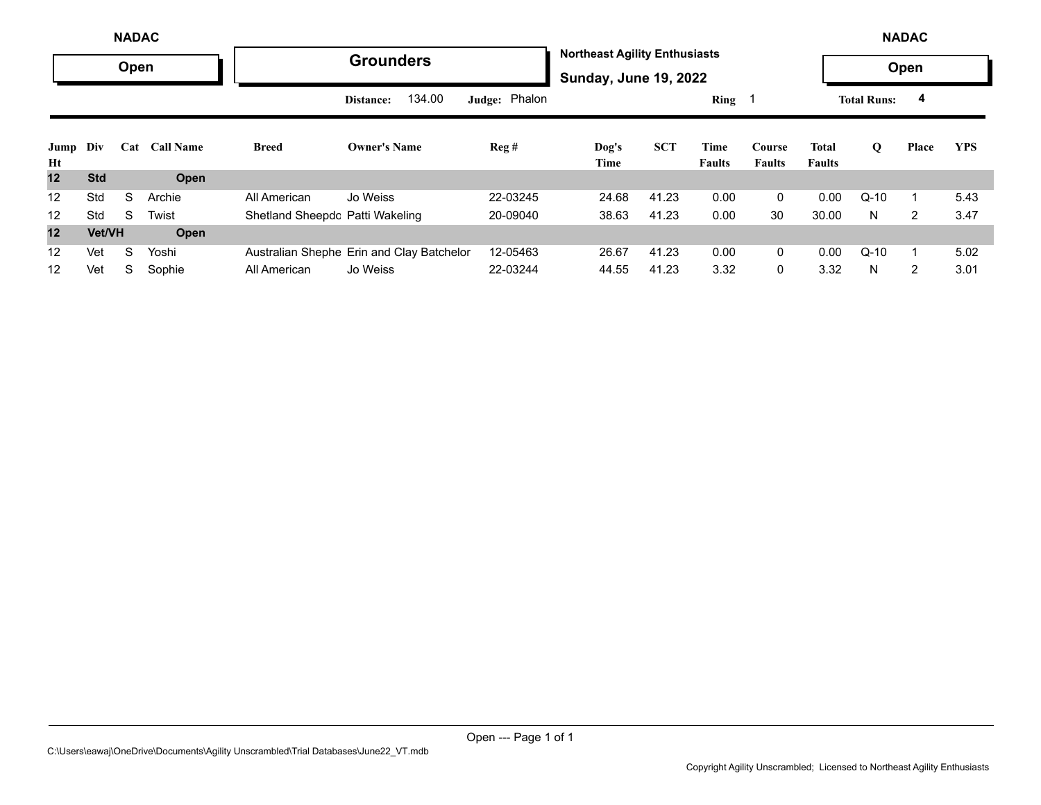|            |            | <b>NADAC</b> |               |                                 |                                           |               |                                                                      |            |                       |                         |                        |                    | <b>NADAC</b>   |            |
|------------|------------|--------------|---------------|---------------------------------|-------------------------------------------|---------------|----------------------------------------------------------------------|------------|-----------------------|-------------------------|------------------------|--------------------|----------------|------------|
|            |            | Open         |               |                                 | <b>Grounders</b>                          |               | <b>Northeast Agility Enthusiasts</b><br><b>Sunday, June 19, 2022</b> |            |                       |                         |                        |                    | Open           |            |
|            |            |              |               |                                 | 134.00<br>Distance:                       | Judge: Phalon |                                                                      |            | Ring                  |                         |                        | <b>Total Runs:</b> | 4              |            |
| Jump<br>Ht | Div        |              | Cat Call Name | <b>Breed</b>                    | <b>Owner's Name</b>                       | Reg#          | Dog's<br>Time                                                        | <b>SCT</b> | Time<br><b>Faults</b> | Course<br><b>Faults</b> | Total<br><b>Faults</b> | Q                  | Place          | <b>YPS</b> |
| 12         | <b>Std</b> |              | Open          |                                 |                                           |               |                                                                      |            |                       |                         |                        |                    |                |            |
| 12         | Std        | S            | Archie        | All American                    | Jo Weiss                                  | 22-03245      | 24.68                                                                | 41.23      | 0.00                  | $\Omega$                | 0.00                   | $Q-10$             |                | 5.43       |
| 12         | Std        | S.           | Twist         | Shetland Sheepdc Patti Wakeling |                                           | 20-09040      | 38.63                                                                | 41.23      | 0.00                  | 30                      | 30.00                  | N                  | 2              | 3.47       |
| 12         | Vet/VH     |              | Open          |                                 |                                           |               |                                                                      |            |                       |                         |                        |                    |                |            |
| 12         | Vet        | S            | Yoshi         |                                 | Australian Shephe Erin and Clay Batchelor | 12-05463      | 26.67                                                                | 41.23      | 0.00                  | $\mathbf{0}$            | 0.00                   | $Q-10$             |                | 5.02       |
| 12         | Vet        | S            | Sophie        | All American                    | Jo Weiss                                  | 22-03244      | 44.55                                                                | 41.23      | 3.32                  | $\Omega$                | 3.32                   | N                  | $\overline{2}$ | 3.01       |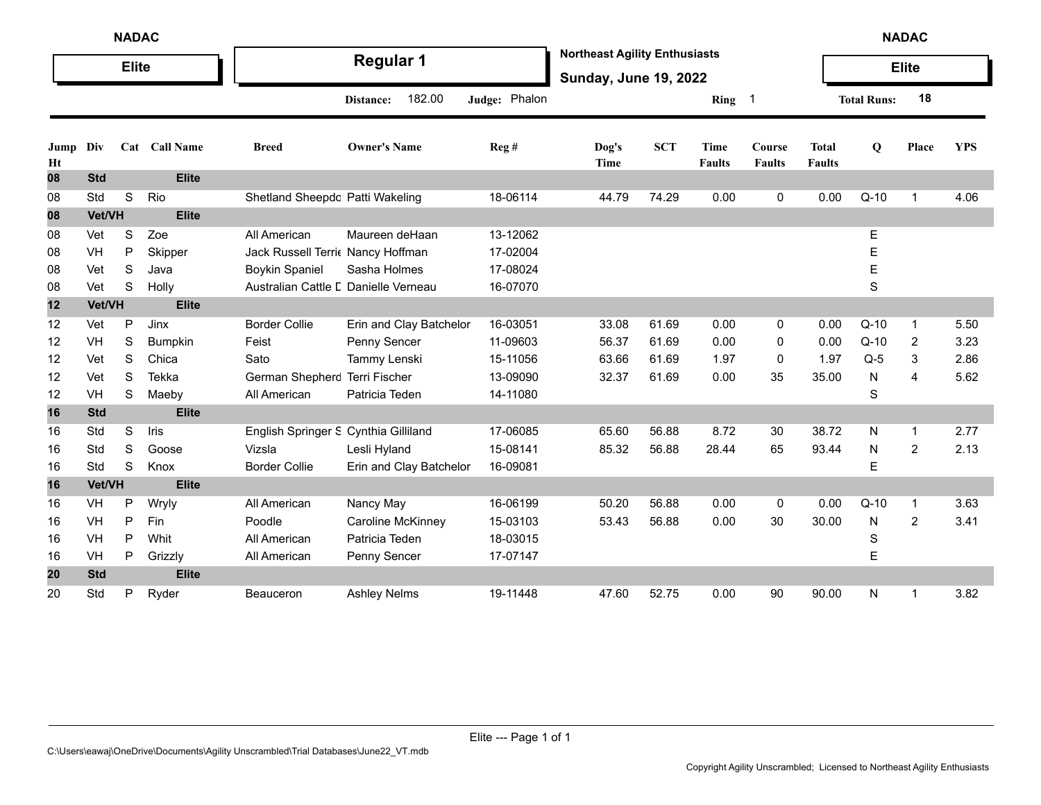|            | <b>NADAC</b> |              |                |                                      |                         |               |                                                                      |            |                              |                         |                               |                    | <b>NADAC</b>   |            |
|------------|--------------|--------------|----------------|--------------------------------------|-------------------------|---------------|----------------------------------------------------------------------|------------|------------------------------|-------------------------|-------------------------------|--------------------|----------------|------------|
|            |              | <b>Elite</b> |                |                                      | <b>Regular 1</b>        |               | <b>Northeast Agility Enthusiasts</b><br><b>Sunday, June 19, 2022</b> |            |                              |                         |                               |                    | <b>Elite</b>   |            |
|            |              |              |                |                                      | 182.00<br>Distance:     | Judge: Phalon |                                                                      |            | Ring 1                       |                         |                               | <b>Total Runs:</b> | 18             |            |
| Jump<br>Ht | Div          |              | Cat Call Name  | <b>Breed</b>                         | <b>Owner's Name</b>     | Reg #         | Dog's<br><b>Time</b>                                                 | <b>SCT</b> | <b>Time</b><br><b>Faults</b> | Course<br><b>Faults</b> | <b>Total</b><br><b>Faults</b> | Q                  | Place          | <b>YPS</b> |
| 08         | <b>Std</b>   |              | <b>Elite</b>   |                                      |                         |               |                                                                      |            |                              |                         |                               |                    |                |            |
| 08         | Std          | S            | Rio            | Shetland Sheepdc Patti Wakeling      |                         | 18-06114      | 44.79                                                                | 74.29      | 0.00                         | 0                       | 0.00                          | $Q-10$             | 1              | 4.06       |
| 08         | Vet/VH       |              | <b>Elite</b>   |                                      |                         |               |                                                                      |            |                              |                         |                               |                    |                |            |
| 08         | Vet          | $\mathbf S$  | Zoe            | All American                         | Maureen deHaan          | 13-12062      |                                                                      |            |                              |                         |                               | Е                  |                |            |
| 08         | VH           | P            | Skipper        | Jack Russell Terri Nancy Hoffman     |                         | 17-02004      |                                                                      |            |                              |                         |                               | E                  |                |            |
| 08         | Vet          | S            | Java           | <b>Boykin Spaniel</b>                | Sasha Holmes            | 17-08024      |                                                                      |            |                              |                         |                               | E                  |                |            |
| 08         | Vet          | S            | Holly          | Australian Cattle L Danielle Verneau |                         | 16-07070      |                                                                      |            |                              |                         |                               | S                  |                |            |
| 12         | Vet/VH       |              | <b>Elite</b>   |                                      |                         |               |                                                                      |            |                              |                         |                               |                    |                |            |
| 12         | Vet          | P            | Jinx           | <b>Border Collie</b>                 | Erin and Clay Batchelor | 16-03051      | 33.08                                                                | 61.69      | 0.00                         | 0                       | 0.00                          | $Q-10$             | $\mathbf{1}$   | 5.50       |
| 12         | VH           | S            | <b>Bumpkin</b> | Feist                                | Penny Sencer            | 11-09603      | 56.37                                                                | 61.69      | 0.00                         | 0                       | 0.00                          | $Q-10$             | 2              | 3.23       |
| 12         | Vet          | S            | Chica          | Sato                                 | Tammy Lenski            | 15-11056      | 63.66                                                                | 61.69      | 1.97                         | 0                       | 1.97                          | $Q-5$              | 3              | 2.86       |
| 12         | Vet          | S            | Tekka          | German Shepherc Terri Fischer        |                         | 13-09090      | 32.37                                                                | 61.69      | 0.00                         | 35                      | 35.00                         | N                  | 4              | 5.62       |
| 12         | <b>VH</b>    | S            | Maeby          | All American                         | Patricia Teden          | 14-11080      |                                                                      |            |                              |                         |                               | S                  |                |            |
| 16         | <b>Std</b>   |              | <b>Elite</b>   |                                      |                         |               |                                                                      |            |                              |                         |                               |                    |                |            |
| 16         | Std          | S            | Iris           | English Springer S Cynthia Gilliland |                         | 17-06085      | 65.60                                                                | 56.88      | 8.72                         | 30                      | 38.72                         | N                  | $\mathbf{1}$   | 2.77       |
| 16         | Std          | S            | Goose          | Vizsla                               | Lesli Hyland            | 15-08141      | 85.32                                                                | 56.88      | 28.44                        | 65                      | 93.44                         | N                  | 2              | 2.13       |
| 16         | Std          | S            | Knox           | <b>Border Collie</b>                 | Erin and Clay Batchelor | 16-09081      |                                                                      |            |                              |                         |                               | E                  |                |            |
| 16         | Vet/VH       |              | <b>Elite</b>   |                                      |                         |               |                                                                      |            |                              |                         |                               |                    |                |            |
| 16         | <b>VH</b>    | Ρ            | Wryly          | All American                         | Nancy May               | 16-06199      | 50.20                                                                | 56.88      | 0.00                         | 0                       | 0.00                          | $Q-10$             | $\mathbf{1}$   | 3.63       |
| 16         | VH           | P            | Fin            | Poodle                               | Caroline McKinney       | 15-03103      | 53.43                                                                | 56.88      | 0.00                         | 30                      | 30.00                         | N                  | $\overline{2}$ | 3.41       |
| 16         | <b>VH</b>    | P            | Whit           | All American                         | Patricia Teden          | 18-03015      |                                                                      |            |                              |                         |                               | S                  |                |            |
| 16         | VH           | Ρ            | Grizzly        | All American                         | Penny Sencer            | 17-07147      |                                                                      |            |                              |                         |                               | E                  |                |            |
| 20         | <b>Std</b>   |              | <b>Elite</b>   |                                      |                         |               |                                                                      |            |                              |                         |                               |                    |                |            |
| 20         | Std          | Р            | Ryder          | <b>Beauceron</b>                     | <b>Ashley Nelms</b>     | 19-11448      | 47.60                                                                | 52.75      | 0.00                         | 90                      | 90.00                         | N                  | 1              | 3.82       |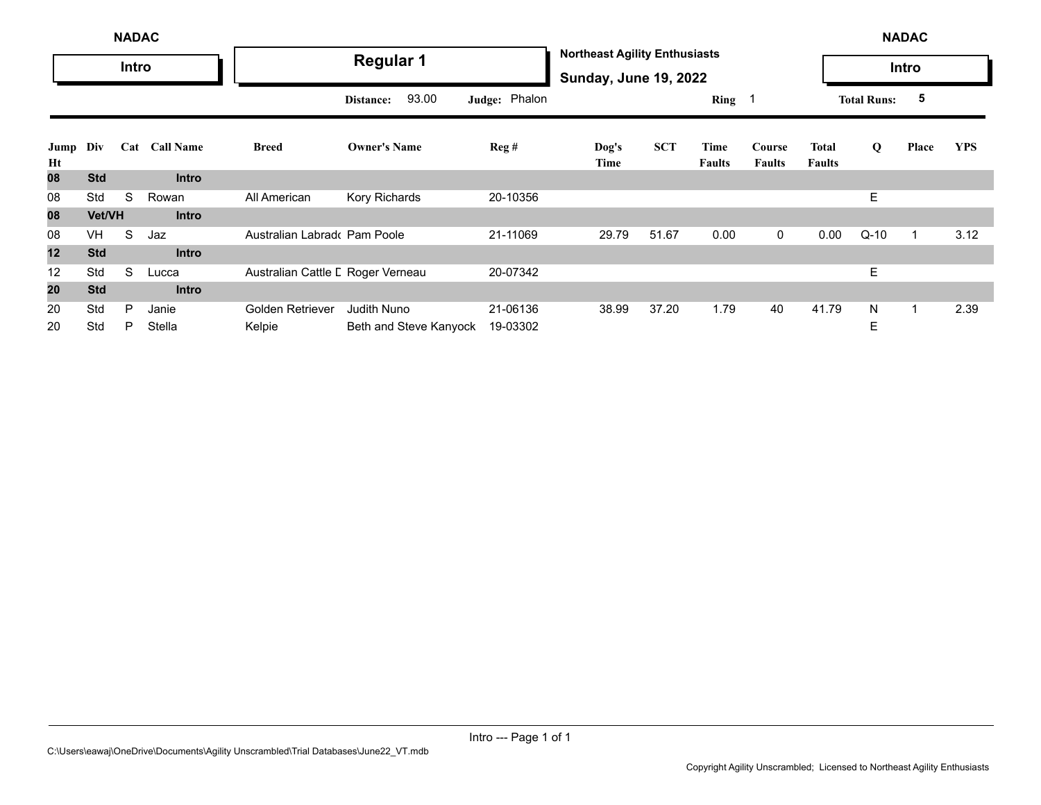|            | <b>NADAC</b> |       |                  |                                   |                        |               |                                                                      |            |                       |                         |                        | <b>NADAC</b>       |       |            |
|------------|--------------|-------|------------------|-----------------------------------|------------------------|---------------|----------------------------------------------------------------------|------------|-----------------------|-------------------------|------------------------|--------------------|-------|------------|
|            |              | Intro |                  |                                   | <b>Regular 1</b>       |               | <b>Northeast Agility Enthusiasts</b><br><b>Sunday, June 19, 2022</b> |            |                       |                         |                        |                    | Intro |            |
|            |              |       |                  |                                   | 93.00<br>Distance:     | Judge: Phalon |                                                                      |            | Ring 1                |                         |                        | <b>Total Runs:</b> | 5     |            |
| Jump<br>Ht | Div          | Cat   | <b>Call Name</b> | <b>Breed</b>                      | <b>Owner's Name</b>    | Reg#          | Dog's<br>Time                                                        | <b>SCT</b> | Time<br><b>Faults</b> | Course<br><b>Faults</b> | Total<br><b>Faults</b> | Q                  | Place | <b>YPS</b> |
| 08         | <b>Std</b>   |       | <b>Intro</b>     |                                   |                        |               |                                                                      |            |                       |                         |                        |                    |       |            |
| 08         | Std          | S     | Rowan            | All American                      | Kory Richards          | 20-10356      |                                                                      |            |                       |                         |                        | E                  |       |            |
| 08         | Vet/VH       |       | <b>Intro</b>     |                                   |                        |               |                                                                      |            |                       |                         |                        |                    |       |            |
| 08         | <b>VH</b>    | S     | Jaz              | Australian Labrado Pam Poole      |                        | 21-11069      | 29.79                                                                | 51.67      | 0.00                  | $\mathbf 0$             | 0.00                   | $Q-10$             | 1     | 3.12       |
| 12         | <b>Std</b>   |       | <b>Intro</b>     |                                   |                        |               |                                                                      |            |                       |                         |                        |                    |       |            |
| 12         | Std          | S     | Lucca            | Australian Cattle L Roger Verneau |                        | 20-07342      |                                                                      |            |                       |                         |                        | E.                 |       |            |
| 20         | <b>Std</b>   |       | <b>Intro</b>     |                                   |                        |               |                                                                      |            |                       |                         |                        |                    |       |            |
| 20         | Std          | P     | Janie            | Golden Retriever                  | <b>Judith Nuno</b>     | 21-06136      | 38.99                                                                | 37.20      | 1.79                  | 40                      | 41.79                  | N                  | 1     | 2.39       |
| 20         | Std          | P     | Stella           | Kelpie                            | Beth and Steve Kanyock | 19-03302      |                                                                      |            |                       |                         |                        | E                  |       |            |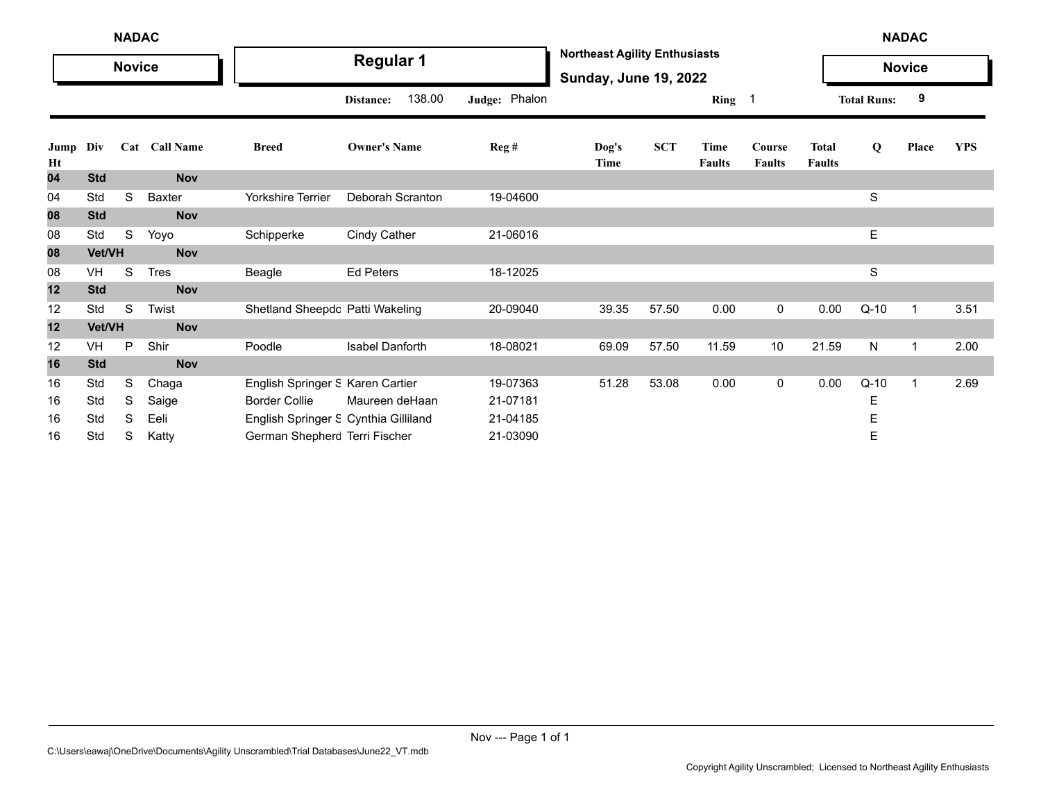|            | <b>NADAC</b><br><b>Novice</b> |   |               |                                      |                        |               |                                                                      |            |                       |                         |                               |                    | <b>NADAC</b>  |            |
|------------|-------------------------------|---|---------------|--------------------------------------|------------------------|---------------|----------------------------------------------------------------------|------------|-----------------------|-------------------------|-------------------------------|--------------------|---------------|------------|
|            |                               |   |               |                                      | <b>Regular 1</b>       |               | <b>Northeast Agility Enthusiasts</b><br><b>Sunday, June 19, 2022</b> |            |                       |                         |                               |                    | <b>Novice</b> |            |
|            |                               |   |               |                                      | 138.00<br>Distance:    | Judge: Phalon |                                                                      |            | Ring 1                |                         |                               | <b>Total Runs:</b> | 9             |            |
| Jump<br>Ht | Div                           |   | Cat Call Name | <b>Breed</b>                         | <b>Owner's Name</b>    | Reg#          | Dog's<br>Time                                                        | <b>SCT</b> | Time<br><b>Faults</b> | Course<br><b>Faults</b> | <b>Total</b><br><b>Faults</b> | $\bf{Q}$           | Place         | <b>YPS</b> |
| 04         | <b>Std</b>                    |   | <b>Nov</b>    |                                      |                        |               |                                                                      |            |                       |                         |                               |                    |               |            |
| 04         | Std                           | S | Baxter        | <b>Yorkshire Terrier</b>             | Deborah Scranton       | 19-04600      |                                                                      |            |                       |                         |                               | S                  |               |            |
| 08         | <b>Std</b>                    |   | Nov           |                                      |                        |               |                                                                      |            |                       |                         |                               |                    |               |            |
| 08         | Std                           | S | Yoyo          | Schipperke                           | <b>Cindy Cather</b>    | 21-06016      |                                                                      |            |                       |                         |                               | E                  |               |            |
| 08         | Vet/VH                        |   | <b>Nov</b>    |                                      |                        |               |                                                                      |            |                       |                         |                               |                    |               |            |
| 08         | VH                            | S | <b>Tres</b>   | Beagle                               | <b>Ed Peters</b>       | 18-12025      |                                                                      |            |                       |                         |                               | S                  |               |            |
| 12         | <b>Std</b>                    |   | <b>Nov</b>    |                                      |                        |               |                                                                      |            |                       |                         |                               |                    |               |            |
| 12         | Std                           | S | Twist         | Shetland Sheepdc Patti Wakeling      |                        | 20-09040      | 39.35                                                                | 57.50      | 0.00                  | 0                       | 0.00                          | $Q-10$             | 1             | 3.51       |
| 12         | Vet/VH                        |   | <b>Nov</b>    |                                      |                        |               |                                                                      |            |                       |                         |                               |                    |               |            |
| 12         | VH                            | P | Shir          | Poodle                               | <b>Isabel Danforth</b> | 18-08021      | 69.09                                                                | 57.50      | 11.59                 | 10                      | 21.59                         | N                  | 1             | 2.00       |
| 16         | <b>Std</b>                    |   | <b>Nov</b>    |                                      |                        |               |                                                                      |            |                       |                         |                               |                    |               |            |
| 16         | Std                           | S | Chaga         | English Springer S Karen Cartier     |                        | 19-07363      | 51.28                                                                | 53.08      | 0.00                  | 0                       | 0.00                          | $Q-10$             | $\mathbf 1$   | 2.69       |
| 16         | Std                           | S | Saige         | <b>Border Collie</b>                 | Maureen deHaan         | 21-07181      |                                                                      |            |                       |                         |                               | Ε                  |               |            |
| 16         | Std                           | S | Eeli          | English Springer S Cynthia Gilliland |                        | 21-04185      |                                                                      |            |                       |                         |                               | Ε                  |               |            |
| 16         | Std                           | S | Katty         | German Shepherc Terri Fischer        |                        | 21-03090      |                                                                      |            |                       |                         |                               | Ε                  |               |            |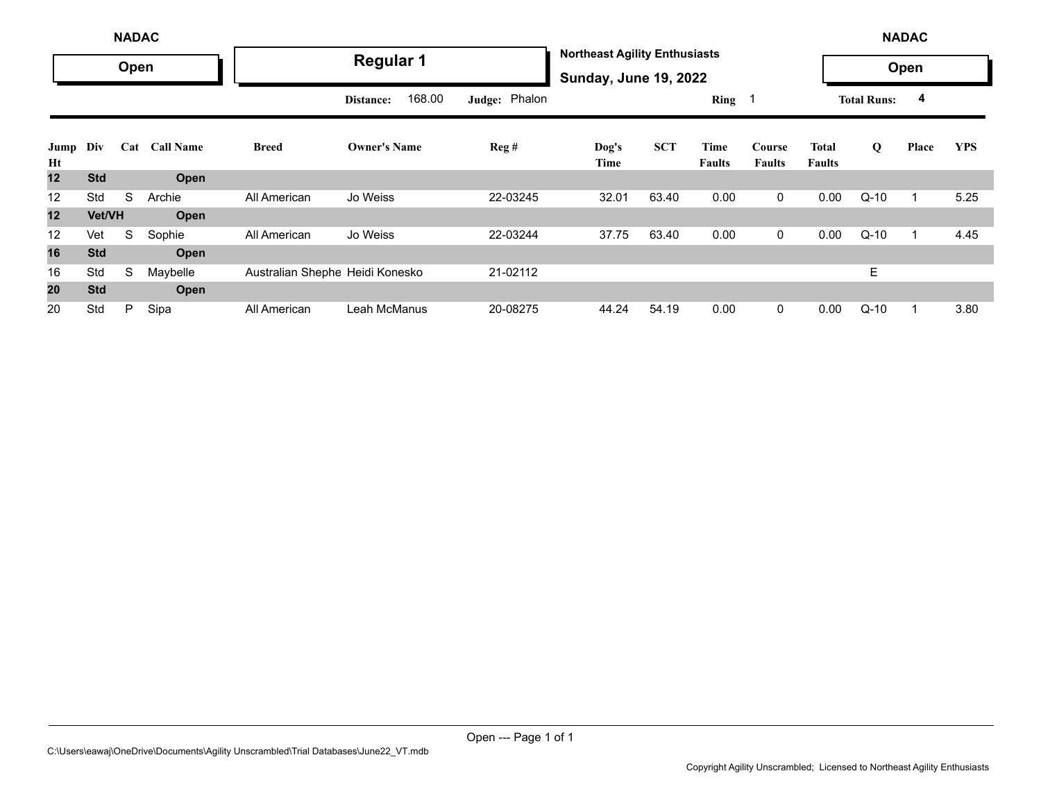|            | <b>NADAC</b>  |      |                  |                                 |                     |               |                                                                      |            |                |                         |                               | <b>NADAC</b>       |       |            |
|------------|---------------|------|------------------|---------------------------------|---------------------|---------------|----------------------------------------------------------------------|------------|----------------|-------------------------|-------------------------------|--------------------|-------|------------|
|            |               | Open |                  |                                 | <b>Regular 1</b>    |               | <b>Northeast Agility Enthusiasts</b><br><b>Sunday, June 19, 2022</b> |            |                |                         |                               |                    | Open  |            |
|            |               |      |                  |                                 | 168.00<br>Distance: | Judge: Phalon |                                                                      |            | Ring 1         |                         |                               | <b>Total Runs:</b> | 4     |            |
| Jump<br>Ht | Div           | Cat  | <b>Call Name</b> | <b>Breed</b>                    | <b>Owner's Name</b> | Reg#          | Dog's<br>Time                                                        | <b>SCT</b> | Time<br>Faults | Course<br><b>Faults</b> | <b>Total</b><br><b>Faults</b> | Q                  | Place | <b>YPS</b> |
| 12         | <b>Std</b>    |      | Open             |                                 |                     |               |                                                                      |            |                |                         |                               |                    |       |            |
| 12         | Std           | S    | Archie           | All American                    | Jo Weiss            | 22-03245      | 32.01                                                                | 63.40      | 0.00           | 0                       | 0.00                          | $Q-10$             |       | 5.25       |
| 12         | <b>Vet/VH</b> |      | Open             |                                 |                     |               |                                                                      |            |                |                         |                               |                    |       |            |
| 12         | Vet           | S    | Sophie           | All American                    | Jo Weiss            | 22-03244      | 37.75                                                                | 63.40      | 0.00           | $\mathbf 0$             | 0.00                          | $Q-10$             |       | 4.45       |
| 16         | <b>Std</b>    |      | Open             |                                 |                     |               |                                                                      |            |                |                         |                               |                    |       |            |
| 16         | Std           | S    | Maybelle         | Australian Shephe Heidi Konesko |                     | 21-02112      |                                                                      |            |                |                         |                               | E.                 |       |            |
| 20         | <b>Std</b>    |      | Open             |                                 |                     |               |                                                                      |            |                |                         |                               |                    |       |            |
| 20         | Std           | P    | Sipa             | All American                    | Leah McManus        | 20-08275      | 44.24                                                                | 54.19      | 0.00           | $\mathbf 0$             | 0.00                          | $Q-10$             |       | 3.80       |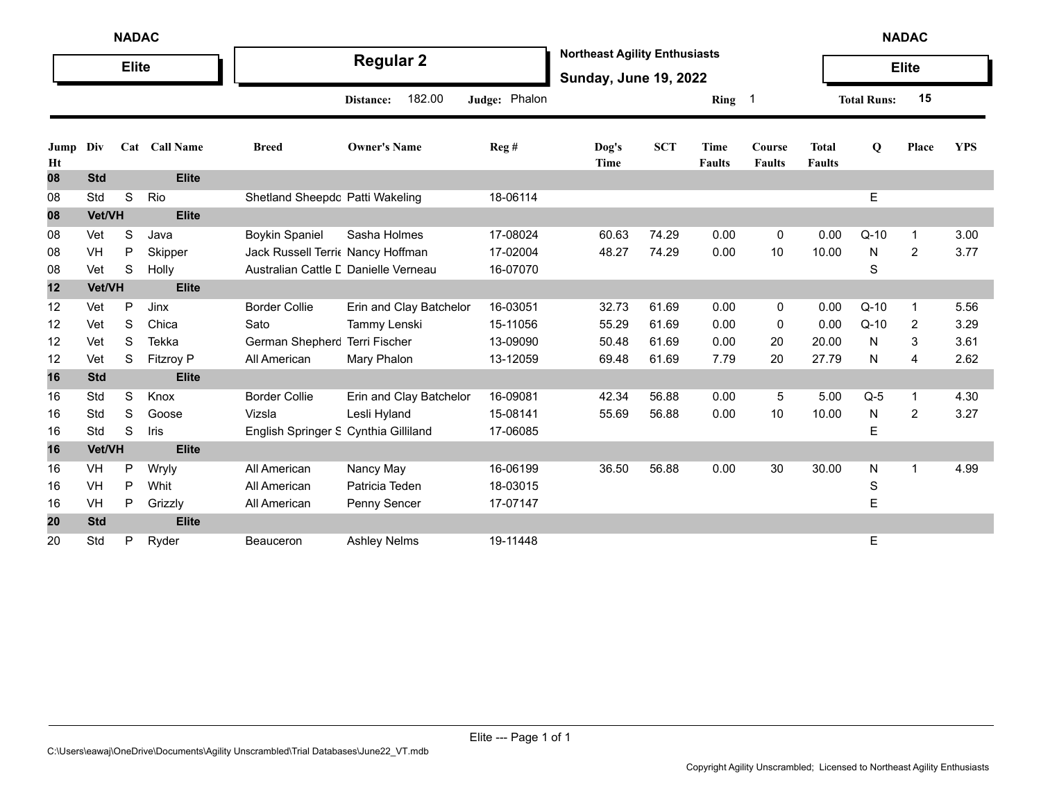|            | <b>NADAC</b> |              |                  |                                      |                         |               |                                                                      |            |                       |                         |                               |                    | <b>NADAC</b>   |            |
|------------|--------------|--------------|------------------|--------------------------------------|-------------------------|---------------|----------------------------------------------------------------------|------------|-----------------------|-------------------------|-------------------------------|--------------------|----------------|------------|
|            |              | <b>Elite</b> |                  |                                      | <b>Regular 2</b>        |               | <b>Northeast Agility Enthusiasts</b><br><b>Sunday, June 19, 2022</b> |            |                       |                         |                               |                    | <b>Elite</b>   |            |
|            |              |              |                  |                                      | 182.00<br>Distance:     | Judge: Phalon |                                                                      |            | Ring                  | - 1                     |                               | <b>Total Runs:</b> | 15             |            |
| Jump<br>Ht | Div          |              | Cat Call Name    | <b>Breed</b>                         | <b>Owner's Name</b>     | Reg#          | Dog's<br>Time                                                        | <b>SCT</b> | Time<br><b>Faults</b> | Course<br><b>Faults</b> | <b>Total</b><br><b>Faults</b> | Q                  | Place          | <b>YPS</b> |
| 08         | <b>Std</b>   |              | <b>Elite</b>     |                                      |                         |               |                                                                      |            |                       |                         |                               |                    |                |            |
| 08         | Std          | $\mathbb S$  | Rio              | Shetland Sheepdc Patti Wakeling      |                         | 18-06114      |                                                                      |            |                       |                         |                               | $\mathsf E$        |                |            |
| 08         | Vet/VH       |              | <b>Elite</b>     |                                      |                         |               |                                                                      |            |                       |                         |                               |                    |                |            |
| 08         | Vet          | S            | Java             | <b>Boykin Spaniel</b>                | Sasha Holmes            | 17-08024      | 60.63                                                                | 74.29      | 0.00                  | 0                       | 0.00                          | $Q-10$             | $\mathbf 1$    | 3.00       |
| 08         | VH           | P            | Skipper          | Jack Russell Terri Nancy Hoffman     |                         | 17-02004      | 48.27                                                                | 74.29      | 0.00                  | 10                      | 10.00                         | N                  | 2              | 3.77       |
| 08         | Vet          | S            | Holly            | Australian Cattle L Danielle Verneau |                         | 16-07070      |                                                                      |            |                       |                         |                               | S                  |                |            |
| 12         | Vet/VH       |              | <b>Elite</b>     |                                      |                         |               |                                                                      |            |                       |                         |                               |                    |                |            |
| 12         | Vet          | P            | Jinx             | <b>Border Collie</b>                 | Erin and Clay Batchelor | 16-03051      | 32.73                                                                | 61.69      | 0.00                  | 0                       | 0.00                          | $Q-10$             | -1             | 5.56       |
| 12         | Vet          | S            | Chica            | Sato                                 | Tammy Lenski            | 15-11056      | 55.29                                                                | 61.69      | 0.00                  | 0                       | 0.00                          | $Q-10$             | 2              | 3.29       |
| 12         | Vet          | S            | Tekka            | German Shepherc                      | <b>Terri Fischer</b>    | 13-09090      | 50.48                                                                | 61.69      | 0.00                  | 20                      | 20.00                         | N                  | 3              | 3.61       |
| 12         | Vet          | S            | <b>Fitzroy P</b> | All American                         | Mary Phalon             | 13-12059      | 69.48                                                                | 61.69      | 7.79                  | 20                      | 27.79                         | $\mathsf{N}$       | 4              | 2.62       |
| 16         | <b>Std</b>   |              | <b>Elite</b>     |                                      |                         |               |                                                                      |            |                       |                         |                               |                    |                |            |
| 16         | Std          | S            | Knox             | <b>Border Collie</b>                 | Erin and Clay Batchelor | 16-09081      | 42.34                                                                | 56.88      | 0.00                  | 5                       | 5.00                          | $Q-5$              | $\mathbf 1$    | 4.30       |
| 16         | Std          | S            | Goose            | Vizsla                               | Lesli Hyland            | 15-08141      | 55.69                                                                | 56.88      | 0.00                  | 10                      | 10.00                         | N                  | 2              | 3.27       |
| 16         | Std          | S            | Iris             | English Springer S Cynthia Gilliland |                         | 17-06085      |                                                                      |            |                       |                         |                               | E                  |                |            |
| 16         | Vet/VH       |              | <b>Elite</b>     |                                      |                         |               |                                                                      |            |                       |                         |                               |                    |                |            |
| 16         | VH           | $\mathsf{P}$ | Wryly            | All American                         | Nancy May               | 16-06199      | 36.50                                                                | 56.88      | 0.00                  | 30                      | 30.00                         | N                  | $\overline{1}$ | 4.99       |
| 16         | VH           | P            | Whit             | All American                         | Patricia Teden          | 18-03015      |                                                                      |            |                       |                         |                               | S                  |                |            |
| 16         | VH           | Ρ            | Grizzly          | All American                         | Penny Sencer            | 17-07147      |                                                                      |            |                       |                         |                               | E                  |                |            |
| 20         | <b>Std</b>   |              | <b>Elite</b>     |                                      |                         |               |                                                                      |            |                       |                         |                               |                    |                |            |
| 20         | Std          | Ρ            | Ryder            | Beauceron                            | <b>Ashley Nelms</b>     | 19-11448      |                                                                      |            |                       |                         |                               | E                  |                |            |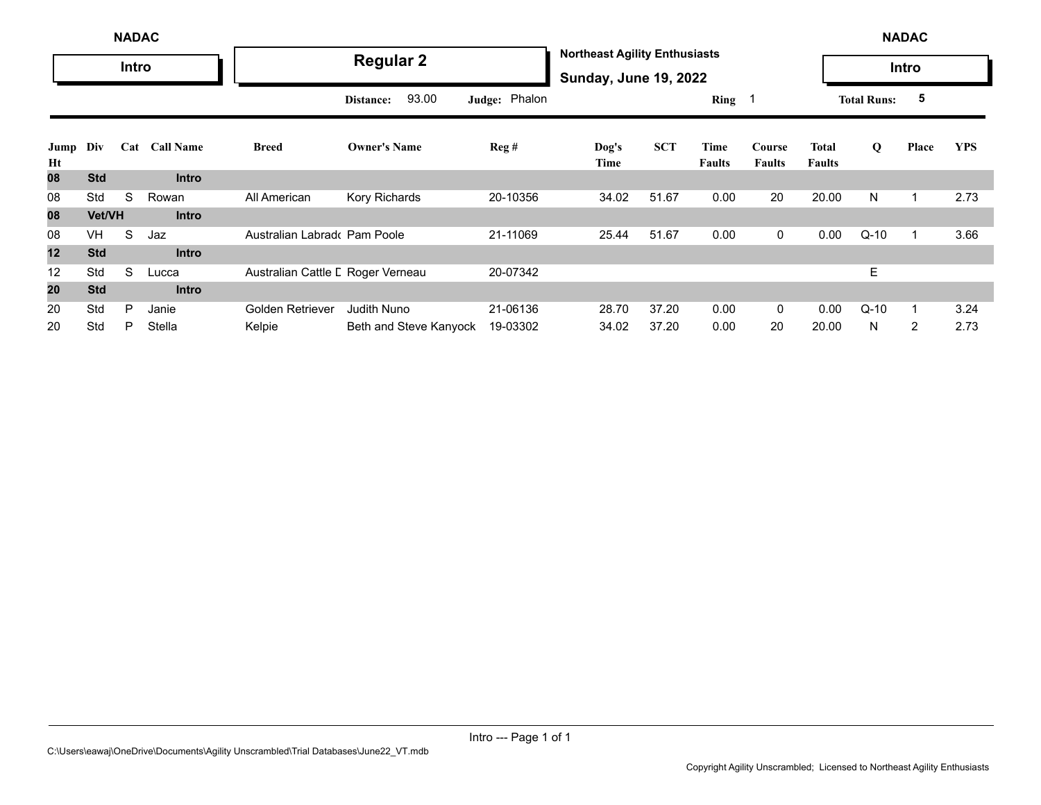|            | <b>NADAC</b> |       |                  |                                   |                        |               |                                                                      |            |                       |                         |                               | <b>NADAC</b>       |                |            |
|------------|--------------|-------|------------------|-----------------------------------|------------------------|---------------|----------------------------------------------------------------------|------------|-----------------------|-------------------------|-------------------------------|--------------------|----------------|------------|
|            |              | Intro |                  |                                   | <b>Regular 2</b>       |               | <b>Northeast Agility Enthusiasts</b><br><b>Sunday, June 19, 2022</b> |            |                       |                         |                               |                    | Intro          |            |
|            |              |       |                  |                                   | 93.00<br>Distance:     | Judge: Phalon |                                                                      |            | Ring $1$              |                         |                               | <b>Total Runs:</b> | 5              |            |
| Jump<br>Ht | Div          | Cat   | <b>Call Name</b> | <b>Breed</b>                      | <b>Owner's Name</b>    | Reg#          | Dog's<br>Time                                                        | <b>SCT</b> | Time<br><b>Faults</b> | Course<br><b>Faults</b> | <b>Total</b><br><b>Faults</b> | Q                  | Place          | <b>YPS</b> |
| 80         | <b>Std</b>   |       | <b>Intro</b>     |                                   |                        |               |                                                                      |            |                       |                         |                               |                    |                |            |
| 08         | Std          | S     | Rowan            | All American                      | Kory Richards          | 20-10356      | 34.02                                                                | 51.67      | 0.00                  | 20                      | 20.00                         | N                  | 1              | 2.73       |
| 08         | Vet/VH       |       | <b>Intro</b>     |                                   |                        |               |                                                                      |            |                       |                         |                               |                    |                |            |
| 08         | <b>VH</b>    | S     | Jaz              | Australian Labrado Pam Poole      |                        | 21-11069      | 25.44                                                                | 51.67      | 0.00                  | $\mathbf{0}$            | 0.00                          | $Q-10$             | 1              | 3.66       |
| 12         | <b>Std</b>   |       | <b>Intro</b>     |                                   |                        |               |                                                                      |            |                       |                         |                               |                    |                |            |
| 12         | Std          | S     | Lucca            | Australian Cattle L Roger Verneau |                        | 20-07342      |                                                                      |            |                       |                         |                               | Е                  |                |            |
| 20         | <b>Std</b>   |       | <b>Intro</b>     |                                   |                        |               |                                                                      |            |                       |                         |                               |                    |                |            |
| 20         | Std          | P     | Janie            | Golden Retriever                  | Judith Nuno            | 21-06136      | 28.70                                                                | 37.20      | 0.00                  | $\overline{0}$          | 0.00                          | $Q-10$             | 1              | 3.24       |
| 20         | Std          | P     | Stella           | Kelpie                            | Beth and Steve Kanyock | 19-03302      | 34.02                                                                | 37.20      | 0.00                  | 20                      | 20.00                         | N                  | $\overline{2}$ | 2.73       |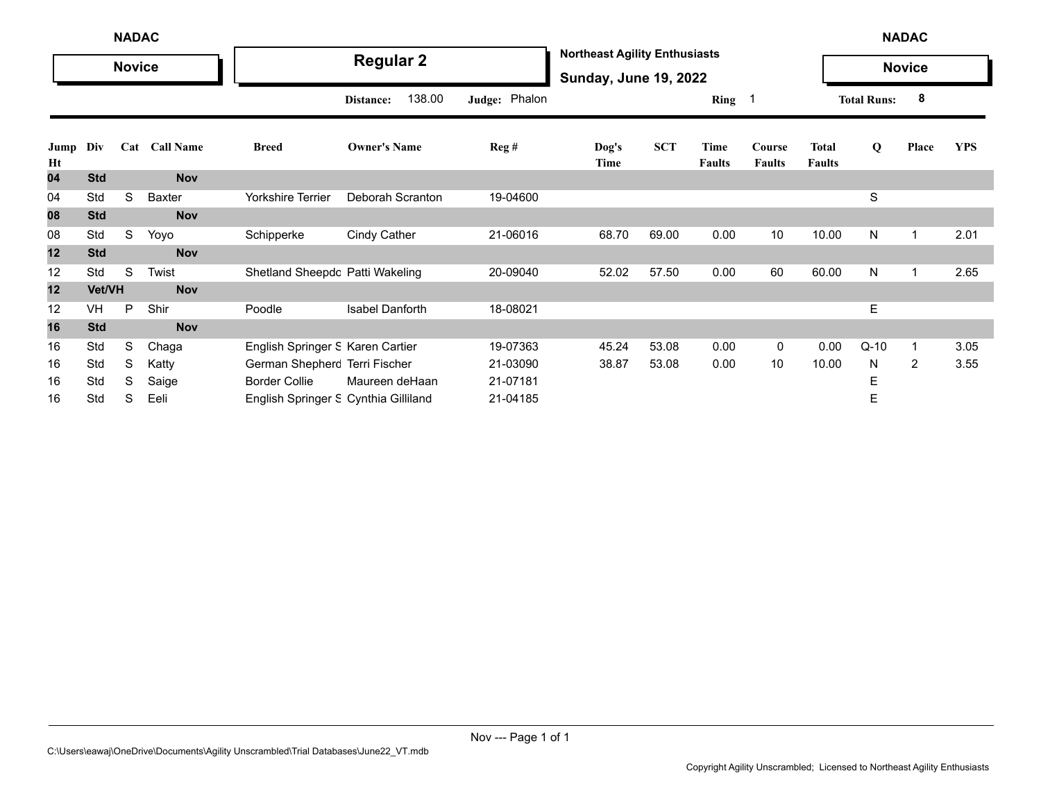|            | <b>NADAC</b><br><b>Novice</b> |    |               |                                      |                     |               |                                                                      |            |                       |                         |                               |                    | <b>NADAC</b>   |            |
|------------|-------------------------------|----|---------------|--------------------------------------|---------------------|---------------|----------------------------------------------------------------------|------------|-----------------------|-------------------------|-------------------------------|--------------------|----------------|------------|
|            |                               |    |               |                                      | <b>Regular 2</b>    |               | <b>Northeast Agility Enthusiasts</b><br><b>Sunday, June 19, 2022</b> |            |                       |                         |                               |                    | <b>Novice</b>  |            |
|            |                               |    |               |                                      | 138.00<br>Distance: | Judge: Phalon |                                                                      |            | Ring 1                |                         |                               | <b>Total Runs:</b> | 8              |            |
| Jump<br>Ht | Div                           |    | Cat Call Name | <b>Breed</b>                         | <b>Owner's Name</b> | Reg#          | Dog's<br>Time                                                        | <b>SCT</b> | Time<br><b>Faults</b> | Course<br><b>Faults</b> | <b>Total</b><br><b>Faults</b> | Q                  | Place          | <b>YPS</b> |
| 04         | <b>Std</b>                    |    | <b>Nov</b>    |                                      |                     |               |                                                                      |            |                       |                         |                               |                    |                |            |
| 04         | Std                           | S  | Baxter        | Yorkshire Terrier                    | Deborah Scranton    | 19-04600      |                                                                      |            |                       |                         |                               | S                  |                |            |
| 08         | <b>Std</b>                    |    | <b>Nov</b>    |                                      |                     |               |                                                                      |            |                       |                         |                               |                    |                |            |
| 08         | Std                           | S. | Yoyo          | Schipperke                           | Cindy Cather        | 21-06016      | 68.70                                                                | 69.00      | 0.00                  | 10                      | 10.00                         | N                  | 1              | 2.01       |
| 12         | <b>Std</b>                    |    | <b>Nov</b>    |                                      |                     |               |                                                                      |            |                       |                         |                               |                    |                |            |
| 12         | Std                           | S  | Twist         | Shetland Sheepdc Patti Wakeling      |                     | 20-09040      | 52.02                                                                | 57.50      | 0.00                  | 60                      | 60.00                         | N                  | 1              | 2.65       |
| 12         | Vet/VH                        |    | <b>Nov</b>    |                                      |                     |               |                                                                      |            |                       |                         |                               |                    |                |            |
| 12         | <b>VH</b>                     | P  | Shir          | Poodle                               | Isabel Danforth     | 18-08021      |                                                                      |            |                       |                         |                               | Е                  |                |            |
| 16         | <b>Std</b>                    |    | <b>Nov</b>    |                                      |                     |               |                                                                      |            |                       |                         |                               |                    |                |            |
| 16         | Std                           | S  | Chaga         | English Springer S Karen Cartier     |                     | 19-07363      | 45.24                                                                | 53.08      | 0.00                  | $\mathbf 0$             | 0.00                          | $Q-10$             | 1              | 3.05       |
| 16         | Std                           | S  | Katty         | German Shepherc Terri Fischer        |                     | 21-03090      | 38.87                                                                | 53.08      | 0.00                  | 10                      | 10.00                         | N                  | $\overline{2}$ | 3.55       |
| 16         | Std                           | S  | Saige         | <b>Border Collie</b>                 | Maureen deHaan      | 21-07181      |                                                                      |            |                       |                         |                               | Ε                  |                |            |
| 16         | Std                           | S  | Eeli          | English Springer S Cynthia Gilliland |                     | 21-04185      |                                                                      |            |                       |                         |                               | Ε                  |                |            |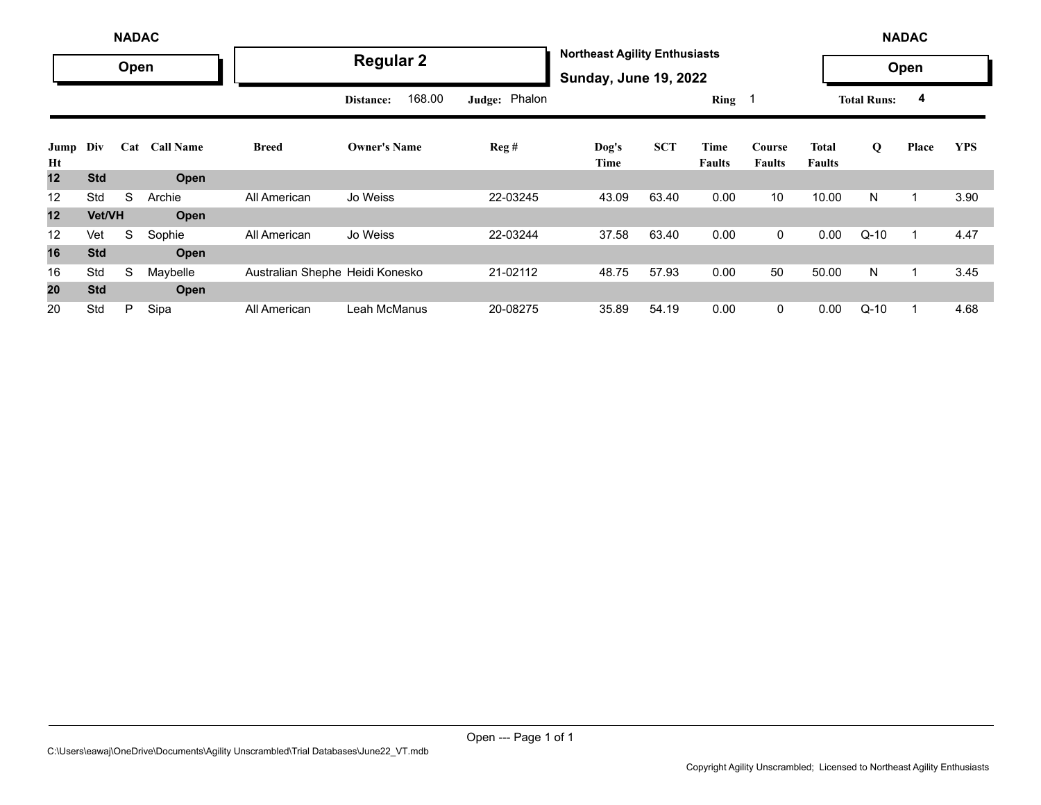|            | <b>NADAC</b> |      |                  |                                 |                     |               |                                                                      |            |                       |                         |                               | <b>NADAC</b>       |       |            |
|------------|--------------|------|------------------|---------------------------------|---------------------|---------------|----------------------------------------------------------------------|------------|-----------------------|-------------------------|-------------------------------|--------------------|-------|------------|
|            |              | Open |                  |                                 | <b>Regular 2</b>    |               | <b>Northeast Agility Enthusiasts</b><br><b>Sunday, June 19, 2022</b> |            |                       |                         |                               |                    | Open  |            |
|            |              |      |                  |                                 | 168.00<br>Distance: | Judge: Phalon |                                                                      |            | Ring $1$              |                         |                               | <b>Total Runs:</b> | 4     |            |
| Jump<br>Ht | Div          | Cat  | <b>Call Name</b> | <b>Breed</b>                    | <b>Owner's Name</b> | Reg#          | Dog's<br>Time                                                        | <b>SCT</b> | Time<br><b>Faults</b> | Course<br><b>Faults</b> | <b>Total</b><br><b>Faults</b> | Q                  | Place | <b>YPS</b> |
| 12         | <b>Std</b>   |      | Open             |                                 |                     |               |                                                                      |            |                       |                         |                               |                    |       |            |
| 12         | Std          | S    | Archie           | All American                    | Jo Weiss            | 22-03245      | 43.09                                                                | 63.40      | 0.00                  | 10                      | 10.00                         | N                  | 1     | 3.90       |
| 12         | Vet/VH       |      | Open             |                                 |                     |               |                                                                      |            |                       |                         |                               |                    |       |            |
| 12         | Vet          | S    | Sophie           | All American                    | Jo Weiss            | 22-03244      | 37.58                                                                | 63.40      | 0.00                  | $\overline{0}$          | 0.00                          | $Q-10$             | 1     | 4.47       |
| 16         | <b>Std</b>   |      | Open             |                                 |                     |               |                                                                      |            |                       |                         |                               |                    |       |            |
| 16         | Std          | S    | Maybelle         | Australian Shephe Heidi Konesko |                     | 21-02112      | 48.75                                                                | 57.93      | 0.00                  | 50                      | 50.00                         | N                  | 1     | 3.45       |
| 20         | <b>Std</b>   |      | Open             |                                 |                     |               |                                                                      |            |                       |                         |                               |                    |       |            |
| 20         | Std          | P    | Sipa             | All American                    | Leah McManus        | 20-08275      | 35.89                                                                | 54.19      | 0.00                  | $\overline{0}$          | 0.00                          | $Q-10$             | 1     | 4.68       |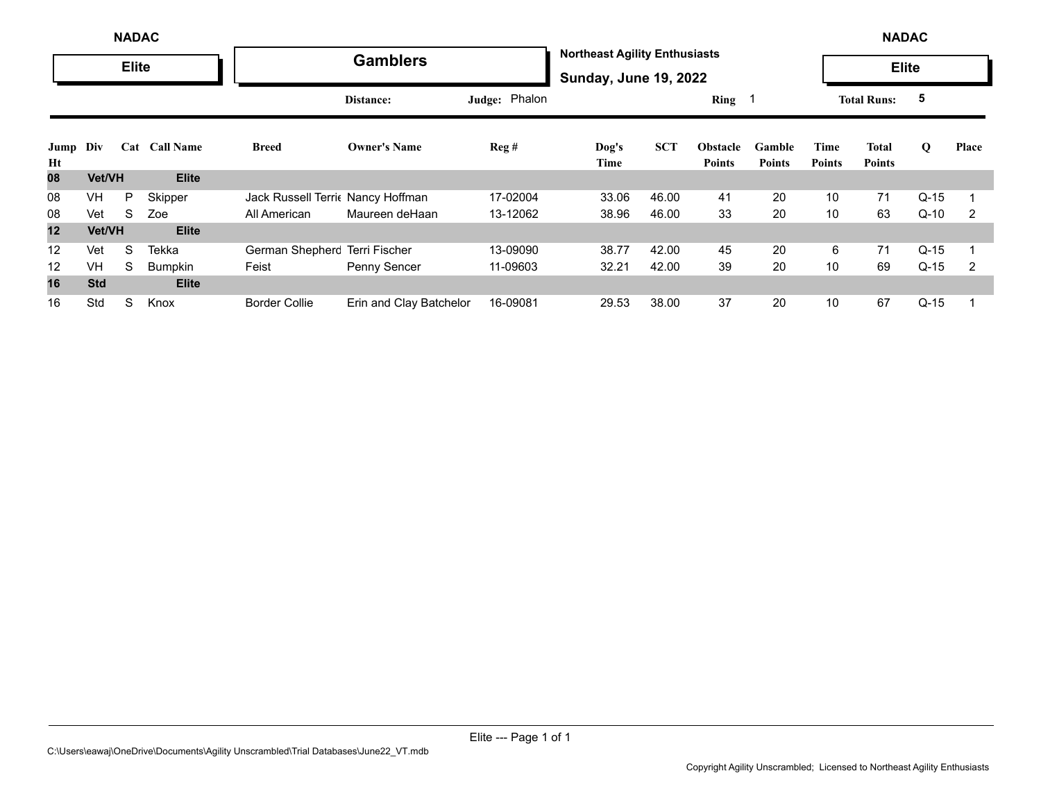|            | <b>NADAC</b> |              |               |                                   |                         |               |                                                                      |            |                                  |                         | <b>NADAC</b>          |                        |        |       |
|------------|--------------|--------------|---------------|-----------------------------------|-------------------------|---------------|----------------------------------------------------------------------|------------|----------------------------------|-------------------------|-----------------------|------------------------|--------|-------|
|            |              | <b>Elite</b> |               |                                   | <b>Gamblers</b>         |               | <b>Northeast Agility Enthusiasts</b><br><b>Sunday, June 19, 2022</b> |            |                                  |                         |                       | <b>Elite</b>           |        |       |
|            |              |              |               |                                   | Distance:               | Judge: Phalon |                                                                      |            | Ring 1                           |                         |                       | <b>Total Runs:</b>     | 5      |       |
| Jump<br>Ht | Div          |              | Cat Call Name | <b>Breed</b>                      | <b>Owner's Name</b>     | Reg#          | Dog's<br>Time                                                        | <b>SCT</b> | <b>Obstacle</b><br><b>Points</b> | Gamble<br><b>Points</b> | Time<br><b>Points</b> | Total<br><b>Points</b> | Q      | Place |
| 08         | Vet/VH       |              | <b>Elite</b>  |                                   |                         |               |                                                                      |            |                                  |                         |                       |                        |        |       |
| 08         | VH           | P            | Skipper       | Jack Russell Terric Nancy Hoffman |                         | 17-02004      | 33.06                                                                | 46.00      | 41                               | 20                      | 10                    | 71                     | $Q-15$ |       |
| 08         | Vet          | S            | Zoe           | All American                      | Maureen deHaan          | 13-12062      | 38.96                                                                | 46.00      | 33                               | 20                      | 10                    | 63                     | $Q-10$ | 2     |
| 12         | Vet/VH       |              | <b>Elite</b>  |                                   |                         |               |                                                                      |            |                                  |                         |                       |                        |        |       |
| 12         | Vet          | S            | Tekka         | German Shepherc Terri Fischer     |                         | 13-09090      | 38.77                                                                | 42.00      | 45                               | 20                      | 6                     | 71                     | $Q-15$ |       |
| 12         | <b>VH</b>    | S            | Bumpkin       | Feist                             | Penny Sencer            | 11-09603      | 32.21                                                                | 42.00      | 39                               | 20                      | 10                    | 69                     | $Q-15$ | 2     |
| 16         | <b>Std</b>   |              | <b>Elite</b>  |                                   |                         |               |                                                                      |            |                                  |                         |                       |                        |        |       |
| 16         | Std          | S            | Knox          | <b>Border Collie</b>              | Erin and Clay Batchelor | 16-09081      | 29.53                                                                | 38.00      | 37                               | 20                      | 10                    | 67                     | $Q-15$ |       |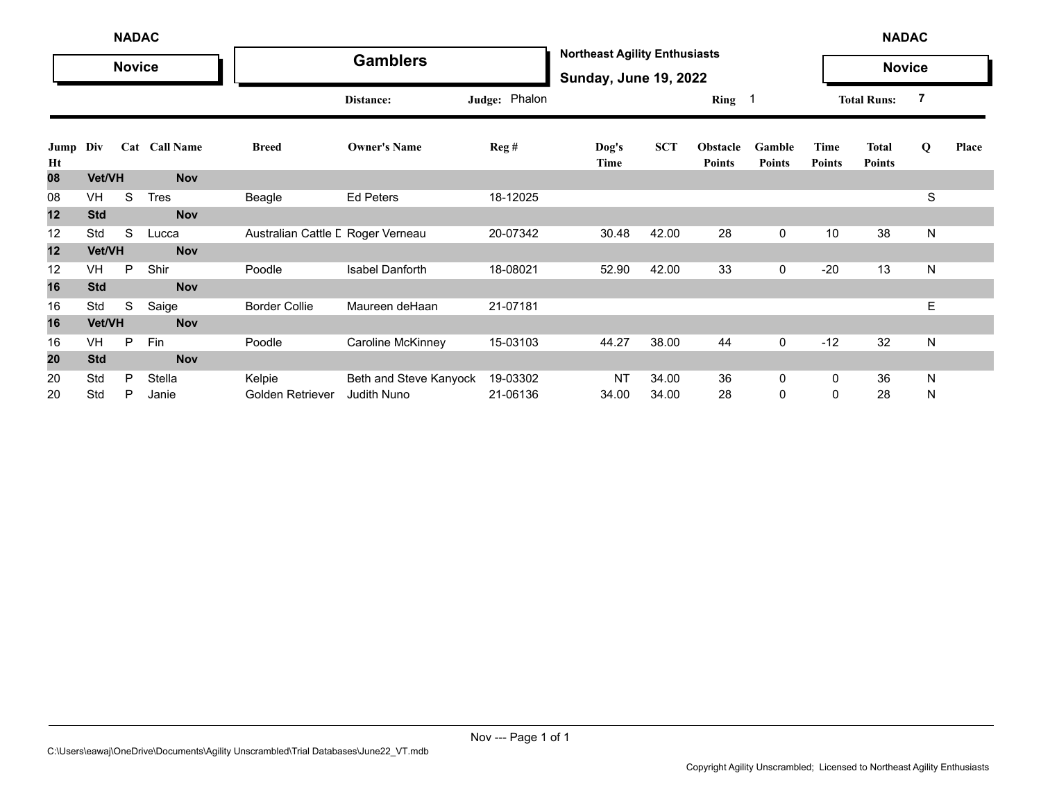|            | <b>NADAC</b> |               |               |                                   |                        |                  |                                                                      |            |                           |                         | <b>NADAC</b>          |                               |   |       |
|------------|--------------|---------------|---------------|-----------------------------------|------------------------|------------------|----------------------------------------------------------------------|------------|---------------------------|-------------------------|-----------------------|-------------------------------|---|-------|
|            |              | <b>Novice</b> |               |                                   | <b>Gamblers</b>        |                  | <b>Northeast Agility Enthusiasts</b><br><b>Sunday, June 19, 2022</b> |            |                           |                         |                       | <b>Novice</b>                 |   |       |
|            |              |               |               |                                   | Distance:              | Judge: Phalon    |                                                                      |            | Ring                      |                         |                       | <b>Total Runs:</b>            | 7 |       |
| Jump<br>Ht | Div          |               | Cat Call Name | <b>Breed</b>                      | <b>Owner's Name</b>    | $\text{Reg } \#$ | Dog's<br>Time                                                        | <b>SCT</b> | Obstacle<br><b>Points</b> | Gamble<br><b>Points</b> | Time<br><b>Points</b> | <b>Total</b><br><b>Points</b> | Q | Place |
| 80         | Vet/VH       |               | <b>Nov</b>    |                                   |                        |                  |                                                                      |            |                           |                         |                       |                               |   |       |
| 08         | VH           | S             | <b>Tres</b>   | Beagle                            | Ed Peters              | 18-12025         |                                                                      |            |                           |                         |                       |                               | S |       |
| 12         | <b>Std</b>   |               | <b>Nov</b>    |                                   |                        |                  |                                                                      |            |                           |                         |                       |                               |   |       |
| 12         | Std          | S             | Lucca         | Australian Cattle L Roger Verneau |                        | 20-07342         | 30.48                                                                | 42.00      | 28                        | $\mathbf 0$             | 10                    | 38                            | N |       |
| 12         | Vet/VH       |               | <b>Nov</b>    |                                   |                        |                  |                                                                      |            |                           |                         |                       |                               |   |       |
| 12         | VH           | P             | Shir          | Poodle                            | Isabel Danforth        | 18-08021         | 52.90                                                                | 42.00      | 33                        | $\mathbf 0$             | $-20$                 | 13                            | N |       |
| 16         | <b>Std</b>   |               | <b>Nov</b>    |                                   |                        |                  |                                                                      |            |                           |                         |                       |                               |   |       |
| 16         | Std          | S             | Saige         | <b>Border Collie</b>              | Maureen deHaan         | 21-07181         |                                                                      |            |                           |                         |                       |                               | E |       |
| 16         | Vet/VH       |               | <b>Nov</b>    |                                   |                        |                  |                                                                      |            |                           |                         |                       |                               |   |       |
| 16         | <b>VH</b>    | P             | Fin           | Poodle                            | Caroline McKinney      | 15-03103         | 44.27                                                                | 38.00      | 44                        | $\mathbf 0$             | $-12$                 | 32                            | N |       |
| 20         | <b>Std</b>   |               | <b>Nov</b>    |                                   |                        |                  |                                                                      |            |                           |                         |                       |                               |   |       |
| 20         | Std          | P             | Stella        | Kelpie                            | Beth and Steve Kanyock | 19-03302         | <b>NT</b>                                                            | 34.00      | 36                        | 0                       | 0                     | 36                            | N |       |
| 20         | Std          | P             | Janie         | Golden Retriever                  | Judith Nuno            | 21-06136         | 34.00                                                                | 34.00      | 28                        | 0                       | 0                     | 28                            | N |       |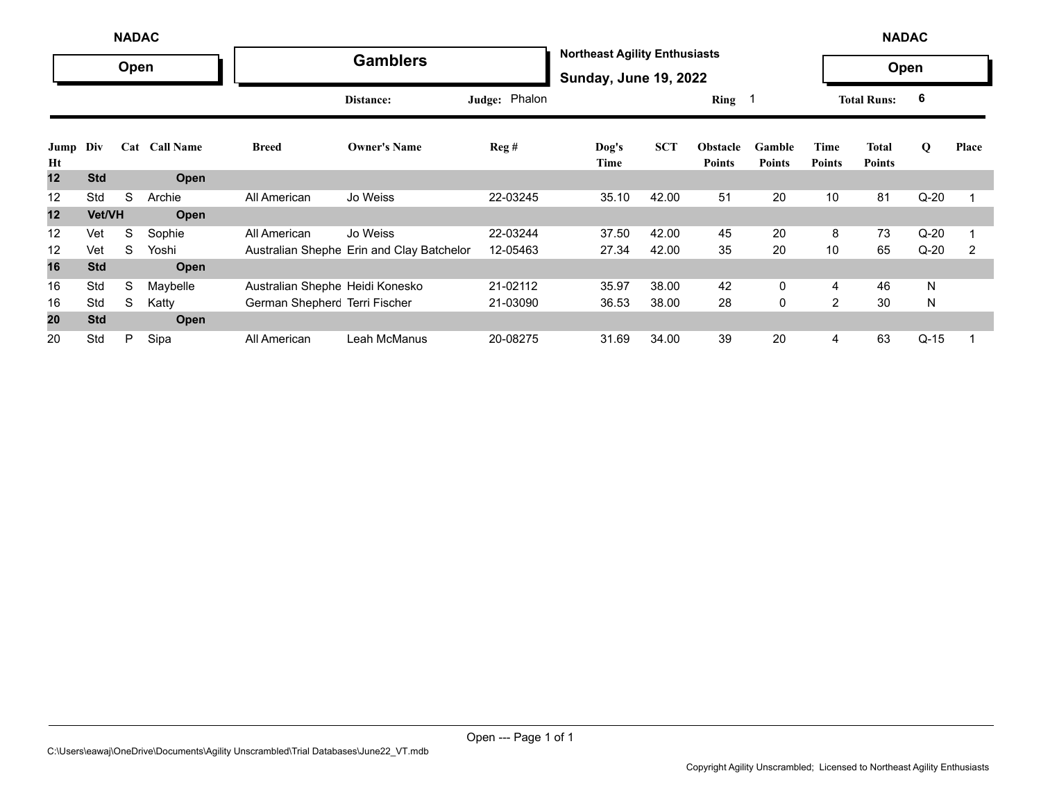|            | <b>NADAC</b><br>Open |   |               |                                 |                                           |               |                                                                      |            |                                  |                         |                       | <b>NADAC</b>           |        |       |
|------------|----------------------|---|---------------|---------------------------------|-------------------------------------------|---------------|----------------------------------------------------------------------|------------|----------------------------------|-------------------------|-----------------------|------------------------|--------|-------|
|            |                      |   |               |                                 | <b>Gamblers</b>                           |               | <b>Northeast Agility Enthusiasts</b><br><b>Sunday, June 19, 2022</b> |            |                                  |                         |                       | Open                   |        |       |
|            |                      |   |               |                                 | Distance:                                 | Judge: Phalon |                                                                      |            | Ring 1                           |                         |                       | <b>Total Runs:</b>     | 6      |       |
| Jump<br>Ht | Div                  |   | Cat Call Name | <b>Breed</b>                    | <b>Owner's Name</b>                       | Reg#          | $\log's$<br>Time                                                     | <b>SCT</b> | <b>Obstacle</b><br><b>Points</b> | Gamble<br><b>Points</b> | Time<br><b>Points</b> | Total<br><b>Points</b> | Q      | Place |
| 12         | <b>Std</b>           |   | Open          |                                 |                                           |               |                                                                      |            |                                  |                         |                       |                        |        |       |
| 12         | Std                  | S | Archie        | All American                    | Jo Weiss                                  | 22-03245      | 35.10                                                                | 42.00      | 51                               | 20                      | 10                    | 81                     | $Q-20$ |       |
| 12         | Vet/VH               |   | Open          |                                 |                                           |               |                                                                      |            |                                  |                         |                       |                        |        |       |
| 12         | Vet                  | S | Sophie        | All American                    | Jo Weiss                                  | 22-03244      | 37.50                                                                | 42.00      | 45                               | 20                      | 8                     | 73                     | $Q-20$ |       |
| 12         | Vet                  | S | Yoshi         |                                 | Australian Shephe Erin and Clay Batchelor | 12-05463      | 27.34                                                                | 42.00      | 35                               | 20                      | 10                    | 65                     | $Q-20$ | 2     |
| 16         | <b>Std</b>           |   | Open          |                                 |                                           |               |                                                                      |            |                                  |                         |                       |                        |        |       |
| 16         | Std                  | S | Maybelle      | Australian Shephe Heidi Konesko |                                           | 21-02112      | 35.97                                                                | 38.00      | 42                               | 0                       | 4                     | 46                     | N      |       |
| 16         | Std                  | S | Katty         | German Shepherc Terri Fischer   |                                           | 21-03090      | 36.53                                                                | 38.00      | 28                               | 0                       | $\overline{2}$        | 30                     | N      |       |
| 20         | <b>Std</b>           |   | Open          |                                 |                                           |               |                                                                      |            |                                  |                         |                       |                        |        |       |
| 20         | Std                  | P | Sipa          | All American                    | Leah McManus                              | 20-08275      | 31.69                                                                | 34.00      | 39                               | 20                      | 4                     | 63                     | $Q-15$ |       |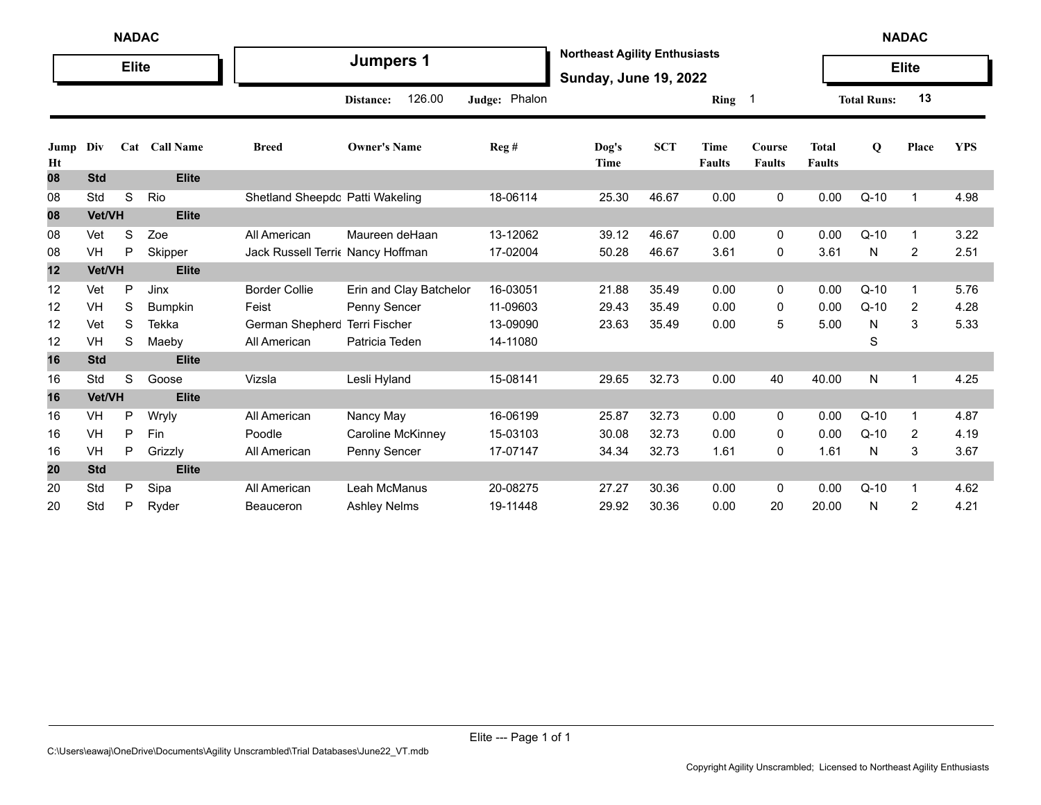|            | <b>NADAC</b><br><b>Elite</b> |   |                |                                  |                         |               |                                                                      |            |                       |                                |                               |                    | <b>NADAC</b>   |            |
|------------|------------------------------|---|----------------|----------------------------------|-------------------------|---------------|----------------------------------------------------------------------|------------|-----------------------|--------------------------------|-------------------------------|--------------------|----------------|------------|
|            |                              |   |                |                                  | <b>Jumpers 1</b>        |               | <b>Northeast Agility Enthusiasts</b><br><b>Sunday, June 19, 2022</b> |            |                       |                                |                               |                    | <b>Elite</b>   |            |
|            |                              |   |                |                                  | 126.00<br>Distance:     | Judge: Phalon |                                                                      |            | Ring 1                |                                |                               | <b>Total Runs:</b> | 13             |            |
| Jump<br>Ht | Div                          |   | Cat Call Name  | <b>Breed</b>                     | <b>Owner's Name</b>     | Reg#          | Dog's<br>Time                                                        | <b>SCT</b> | Time<br><b>Faults</b> | <b>Course</b><br><b>Faults</b> | <b>Total</b><br><b>Faults</b> | $\mathbf Q$        | Place          | <b>YPS</b> |
| 08         | <b>Std</b>                   |   | <b>Elite</b>   |                                  |                         |               |                                                                      |            |                       |                                |                               |                    |                |            |
| 08         | Std                          | S | Rio            | Shetland Sheepdc Patti Wakeling  |                         | 18-06114      | 25.30                                                                | 46.67      | 0.00                  | 0                              | 0.00                          | $Q-10$             | $\overline{1}$ | 4.98       |
| 08         | Vet/VH                       |   | <b>Elite</b>   |                                  |                         |               |                                                                      |            |                       |                                |                               |                    |                |            |
| 08         | Vet                          | S | Zoe            | All American                     | Maureen deHaan          | 13-12062      | 39.12                                                                | 46.67      | 0.00                  | 0                              | 0.00                          | $Q-10$             | -1             | 3.22       |
| 08         | VH                           | P | Skipper        | Jack Russell Terri Nancy Hoffman |                         | 17-02004      | 50.28                                                                | 46.67      | 3.61                  | 0                              | 3.61                          | N                  | 2              | 2.51       |
| 12         | Vet/VH                       |   | <b>Elite</b>   |                                  |                         |               |                                                                      |            |                       |                                |                               |                    |                |            |
| 12         | Vet                          | P | <b>Jinx</b>    | <b>Border Collie</b>             | Erin and Clay Batchelor | 16-03051      | 21.88                                                                | 35.49      | 0.00                  | 0                              | 0.00                          | $Q-10$             | -1             | 5.76       |
| 12         | VH                           | S | <b>Bumpkin</b> | Feist                            | Penny Sencer            | 11-09603      | 29.43                                                                | 35.49      | 0.00                  | 0                              | 0.00                          | $Q-10$             | $\overline{2}$ | 4.28       |
| 12         | Vet                          | S | <b>Tekka</b>   | German Shepherc                  | Terri Fischer           | 13-09090      | 23.63                                                                | 35.49      | 0.00                  | 5                              | 5.00                          | N                  | 3              | 5.33       |
| 12         | VH                           | S | Maeby          | All American                     | Patricia Teden          | 14-11080      |                                                                      |            |                       |                                |                               | S                  |                |            |
| 16         | <b>Std</b>                   |   | <b>Elite</b>   |                                  |                         |               |                                                                      |            |                       |                                |                               |                    |                |            |
| 16         | Std                          | S | Goose          | Vizsla                           | Lesli Hyland            | 15-08141      | 29.65                                                                | 32.73      | 0.00                  | 40                             | 40.00                         | N                  | -1             | 4.25       |
| 16         | Vet/VH                       |   | <b>Elite</b>   |                                  |                         |               |                                                                      |            |                       |                                |                               |                    |                |            |
| 16         | VH                           | P | Wryly          | All American                     | Nancy May               | 16-06199      | 25.87                                                                | 32.73      | 0.00                  | 0                              | 0.00                          | $Q-10$             | -1             | 4.87       |
| 16         | <b>VH</b>                    | P | Fin            | Poodle                           | Caroline McKinney       | 15-03103      | 30.08                                                                | 32.73      | 0.00                  | 0                              | 0.00                          | $Q-10$             | 2              | 4.19       |
| 16         | VH                           | P | Grizzly        | All American                     | Penny Sencer            | 17-07147      | 34.34                                                                | 32.73      | 1.61                  | 0                              | 1.61                          | N                  | 3              | 3.67       |
| 20         | <b>Std</b>                   |   | <b>Elite</b>   |                                  |                         |               |                                                                      |            |                       |                                |                               |                    |                |            |
| 20         | Std                          | P | Sipa           | All American                     | Leah McManus            | 20-08275      | 27.27                                                                | 30.36      | 0.00                  | 0                              | 0.00                          | $Q-10$             | -1             | 4.62       |
| 20         | Std                          | P | Ryder          | Beauceron                        | <b>Ashley Nelms</b>     | 19-11448      | 29.92                                                                | 30.36      | 0.00                  | 20                             | 20.00                         | N                  | 2              | 4.21       |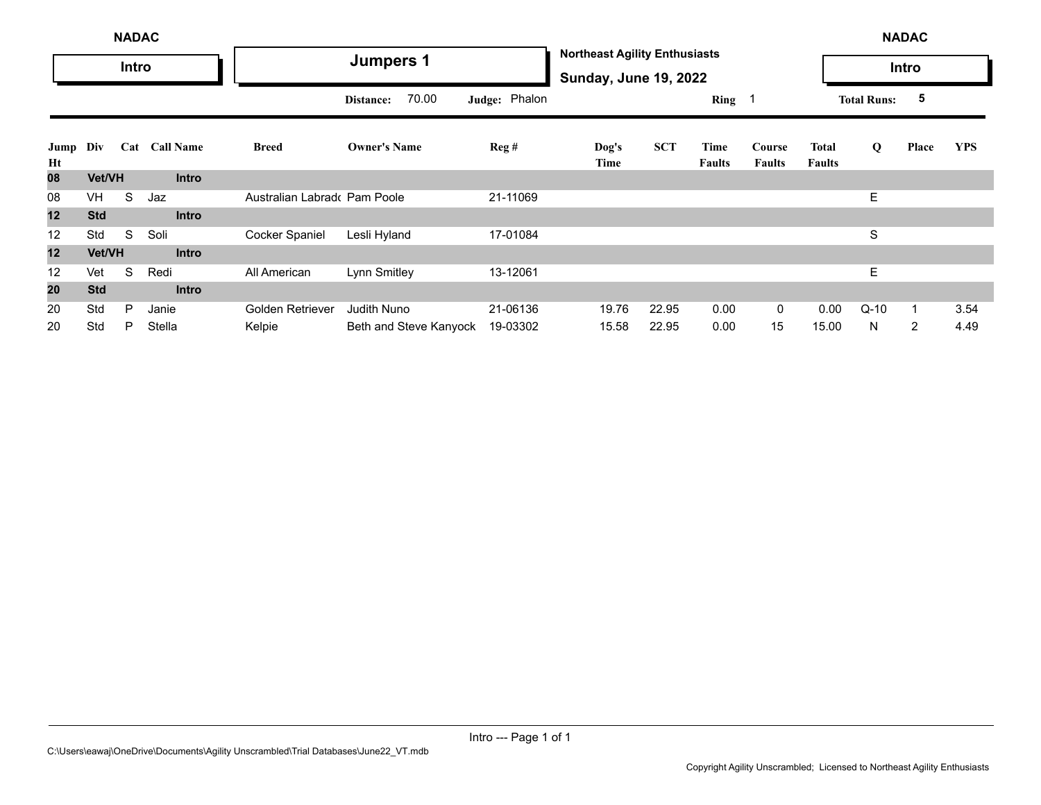|            | <b>NADAC</b> |       |               |                             |                        |               |                                                                      |            |                |                         |                        | <b>NADAC</b>       |                |            |
|------------|--------------|-------|---------------|-----------------------------|------------------------|---------------|----------------------------------------------------------------------|------------|----------------|-------------------------|------------------------|--------------------|----------------|------------|
|            |              | Intro |               |                             | <b>Jumpers 1</b>       |               | <b>Northeast Agility Enthusiasts</b><br><b>Sunday, June 19, 2022</b> |            |                |                         |                        |                    | Intro          |            |
|            |              |       |               |                             | 70.00<br>Distance:     | Judge: Phalon |                                                                      |            | Ring 1         |                         |                        | <b>Total Runs:</b> | 5              |            |
| Jump<br>Ht | Div          |       | Cat Call Name | <b>Breed</b>                | <b>Owner's Name</b>    | Reg#          | Dog's<br>Time                                                        | <b>SCT</b> | Time<br>Faults | Course<br><b>Faults</b> | Total<br><b>Faults</b> | Q                  | Place          | <b>YPS</b> |
| 08         | Vet/VH       |       | <b>Intro</b>  |                             |                        |               |                                                                      |            |                |                         |                        |                    |                |            |
| 08         | VH           | S     | Jaz           | Australian Labrad Pam Poole |                        | 21-11069      |                                                                      |            |                |                         |                        | E.                 |                |            |
| 12         | <b>Std</b>   |       | <b>Intro</b>  |                             |                        |               |                                                                      |            |                |                         |                        |                    |                |            |
| 12         | Std          | S     | Soli          | Cocker Spaniel              | Lesli Hyland           | 17-01084      |                                                                      |            |                |                         |                        | S                  |                |            |
| 12         | Vet/VH       |       | <b>Intro</b>  |                             |                        |               |                                                                      |            |                |                         |                        |                    |                |            |
| 12         | Vet          | S     | Redi          | All American                | Lynn Smitley           | 13-12061      |                                                                      |            |                |                         |                        | E.                 |                |            |
| 20         | <b>Std</b>   |       | <b>Intro</b>  |                             |                        |               |                                                                      |            |                |                         |                        |                    |                |            |
| 20         | Std          | P     | Janie         | Golden Retriever            | <b>Judith Nuno</b>     | 21-06136      | 19.76                                                                | 22.95      | 0.00           | $\mathbf{0}$            | 0.00                   | $Q-10$             | 1              | 3.54       |
| 20         | Std          | P     | Stella        | Kelpie                      | Beth and Steve Kanyock | 19-03302      | 15.58                                                                | 22.95      | 0.00           | 15                      | 15.00                  | N                  | $\overline{2}$ | 4.49       |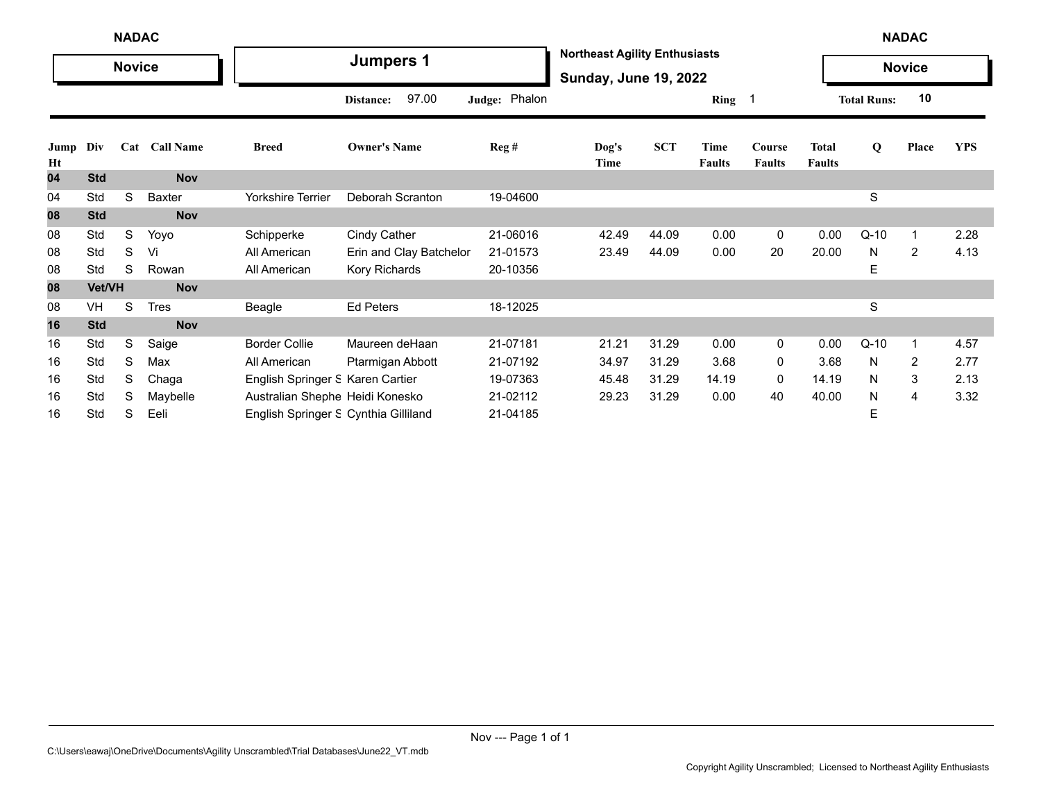|            | <b>NADAC</b><br><b>Novice</b> |   |               |                                      |                         |                  |                                                                      |            |                       |                         |                               |                    | <b>NADAC</b>            |            |
|------------|-------------------------------|---|---------------|--------------------------------------|-------------------------|------------------|----------------------------------------------------------------------|------------|-----------------------|-------------------------|-------------------------------|--------------------|-------------------------|------------|
|            |                               |   |               |                                      | <b>Jumpers 1</b>        |                  | <b>Northeast Agility Enthusiasts</b><br><b>Sunday, June 19, 2022</b> |            |                       |                         |                               |                    | <b>Novice</b>           |            |
|            |                               |   |               |                                      | 97.00<br>Distance:      | Judge: Phalon    |                                                                      |            | Ring 1                |                         |                               | <b>Total Runs:</b> | 10                      |            |
| Jump<br>Ht | Div                           |   | Cat Call Name | <b>Breed</b>                         | <b>Owner's Name</b>     | $\text{Reg } \#$ | Dog's<br>Time                                                        | <b>SCT</b> | Time<br><b>Faults</b> | Course<br><b>Faults</b> | <b>Total</b><br><b>Faults</b> | Q                  | Place                   | <b>YPS</b> |
| 04         | <b>Std</b>                    |   | <b>Nov</b>    |                                      |                         |                  |                                                                      |            |                       |                         |                               |                    |                         |            |
| 04         | Std                           | S | Baxter        | Yorkshire Terrier                    | Deborah Scranton        | 19-04600         |                                                                      |            |                       |                         |                               | S                  |                         |            |
| 08         | <b>Std</b>                    |   | <b>Nov</b>    |                                      |                         |                  |                                                                      |            |                       |                         |                               |                    |                         |            |
| 08         | Std                           | S | Yoyo          | Schipperke                           | Cindy Cather            | 21-06016         | 42.49                                                                | 44.09      | 0.00                  | $\mathbf 0$             | 0.00                          | $Q-10$             | $\overline{\mathbf{1}}$ | 2.28       |
| 08         | Std                           | S | Vi            | All American                         | Erin and Clay Batchelor | 21-01573         | 23.49                                                                | 44.09      | 0.00                  | 20                      | 20.00                         | N                  | 2                       | 4.13       |
| 08         | Std                           | S | Rowan         | All American                         | Kory Richards           | 20-10356         |                                                                      |            |                       |                         |                               | Е                  |                         |            |
| 08         | Vet/VH                        |   | <b>Nov</b>    |                                      |                         |                  |                                                                      |            |                       |                         |                               |                    |                         |            |
| 08         | VH                            | S | <b>Tres</b>   | Beagle                               | <b>Ed Peters</b>        | 18-12025         |                                                                      |            |                       |                         |                               | S                  |                         |            |
| 16         | <b>Std</b>                    |   | <b>Nov</b>    |                                      |                         |                  |                                                                      |            |                       |                         |                               |                    |                         |            |
| 16         | Std                           | S | Saige         | <b>Border Collie</b>                 | Maureen deHaan          | 21-07181         | 21.21                                                                | 31.29      | 0.00                  | 0                       | 0.00                          | $Q-10$             | $\overline{\mathbf{1}}$ | 4.57       |
| 16         | Std                           | S | Max           | All American                         | Ptarmigan Abbott        | 21-07192         | 34.97                                                                | 31.29      | 3.68                  | 0                       | 3.68                          | N                  | 2                       | 2.77       |
| 16         | Std                           | S | Chaga         | English Springer S Karen Cartier     |                         | 19-07363         | 45.48                                                                | 31.29      | 14.19                 | 0                       | 14.19                         | N                  | 3                       | 2.13       |
| 16         | Std                           | S | Maybelle      | Australian Shephe Heidi Konesko      |                         | 21-02112         | 29.23                                                                | 31.29      | 0.00                  | 40                      | 40.00                         | N                  | 4                       | 3.32       |
| 16         | Std                           | S | Eeli          | English Springer S Cynthia Gilliland |                         | 21-04185         |                                                                      |            |                       |                         |                               | Е                  |                         |            |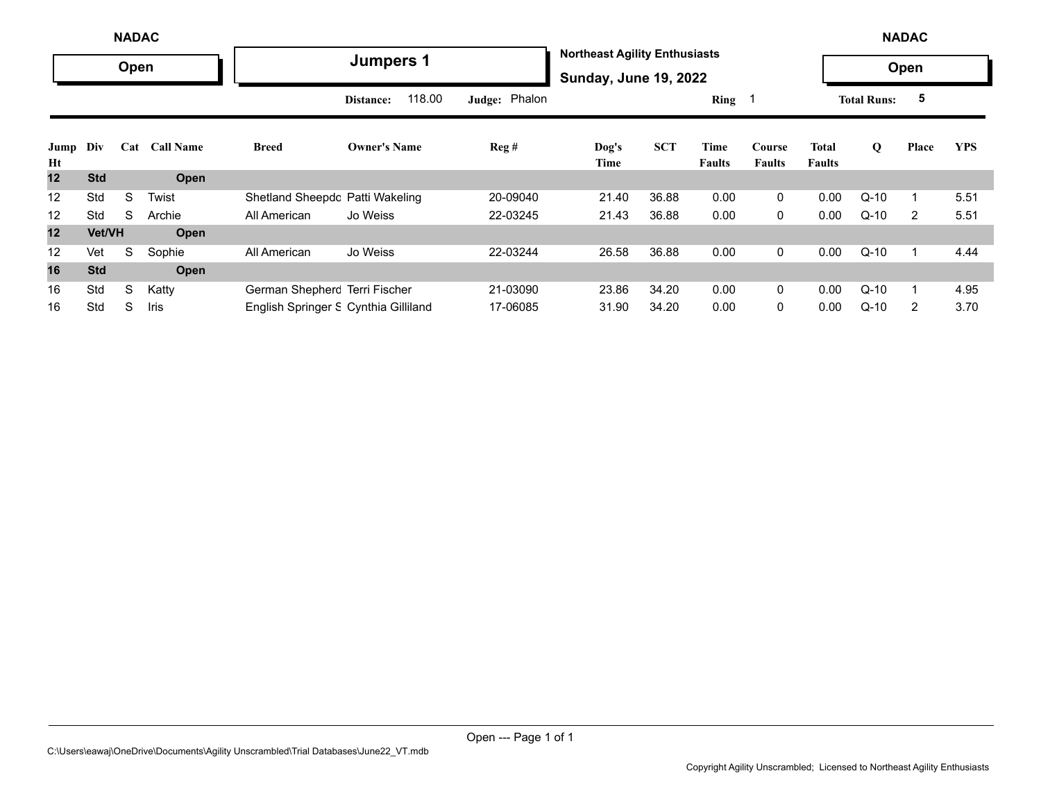|            | <b>NADAC</b>  |      |               |                                      |                     |               |                                                                      |            |                       |                         |                        |                    | <b>NADAC</b> |            |
|------------|---------------|------|---------------|--------------------------------------|---------------------|---------------|----------------------------------------------------------------------|------------|-----------------------|-------------------------|------------------------|--------------------|--------------|------------|
|            |               | Open |               |                                      | <b>Jumpers 1</b>    |               | <b>Northeast Agility Enthusiasts</b><br><b>Sunday, June 19, 2022</b> |            |                       |                         |                        |                    | Open         |            |
|            |               |      |               |                                      | 118.00<br>Distance: | Judge: Phalon |                                                                      |            | Ring $1$              |                         |                        | <b>Total Runs:</b> | 5            |            |
| Jump<br>Ht | Div           |      | Cat Call Name | <b>Breed</b>                         | <b>Owner's Name</b> | Reg#          | Dog's<br>Time                                                        | <b>SCT</b> | Time<br><b>Faults</b> | Course<br><b>Faults</b> | <b>Total</b><br>Faults | Q                  | Place        | <b>YPS</b> |
| 12         | <b>Std</b>    |      | Open          |                                      |                     |               |                                                                      |            |                       |                         |                        |                    |              |            |
| 12         | Std           | S    | Twist         | Shetland Sheepdc Patti Wakeling      |                     | 20-09040      | 21.40                                                                | 36.88      | 0.00                  | $\mathbf{0}$            | 0.00                   | $Q-10$             |              | 5.51       |
| 12         | Std           | S    | Archie        | All American                         | Jo Weiss            | 22-03245      | 21.43                                                                | 36.88      | 0.00                  | $\mathbf 0$             | 0.00                   | $Q-10$             | 2            | 5.51       |
| 12         | <b>Vet/VH</b> |      | Open          |                                      |                     |               |                                                                      |            |                       |                         |                        |                    |              |            |
| 12         | Vet           | S    | Sophie        | All American                         | Jo Weiss            | 22-03244      | 26.58                                                                | 36.88      | 0.00                  | $\mathbf 0$             | 0.00                   | $Q-10$             | 1            | 4.44       |
| 16         | <b>Std</b>    |      | <b>Open</b>   |                                      |                     |               |                                                                      |            |                       |                         |                        |                    |              |            |
| 16         | Std           | S    | Katty         | German Shepherc Terri Fischer        |                     | 21-03090      | 23.86                                                                | 34.20      | 0.00                  | $\mathbf{0}$            | 0.00                   | $Q-10$             |              | 4.95       |
| 16         | Std           | S    | Iris          | English Springer & Cynthia Gilliland |                     | 17-06085      | 31.90                                                                | 34.20      | 0.00                  | $\Omega$                | 0.00                   | $Q-10$             | 2            | 3.70       |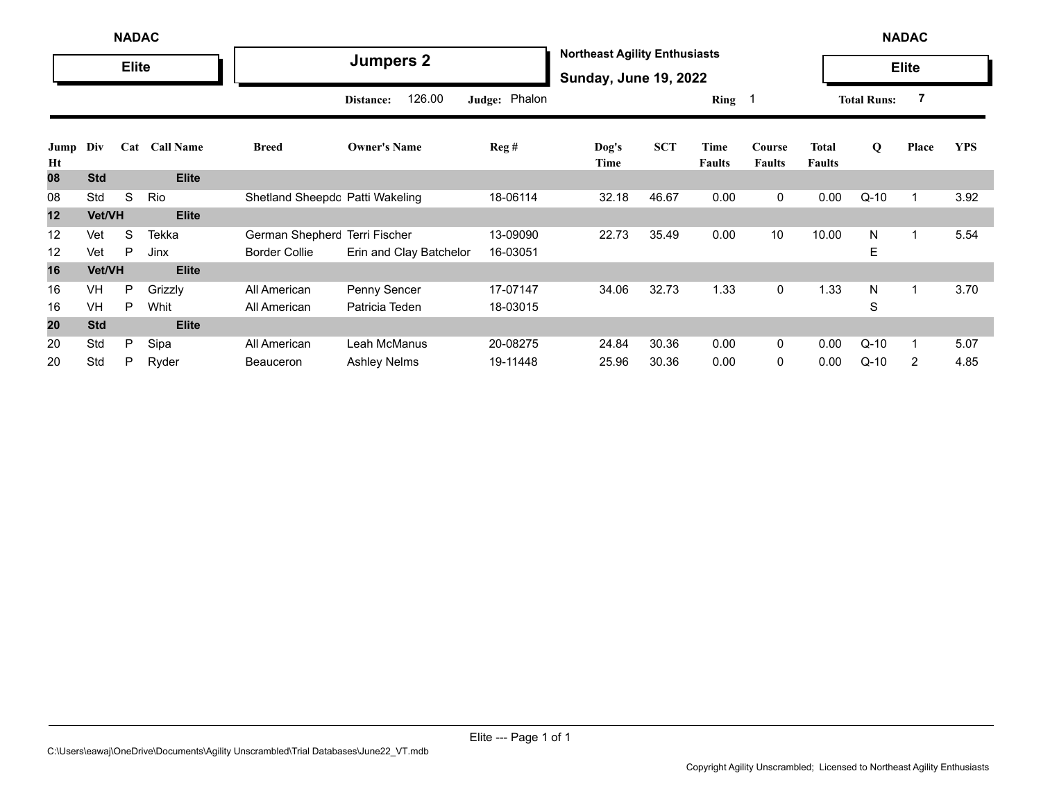|            |            | <b>NADAC</b> |                  |                                 |                         |               |                                                                      |            |                       |                         |                               |                    | <b>NADAC</b>   |            |
|------------|------------|--------------|------------------|---------------------------------|-------------------------|---------------|----------------------------------------------------------------------|------------|-----------------------|-------------------------|-------------------------------|--------------------|----------------|------------|
|            |            | <b>Elite</b> |                  |                                 | <b>Jumpers 2</b>        |               | <b>Northeast Agility Enthusiasts</b><br><b>Sunday, June 19, 2022</b> |            |                       |                         |                               |                    | <b>Elite</b>   |            |
|            |            |              |                  |                                 | 126.00<br>Distance:     | Judge: Phalon |                                                                      |            | Ring 1                |                         |                               | <b>Total Runs:</b> | $\overline{7}$ |            |
| Jump<br>Ht | Div        | Cat          | <b>Call Name</b> | <b>Breed</b>                    | <b>Owner's Name</b>     | Reg#          | $\log's$<br>Time                                                     | <b>SCT</b> | Time<br><b>Faults</b> | Course<br><b>Faults</b> | <b>Total</b><br><b>Faults</b> | Q                  | Place          | <b>YPS</b> |
| 08         | <b>Std</b> |              | <b>Elite</b>     |                                 |                         |               |                                                                      |            |                       |                         |                               |                    |                |            |
| 08         | Std        | S            | Rio              | Shetland Sheepdc Patti Wakeling |                         | 18-06114      | 32.18                                                                | 46.67      | 0.00                  | 0                       | 0.00                          | $Q-10$             | -1             | 3.92       |
| 12         | Vet/VH     |              | <b>Elite</b>     |                                 |                         |               |                                                                      |            |                       |                         |                               |                    |                |            |
| 12         | Vet        | S            | <b>Tekka</b>     | German Shepherc Terri Fischer   |                         | 13-09090      | 22.73                                                                | 35.49      | 0.00                  | 10                      | 10.00                         | N                  |                | 5.54       |
| 12         | Vet        | P            | Jinx             | <b>Border Collie</b>            | Erin and Clay Batchelor | 16-03051      |                                                                      |            |                       |                         |                               | E                  |                |            |
| 16         | Vet/VH     |              | <b>Elite</b>     |                                 |                         |               |                                                                      |            |                       |                         |                               |                    |                |            |
| 16         | <b>VH</b>  | P            | Grizzly          | All American                    | Penny Sencer            | 17-07147      | 34.06                                                                | 32.73      | 1.33                  | 0                       | 1.33                          | N                  |                | 3.70       |
| 16         | <b>VH</b>  | P            | Whit             | All American                    | Patricia Teden          | 18-03015      |                                                                      |            |                       |                         |                               | S                  |                |            |
| 20         | <b>Std</b> |              | <b>Elite</b>     |                                 |                         |               |                                                                      |            |                       |                         |                               |                    |                |            |
| 20         | Std        | P            | Sipa             | All American                    | Leah McManus            | 20-08275      | 24.84                                                                | 30.36      | 0.00                  | $\Omega$                | 0.00                          | $Q-10$             |                | 5.07       |
| 20         | Std        | P            | Ryder            | <b>Beauceron</b>                | <b>Ashley Nelms</b>     | 19-11448      | 25.96                                                                | 30.36      | 0.00                  | 0                       | 0.00                          | $Q-10$             | $\overline{2}$ | 4.85       |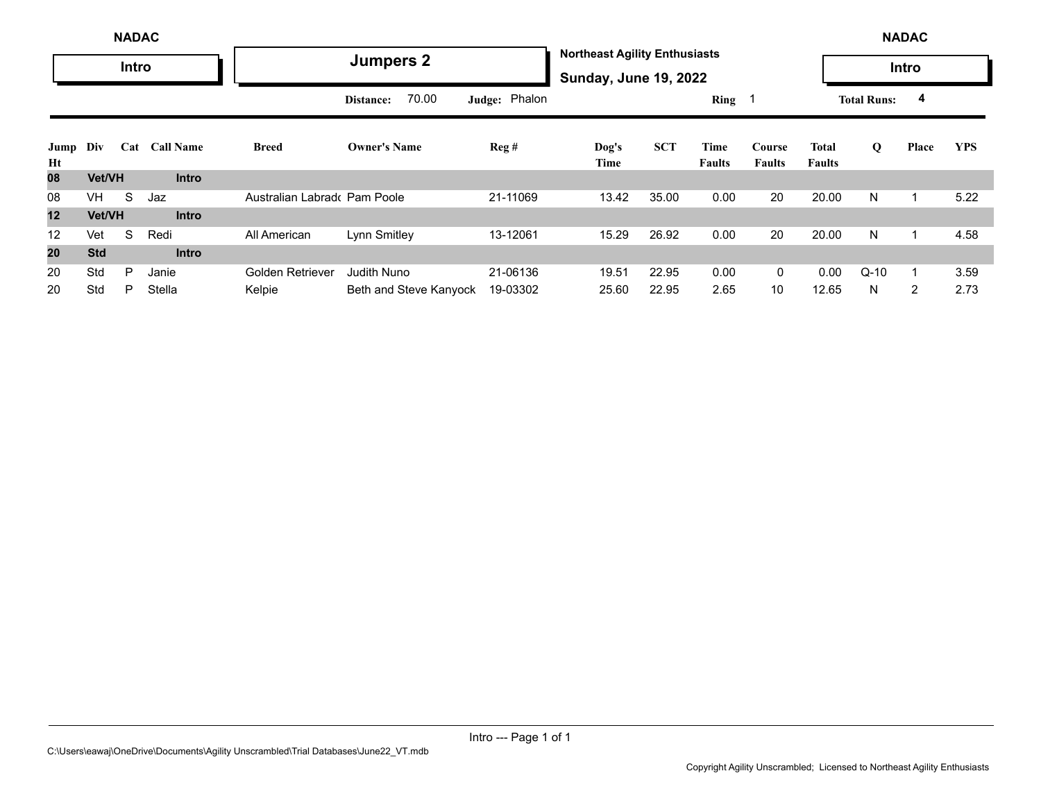| <b>NADAC</b> |            |     |                  |                              |                        |               |                                                                      | <b>NADAC</b> |                |                         |                        |                    |       |            |  |
|--------------|------------|-----|------------------|------------------------------|------------------------|---------------|----------------------------------------------------------------------|--------------|----------------|-------------------------|------------------------|--------------------|-------|------------|--|
| <b>Intro</b> |            |     |                  | <b>Jumpers 2</b>             |                        |               | <b>Northeast Agility Enthusiasts</b><br><b>Sunday, June 19, 2022</b> |              |                |                         |                        | Intro              |       |            |  |
|              |            |     |                  |                              | 70.00<br>Distance:     | Judge: Phalon |                                                                      |              | Ring           |                         |                        | <b>Total Runs:</b> | 4     |            |  |
| Jump<br>Ht   | Div        | Cat | <b>Call Name</b> | Breed                        | <b>Owner's Name</b>    | Reg#          | Dog's<br>Time                                                        | <b>SCT</b>   | Time<br>Faults | Course<br><b>Faults</b> | Total<br><b>Faults</b> | Q                  | Place | <b>YPS</b> |  |
| 08           | Vet/VH     |     | <b>Intro</b>     |                              |                        |               |                                                                      |              |                |                         |                        |                    |       |            |  |
| 08           | VH.        | S   | Jaz              | Australian Labrado Pam Poole |                        | 21-11069      | 13.42                                                                | 35.00        | 0.00           | 20                      | 20.00                  | N                  |       | 5.22       |  |
| 12           | Vet/VH     |     | <b>Intro</b>     |                              |                        |               |                                                                      |              |                |                         |                        |                    |       |            |  |
| 12           | Vet        | S   | Redi             | All American                 | Lynn Smitley           | 13-12061      | 15.29                                                                | 26.92        | 0.00           | 20                      | 20.00                  | N                  |       | 4.58       |  |
| 20           | <b>Std</b> |     | <b>Intro</b>     |                              |                        |               |                                                                      |              |                |                         |                        |                    |       |            |  |
| 20           | Std        | P   | Janie            | <b>Golden Retriever</b>      | Judith Nuno            | 21-06136      | 19.51                                                                | 22.95        | 0.00           | $\mathbf 0$             | 0.00                   | $Q-10$             |       | 3.59       |  |
| 20           | Std        | P   | Stella           | Kelpie                       | Beth and Steve Kanyock | 19-03302      | 25.60                                                                | 22.95        | 2.65           | 10                      | 12.65                  | N                  | 2     | 2.73       |  |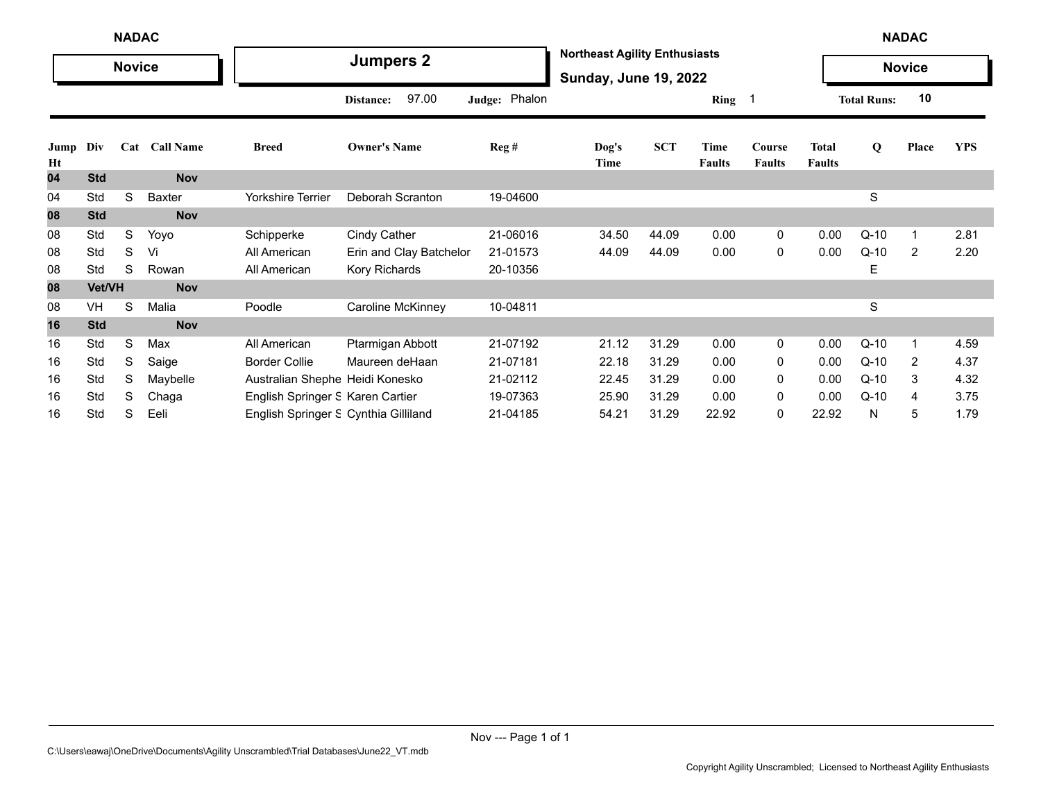| <b>NADAC</b> |               |   |               |                                      |                         |               |               |                                                                      |                       |                         |                               | <b>NADAC</b>       |               |            |  |  |
|--------------|---------------|---|---------------|--------------------------------------|-------------------------|---------------|---------------|----------------------------------------------------------------------|-----------------------|-------------------------|-------------------------------|--------------------|---------------|------------|--|--|
|              | <b>Novice</b> |   |               |                                      | <b>Jumpers 2</b>        |               |               | <b>Northeast Agility Enthusiasts</b><br><b>Sunday, June 19, 2022</b> |                       |                         |                               |                    | <b>Novice</b> |            |  |  |
|              |               |   |               |                                      | 97.00<br>Distance:      | Judge: Phalon |               |                                                                      | Ring 1                |                         |                               | <b>Total Runs:</b> | 10            |            |  |  |
| Jump<br>Ht   | Div           |   | Cat Call Name | <b>Breed</b>                         | <b>Owner's Name</b>     | Reg#          | Dog's<br>Time | <b>SCT</b>                                                           | Time<br><b>Faults</b> | Course<br><b>Faults</b> | <b>Total</b><br><b>Faults</b> | Q                  | Place         | <b>YPS</b> |  |  |
| 04           | <b>Std</b>    |   | <b>Nov</b>    |                                      |                         |               |               |                                                                      |                       |                         |                               |                    |               |            |  |  |
| 04           | Std           | S | Baxter        | <b>Yorkshire Terrier</b>             | Deborah Scranton        | 19-04600      |               |                                                                      |                       |                         |                               | $\mathbf S$        |               |            |  |  |
| 08           | <b>Std</b>    |   | <b>Nov</b>    |                                      |                         |               |               |                                                                      |                       |                         |                               |                    |               |            |  |  |
| 08           | Std           | S | Yoyo          | Schipperke                           | <b>Cindy Cather</b>     | 21-06016      | 34.50         | 44.09                                                                | 0.00                  | $\mathbf 0$             | 0.00                          | $Q-10$             |               | 2.81       |  |  |
| 08           | Std           | S | Vi            | All American                         | Erin and Clay Batchelor | 21-01573      | 44.09         | 44.09                                                                | 0.00                  | $\mathbf 0$             | 0.00                          | $Q-10$             | 2             | 2.20       |  |  |
| 08           | Std           | S | Rowan         | All American                         | Kory Richards           | 20-10356      |               |                                                                      |                       |                         |                               | Ε                  |               |            |  |  |
| 08           | Vet/VH        |   | <b>Nov</b>    |                                      |                         |               |               |                                                                      |                       |                         |                               |                    |               |            |  |  |
| 08           | VH            | S | Malia         | Poodle                               | Caroline McKinney       | 10-04811      |               |                                                                      |                       |                         |                               | $\mathbf S$        |               |            |  |  |
| 16           | <b>Std</b>    |   | <b>Nov</b>    |                                      |                         |               |               |                                                                      |                       |                         |                               |                    |               |            |  |  |
| 16           | Std           | S | Max           | All American                         | Ptarmigan Abbott        | 21-07192      | 21.12         | 31.29                                                                | 0.00                  | 0                       | 0.00                          | Q-10               | -1            | 4.59       |  |  |
| 16           | Std           | S | Saige         | <b>Border Collie</b>                 | Maureen deHaan          | 21-07181      | 22.18         | 31.29                                                                | 0.00                  | 0                       | 0.00                          | $Q-10$             | 2             | 4.37       |  |  |
| 16           | Std           | S | Maybelle      | Australian Shephe Heidi Konesko      |                         | 21-02112      | 22.45         | 31.29                                                                | 0.00                  | 0                       | 0.00                          | $Q-10$             | 3             | 4.32       |  |  |
| 16           | Std           | S | Chaga         | English Springer S Karen Cartier     |                         | 19-07363      | 25.90         | 31.29                                                                | 0.00                  | 0                       | 0.00                          | $Q-10$             | 4             | 3.75       |  |  |
| 16           | Std           | S | Eeli          | English Springer S Cynthia Gilliland |                         | 21-04185      | 54.21         | 31.29                                                                | 22.92                 | 0                       | 22.92                         | N                  | 5             | 1.79       |  |  |